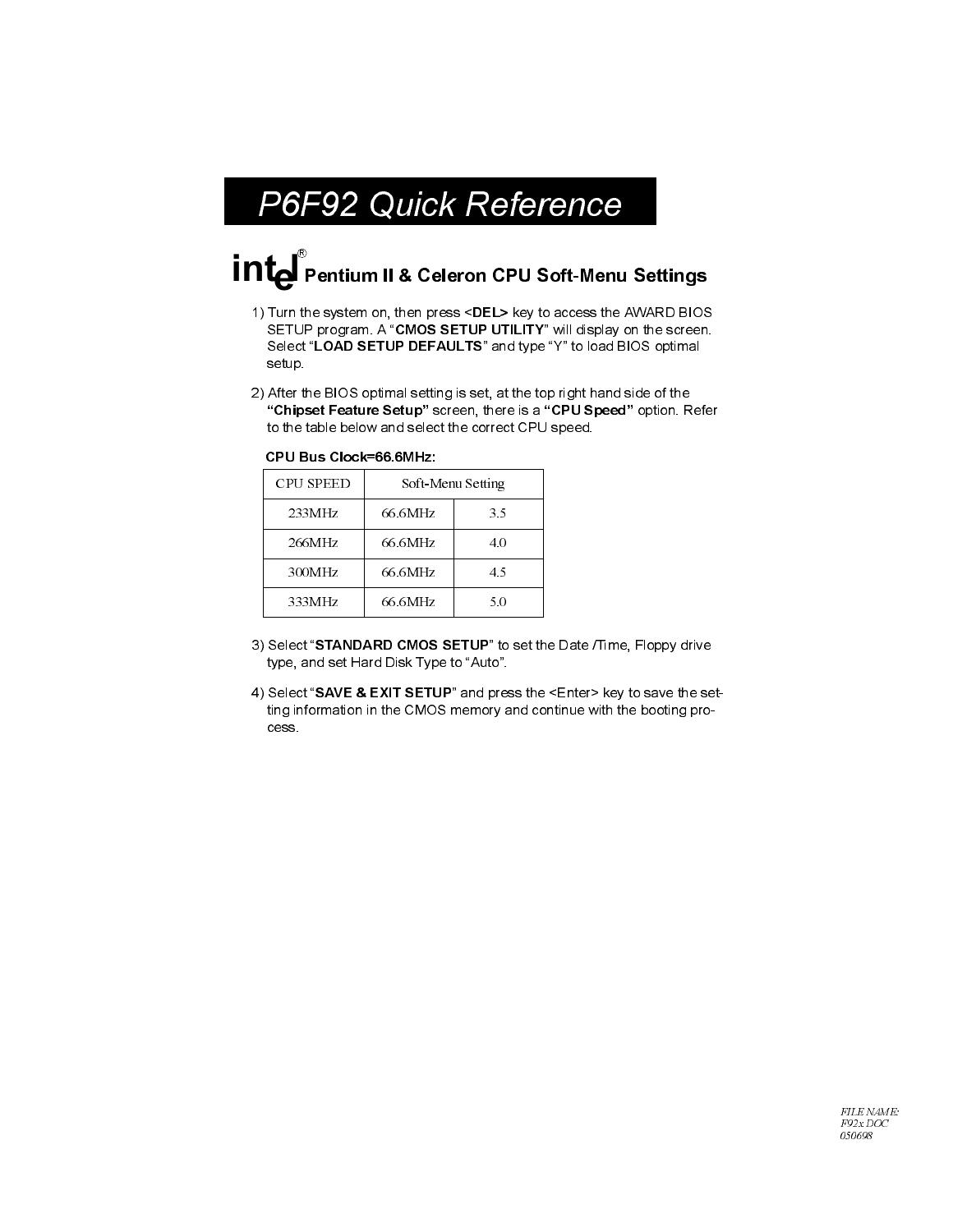## P6F92 Quick Reference

# Pentium II & Celeron CPU Soft-Menu Settings

- 1) Turn the system on, then press <DEL> key to access the AWARD BIOS SETUP program. A "CMOS SETUP UTILITY" will display on the screen. Select "LOAD SETUP DEFAULTS" and type "Y" to load BIOS optimal setup
- 2) After the BIOS optimal setting is set, at the top right hand side of the "Chipset Feature Setup" screen, there is a "CPU Speed" option. Refer to the table below and select the correct CPU speed.

| <b>CPU SPEED</b> | Soft-Menu Setting |     |  |
|------------------|-------------------|-----|--|
| 233MHz           | 66.6MHz           | 35  |  |
| 266MHz           | 66.6MHz           | 4.0 |  |
| 300MHz           | 66.6MHz           | 4.5 |  |
| 333MHz           | 66.6MHz           | 50  |  |

CPU Bus Clock=66.6MHz:

- 3) Select "STANDARD CMOS SETUP" to set the Date /Time, Floppy drive type, and set Hard Disk Type to "Auto".
- 4) Select "SAVE & EXIT SETUP" and press the <Enter> key to save the setting information in the CMOS memory and continue with the booting process.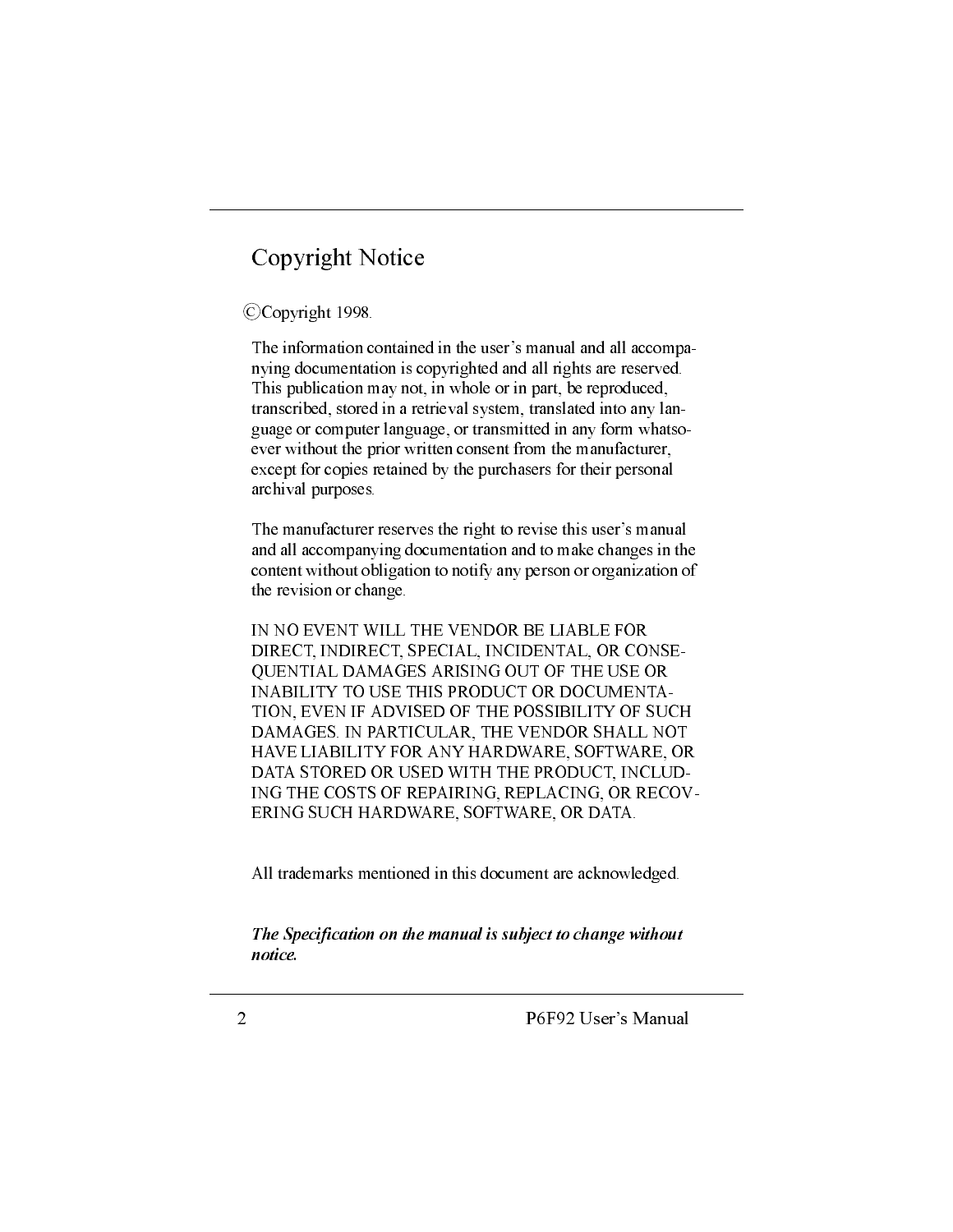## Copyright Notice

#### CCopyright 1998.

The information contained in the user's manual and all accompanying documentation is copyrighted and all rights are reserved. This publication may not, in whole or in part, be reproduced, transcribed, stored in a retrieval system, translated into any language or computer language, or transmitted in any form whatsoever without the prior written consent from the manufacturer, except for copies retained by the purchasers for their personal archival purposes.

The manufacturer reserves the right to revise this user's manual and all accompanying documentation and to make changes in the content without obligation to notify any person or organization of the revision or change.

IN NO EVENT WILL THE VENDOR BE LIABLE FOR DIRECT, INDIRECT, SPECIAL, INCIDENTAL, OR CONSE-**OUENTIAL DAMAGES ARISING OUT OF THE USE OR** INABILITY TO USE THIS PRODUCT OR DOCUMENTA-TION, EVEN IF ADVISED OF THE POSSIBILITY OF SUCH DAMAGES. IN PARTICULAR, THE VENDOR SHALL NOT HAVE LIABILITY FOR ANY HARDWARE, SOFTWARE, OR DATA STORED OR USED WITH THE PRODUCT, INCLUD-ING THE COSTS OF REPAIRING, REPLACING, OR RECOV-ERING SUCH HARDWARE, SOFTWARE, OR DATA.

All trademarks mentioned in this document are acknowledged.

The Specification on the manual is subject to change without notice.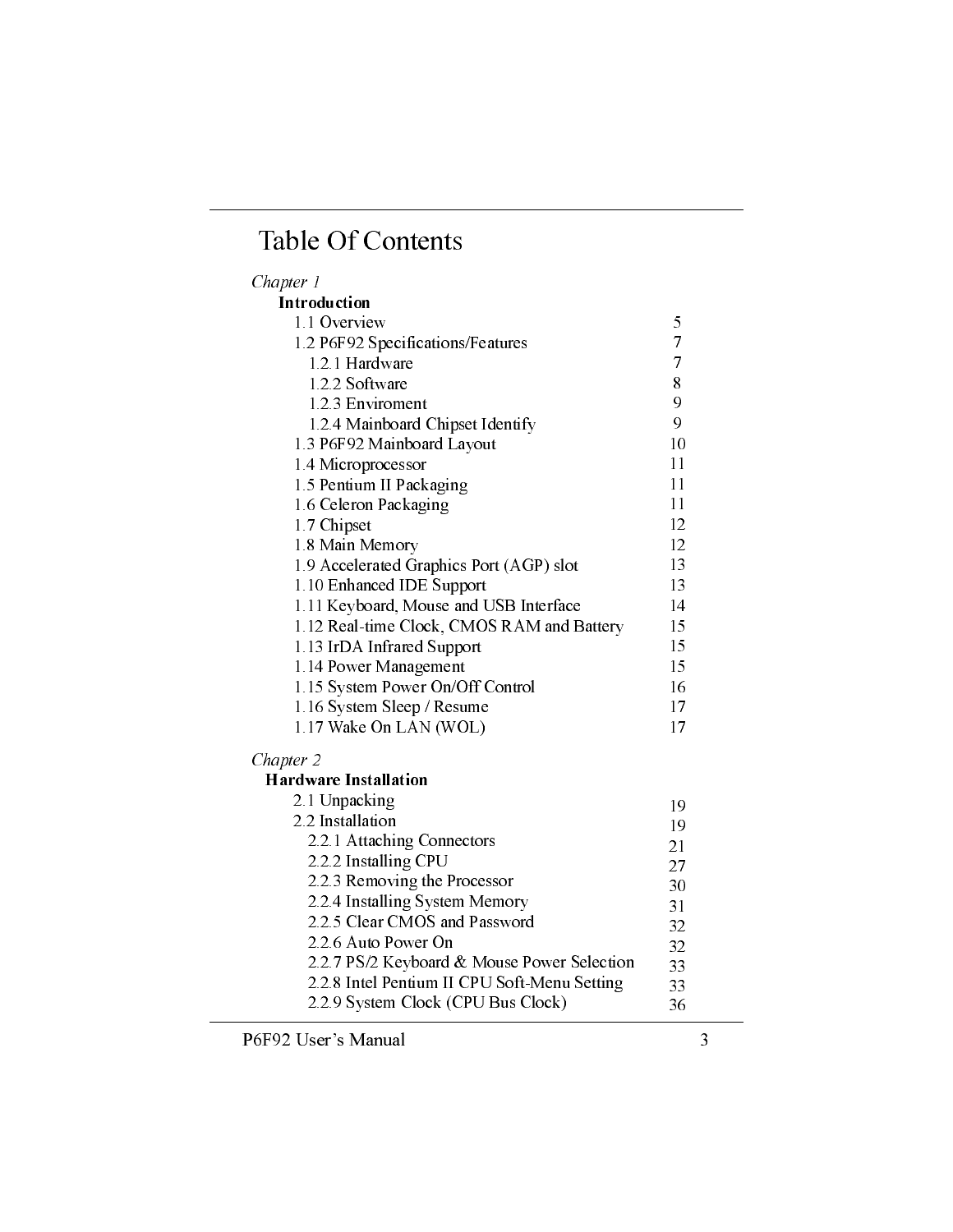## **Table Of Contents**

## Chapter 1

| Introduction                               |    |
|--------------------------------------------|----|
| 1.1 Overview                               | 5  |
| 1.2 P6F92 Specifications/Features          | 7  |
| 1.2.1 Hardware                             | 7  |
| 1.2.2 Software                             | 8  |
| 1.2.3 Enviroment                           | 9  |
| 1.2.4 Mainboard Chipset Identify           | 9  |
| 1.3 P6F92 Mainboard Layout                 | 10 |
| 1.4 Microprocessor                         | 11 |
| 1.5 Pentium II Packaging                   | 11 |
| 1.6 Celeron Packaging                      | 11 |
| 1.7 Chipset                                | 12 |
| 1.8 Main Memory                            | 12 |
| 1.9 Accelerated Graphics Port (AGP) slot   | 13 |
| 1.10 Enhanced IDE Support                  | 13 |
| 1.11 Keyboard, Mouse and USB Interface     | 14 |
| 1.12 Real-time Clock, CMOS RAM and Battery | 15 |
| 1.13 IrDA Infrared Support                 | 15 |
| 1.14 Power Management                      | 15 |
| 1.15 System Power On/Off Control           | 16 |
| 1.16 System Sleep / Resume                 | 17 |
| 1.17 Wake On LAN (WOL)                     | 17 |
| Chapter 2                                  |    |
| <b>Hardware Installation</b>               |    |
| 2.1 Unpacking                              | 19 |
| 2.2 Installation                           | 19 |
| 2.2.1 Attaching Connectors                 | 21 |
| 2.2.2 Installing CPU                       | 27 |
| 2.2.3 Removing the Processor               | 30 |
| 2.2.4 Installing System Memory             | 31 |
| 2.2.5 Clear CMOS and Password              | 32 |

2.2.7 PS/2 Keyboard & Mouse Power Selection

2.2.8 Intel Pentium II CPU Soft-Menu Setting

2.2.9 System Clock (CPU Bus Clock)

2.2.6 Auto Power On

 $3\sqrt{2}$ 

32

33

33

36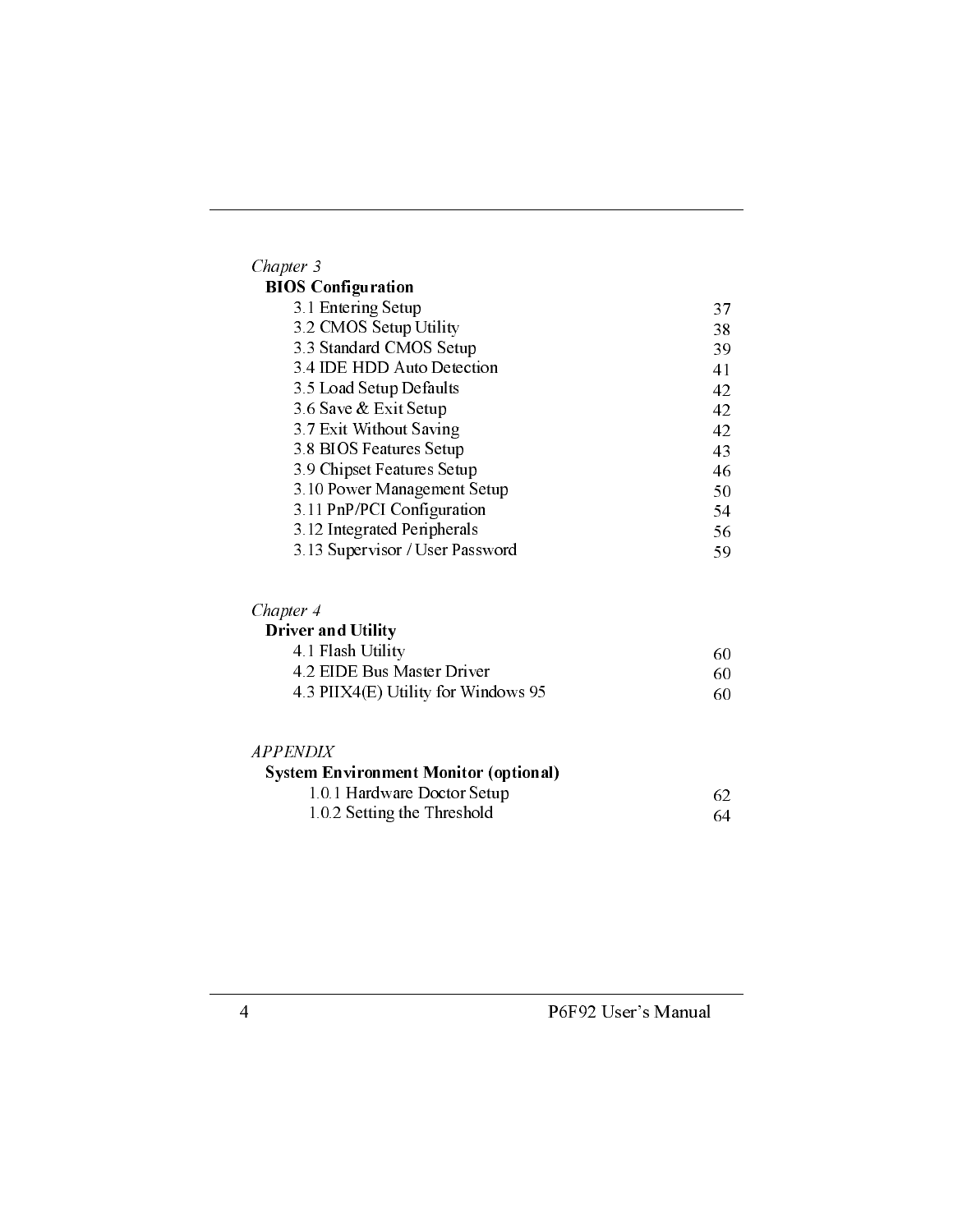| Chapter 3                       |    |
|---------------------------------|----|
| <b>BIOS</b> Configuration       |    |
| 3.1 Entering Setup              | 37 |
| 3.2 CMOS Setup Utility          | 38 |
| 3.3 Standard CMOS Setup         | 39 |
| 3.4 IDE HDD Auto Detection      | 41 |
| 3.5 Load Setup Defaults         | 42 |
| 3.6 Save & Exit Setup           | 42 |
| 3.7 Exit Without Saving         | 42 |
| 3.8 BIOS Features Setup         | 43 |
| 3.9 Chipset Features Setup      | 46 |
| 3.10 Power Management Setup     | 50 |
| 3.11 PnP/PCI Configuration      | 54 |
| 3.12 Integrated Peripherals     | 56 |
| 3.13 Supervisor / User Password | 59 |

| hanter |
|--------|
|--------|

| <b>Driver and Utility</b> |  |
|---------------------------|--|
| .                         |  |

| 4.1 Flash Utility                   | 60 |
|-------------------------------------|----|
| 4.2 EIDE Bus Master Driver          | 60 |
| 4.3 PIIX4(E) Utility for Windows 95 | 60 |

| <i>APPENDIX</i>                              |     |
|----------------------------------------------|-----|
| <b>System Environment Monitor (optional)</b> |     |
| 1.0.1 Hardware Doctor Setup                  | 62. |
| 1.0.2 Setting the Threshold                  | -64 |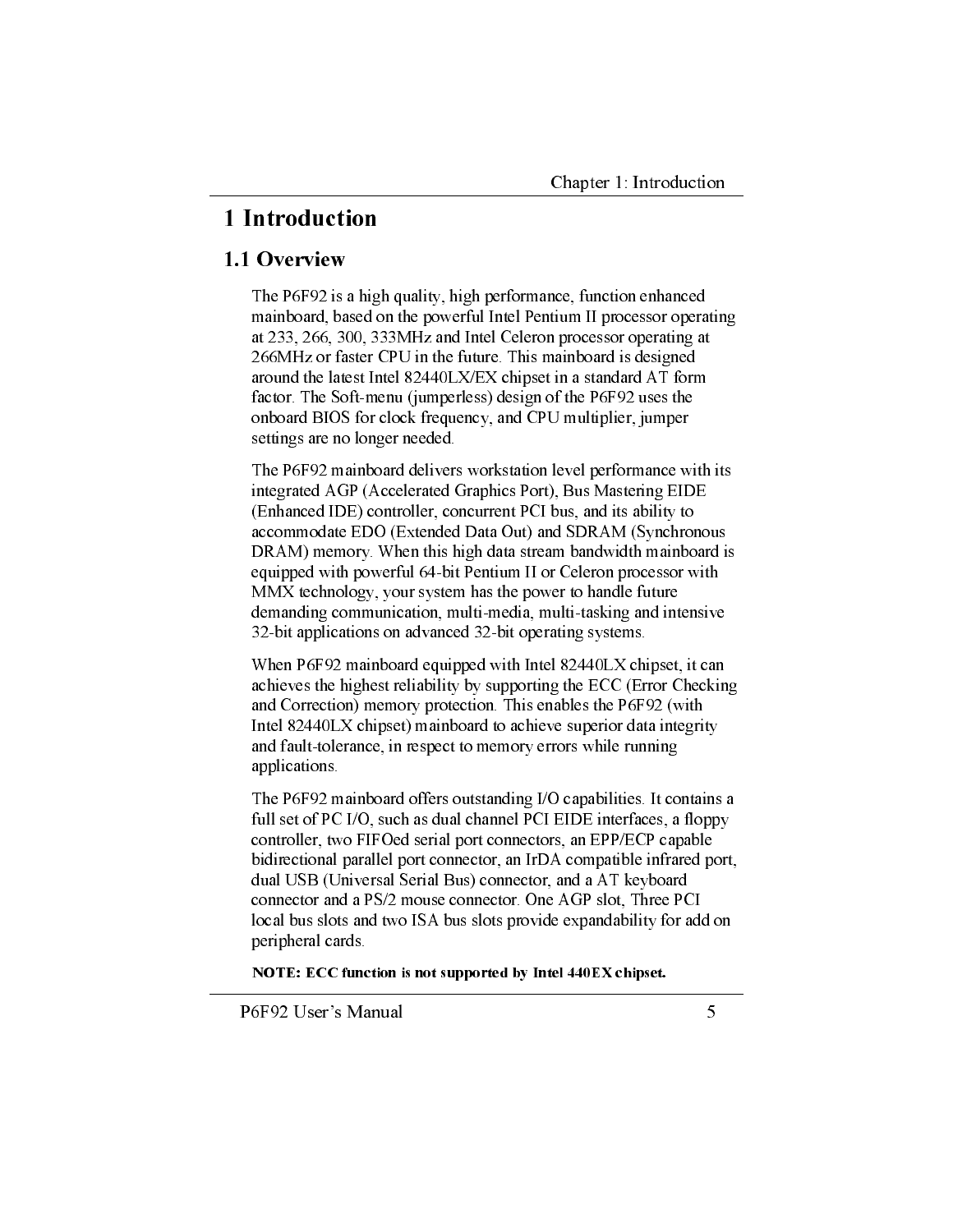## 1 Introduction

### 1.1 Overview

The P6F92 is a high quality, high performance, function enhanced mainboard, based on the powerful Intel Pentium II processor operating at 233, 266, 300, 333MHz and Intel Celeron processor operating at 266MHz or faster CPU in the future. This mainboard is designed around the latest Intel 82440LX/EX chipset in a standard AT form factor. The Soft-menu (jumperless) design of the P6F92 uses the onboard BIOS for clock frequency, and CPU multiplier, jumper settings are no longer needed.

The P6F92 mainboard delivers workstation level performance with its integrated AGP (Accelerated Graphics Port), Bus Mastering EIDE (Enhanced IDE) controller, concurrent PCI bus, and its ability to accommodate EDO (Extended Data Out) and SDRAM (Synchronous DRAM) memory. When this high data stream bandwidth mainboard is equipped with powerful 64-bit Pentium II or Celeron processor with MMX technology, your system has the power to handle future demanding communication, multi-media, multi-tasking and intensive 32-bit applications on advanced 32-bit operating systems.

When P6F92 mainboard equipped with Intel 82440LX chipset, it can achieves the highest reliability by supporting the ECC (Error Checking and Correction) memory protection. This enables the P6F92 (with Intel 82440LX chipset) mainboard to achieve superior data integrity and fault-tolerance, in respect to memory errors while running applications.

The P6F92 mainboard offers outstanding I/O capabilities. It contains a full set of PC I/O, such as dual channel PCI EIDE interfaces, a floppy controller, two FIFOed serial port connectors, an EPP/ECP capable bidirectional parallel port connector, an IrDA compatible infrared port, dual USB (Universal Serial Bus) connector, and a AT keyboard connector and a PS/2 mouse connector. One AGP slot. Three PCI local bus slots and two ISA bus slots provide expandability for add on peripheral cards.

NOTE: ECC function is not supported by Intel 440EX chipset.

P6F92 User's Manual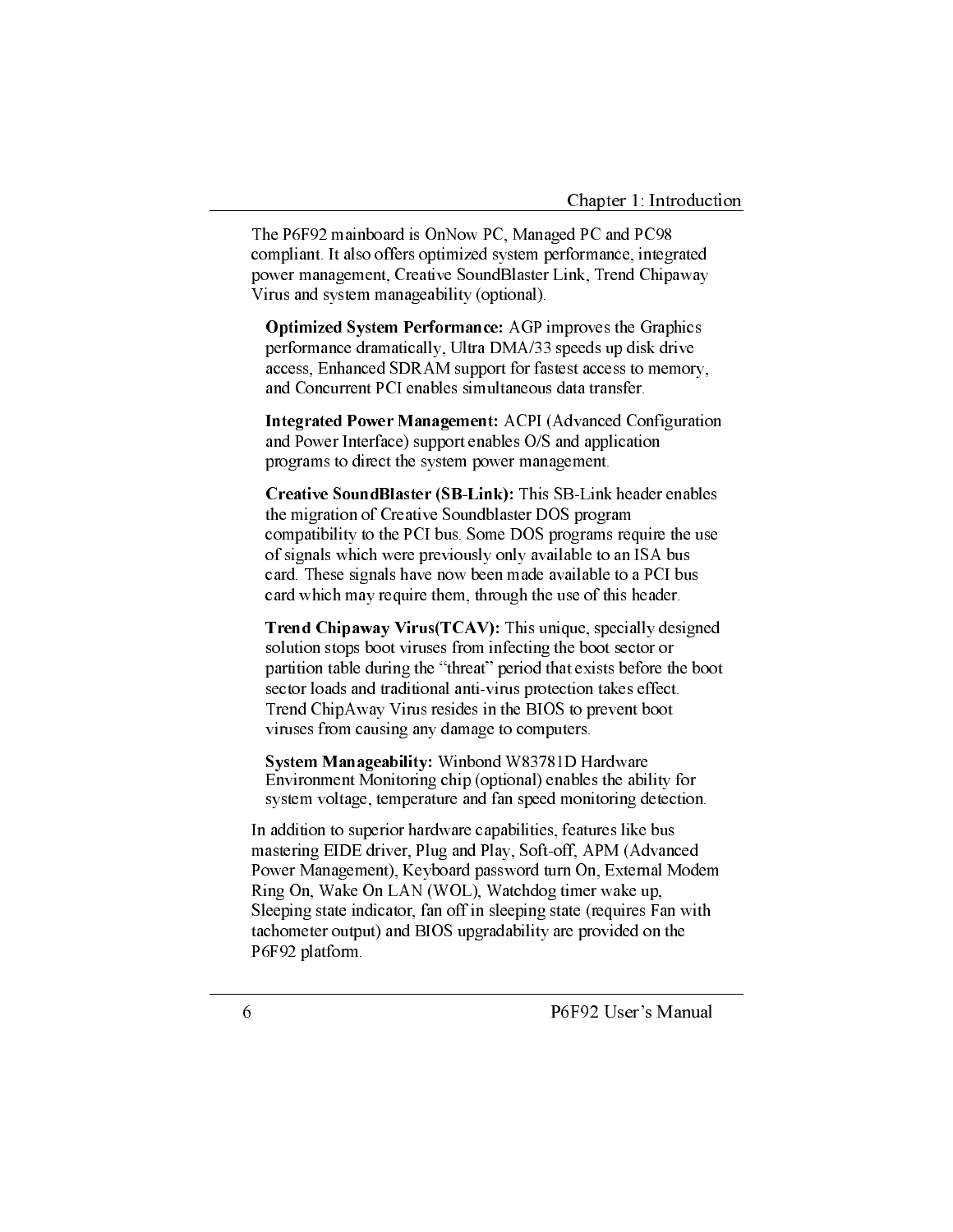The P6F92 mainboard is OnNow PC, Managed PC and PC98 compliant. It also offers optimized system performance, integrated power management, Creative SoundBlaster Link, Trend Chipaway Virus and system manageability (optional).

**Optimized System Performance:** AGP improves the Graphics performance dramatically, Ultra DMA/33 speeds up disk drive access, Enhanced SDRAM support for fastest access to memory, and Concurrent PCI enables simultaneous data transfer.

**Integrated Power Management:** ACPI (Advanced Configuration and Power Interface) support enables O/S and application programs to direct the system power management.

Creative SoundBlaster (SB-Link): This SB-Link header enables the migration of Creative Soundblaster DOS program compatibility to the PCI bus. Some DOS programs require the use of signals which were previously only available to an ISA bus card. These signals have now been made available to a PCI bus card which may require them, through the use of this header.

**Trend Chipaway Virus (TCAV):** This unique, specially designed solution stops boot viruses from infecting the boot sector or partition table during the "threat" period that exists before the boot sector loads and traditional anti-virus protection takes effect. Trend ChipAway Virus resides in the BIOS to prevent boot viruses from causing any damage to computers.

System Manageability: Winbond W83781D Hardware Environment Monitoring chip (optional) enables the ability for system voltage, temperature and fan speed monitoring detection.

In addition to superior hardware capabilities, features like bus mastering EIDE driver, Plug and Play, Soft-off, APM (Advanced Power Management), Keyboard password turn On, External Modem Ring On, Wake On LAN (WOL), Watchdog timer wake up, Sleeping state indicator, fan off in sleeping state (requires Fan with tachometer output) and BIOS upgradability are provided on the P6F92 platform.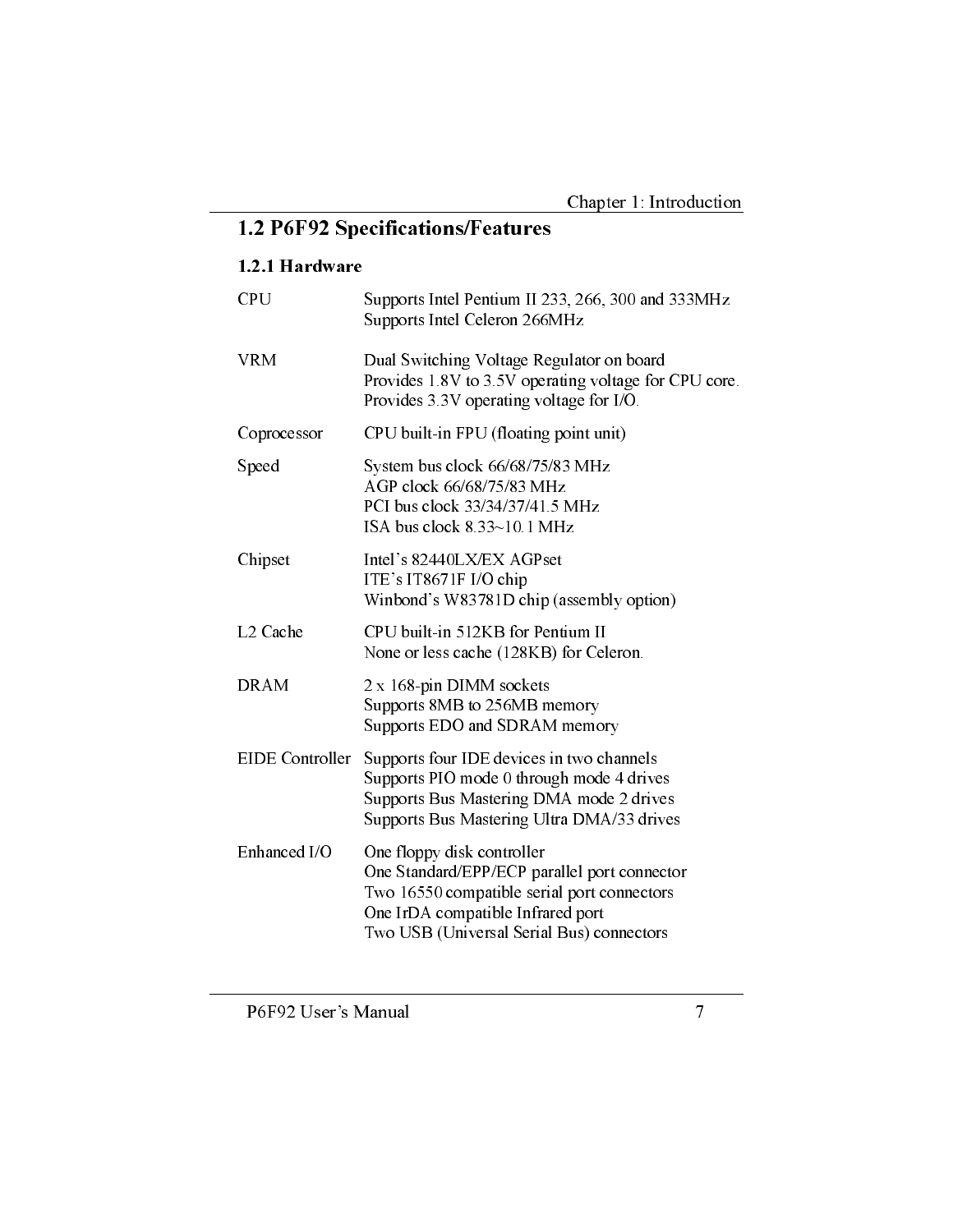## 1.2 P6F92 Specifications/Features

## 1.2.1 Hardware

| <b>CPU</b>           | Supports Intel Pentium II 233, 266, 300 and 333MHz<br>Supports Intel Celeron 266MHz                                                                                                                         |
|----------------------|-------------------------------------------------------------------------------------------------------------------------------------------------------------------------------------------------------------|
| <b>VRM</b>           | Dual Switching Voltage Regulator on board<br>Provides 1.8V to 3.5V operating voltage for CPU core.<br>Provides 3.3V operating voltage for I/O.                                                              |
| Coprocessor          | CPU built-in FPU (floating point unit)                                                                                                                                                                      |
| Speed                | System bus clock 66/68/75/83 MHz<br>AGP clock 66/68/75/83 MHz<br>PCI bus clock 33/34/37/41.5 MHz<br>ISA bus clock 8.33~10.1 MHz                                                                             |
| Chipset              | Intel's 82440LX/EX AGPset<br>ITE's IT8671F I/O chip<br>Winbond's W83781D chip (assembly option)                                                                                                             |
| L <sub>2</sub> Cache | CPU built-in 512KB for Pentium II<br>None or less cache (128KB) for Celeron.                                                                                                                                |
| <b>DRAM</b>          | 2 x 168-pin DIMM sockets<br>Supports 8MB to 256MB memory<br>Supports EDO and SDRAM memory                                                                                                                   |
| EIDE Controller      | Supports four IDE devices in two channels<br>Supports PIO mode 0 through mode 4 drives<br>Supports Bus Mastering DMA mode 2 drives<br>Supports Bus Mastering Ultra DMA/33 drives                            |
| Enhanced I/O         | One floppy disk controller<br>One Standard/EPP/ECP parallel port connector<br>Two 16550 compatible serial port connectors<br>One IrDA compatible Infrared port<br>Two USB (Universal Serial Bus) connectors |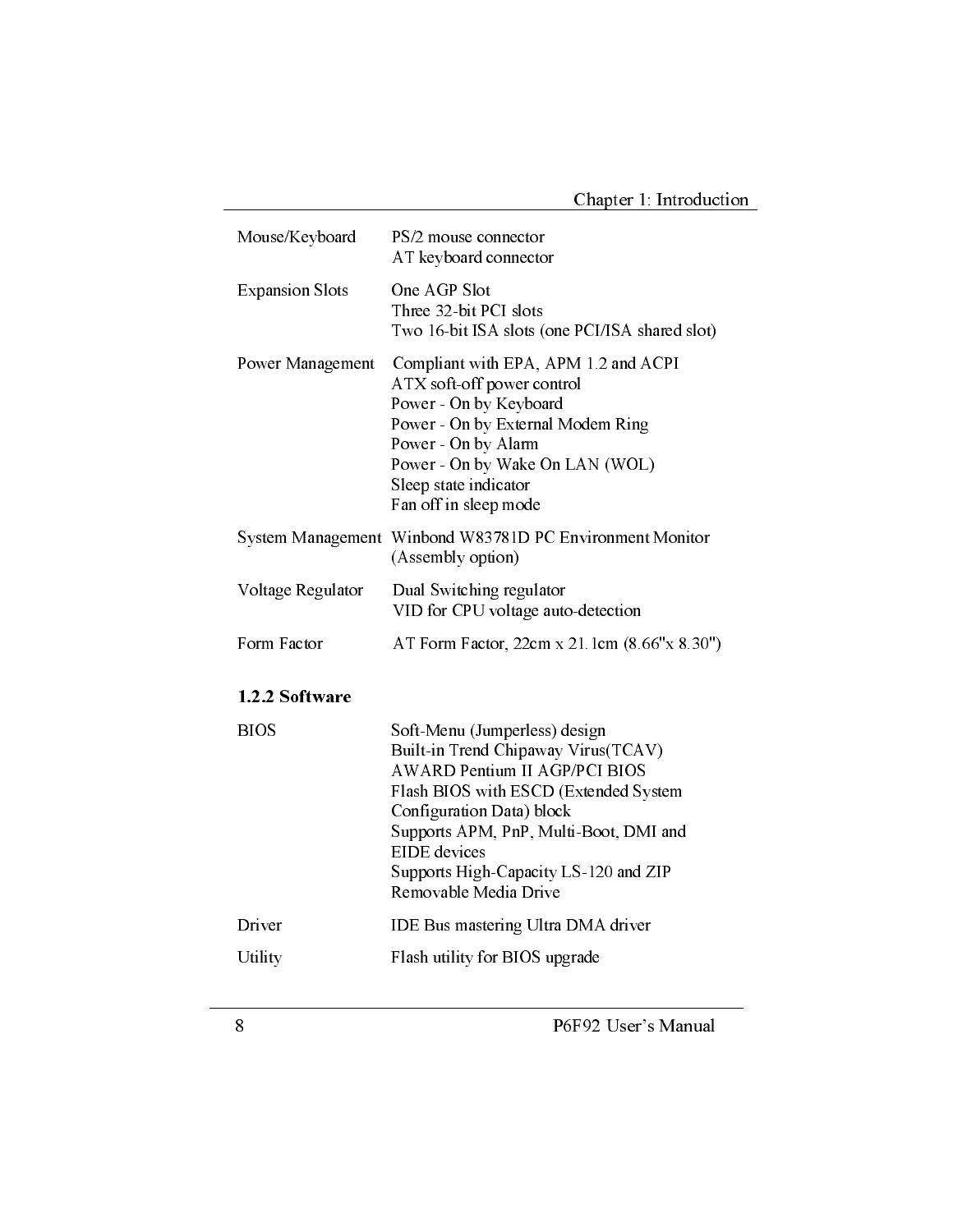| Mouse/Keyboard         | PS/2 mouse connector<br>AT keyboard connector                                                                                                                                                                                                                                                                  |
|------------------------|----------------------------------------------------------------------------------------------------------------------------------------------------------------------------------------------------------------------------------------------------------------------------------------------------------------|
| <b>Expansion Slots</b> | One AGP Slot<br>Three 32-bit PCI slots<br>Two 16-bit ISA slots (one PCI/ISA shared slot)                                                                                                                                                                                                                       |
| Power Management       | Compliant with EPA, APM 1.2 and ACPI<br>ATX soft-off power control<br>Power - On by Keyboard<br>Power - On by External Modem Ring<br>Power - On by Alarm<br>Power - On by Wake On LAN (WOL)<br>Sleep state indicator<br>Fan off in sleep mode                                                                  |
| System Management      | Winbond W83781D PC Environment Monitor<br>(Assembly option)                                                                                                                                                                                                                                                    |
| Voltage Regulator      | Dual Switching regulator<br>VID for CPU voltage auto-detection                                                                                                                                                                                                                                                 |
| Form Factor            | AT Form Factor, 22cm x 21.1cm (8.66"x 8.30")                                                                                                                                                                                                                                                                   |
| 1.2.2 Software         |                                                                                                                                                                                                                                                                                                                |
| <b>BIOS</b>            | Soft-Menu (Jumperless) design<br>Built-in Trend Chipaway Virus(TCAV)<br><b>AWARD Pentium II AGP/PCI BIOS</b><br>Flash BIOS with ESCD (Extended System<br>Configuration Data) block<br>Supports APM, PnP, Multi-Boot, DMI and<br>EIDE devices<br>Supports High-Capacity LS-120 and ZIP<br>Removable Media Drive |
| Driver                 | IDE Bus mastering Ultra DMA driver                                                                                                                                                                                                                                                                             |
| Utility                | Flash utility for BIOS upgrade                                                                                                                                                                                                                                                                                 |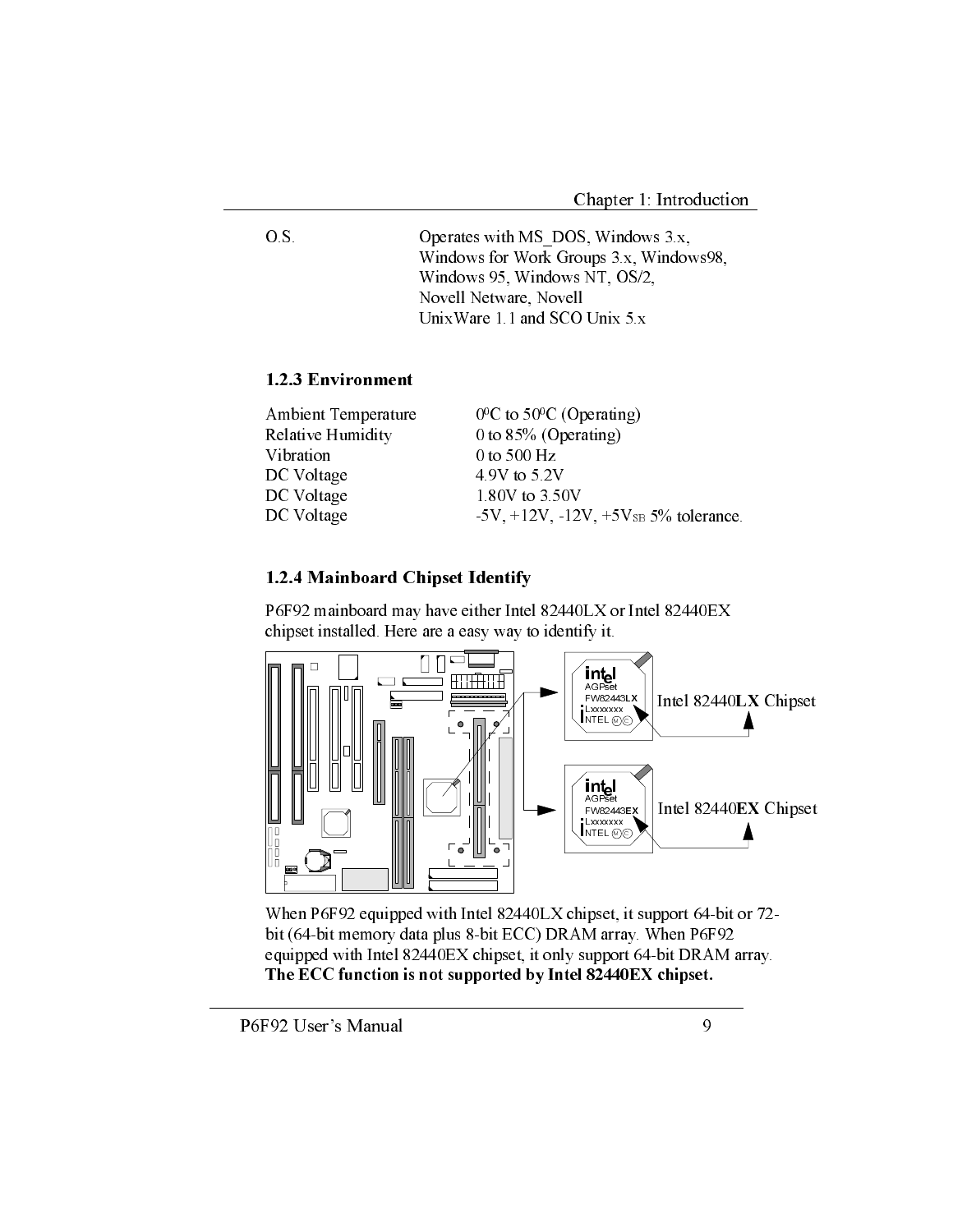$O.S.$ Operates with MS DOS, Windows 3.x, Windows for Work Groups 3.x, Windows98, Windows 95, Windows NT, OS/2, Novell Netware, Novell UnixWare 1.1 and SCO Unix 5.x

#### 1.2.3 Environment

| Ambient Temperature | $0^0$ C to 50 <sup>o</sup> C (Operating)           |
|---------------------|----------------------------------------------------|
| Relative Humidity   | 0 to $85\%$ (Operating)                            |
| Vibration           | 0 to 500 $Hz$                                      |
| DC Voltage          | 4.9V to 5.2V                                       |
| DC Voltage          | 1.80V to 3.50V                                     |
| DC Voltage          | $-5V$ , $+12V$ , $-12V$ , $+5V_{SB} 5%$ tolerance. |

#### 1.2.4 Mainboard Chipset Identify

P6F92 mainboard may have either Intel 82440LX or Intel 82440EX chipset installed. Here are a easy way to identify it.



When P6F92 equipped with Intel 82440LX chipset, it support 64-bit or 72bit (64-bit memory data plus 8-bit ECC) DRAM array. When P6F92 equipped with Intel 82440EX chipset, it only support 64-bit DRAM array. The ECC function is not supported by Intel 82440EX chipset.

P6F92 User's Manual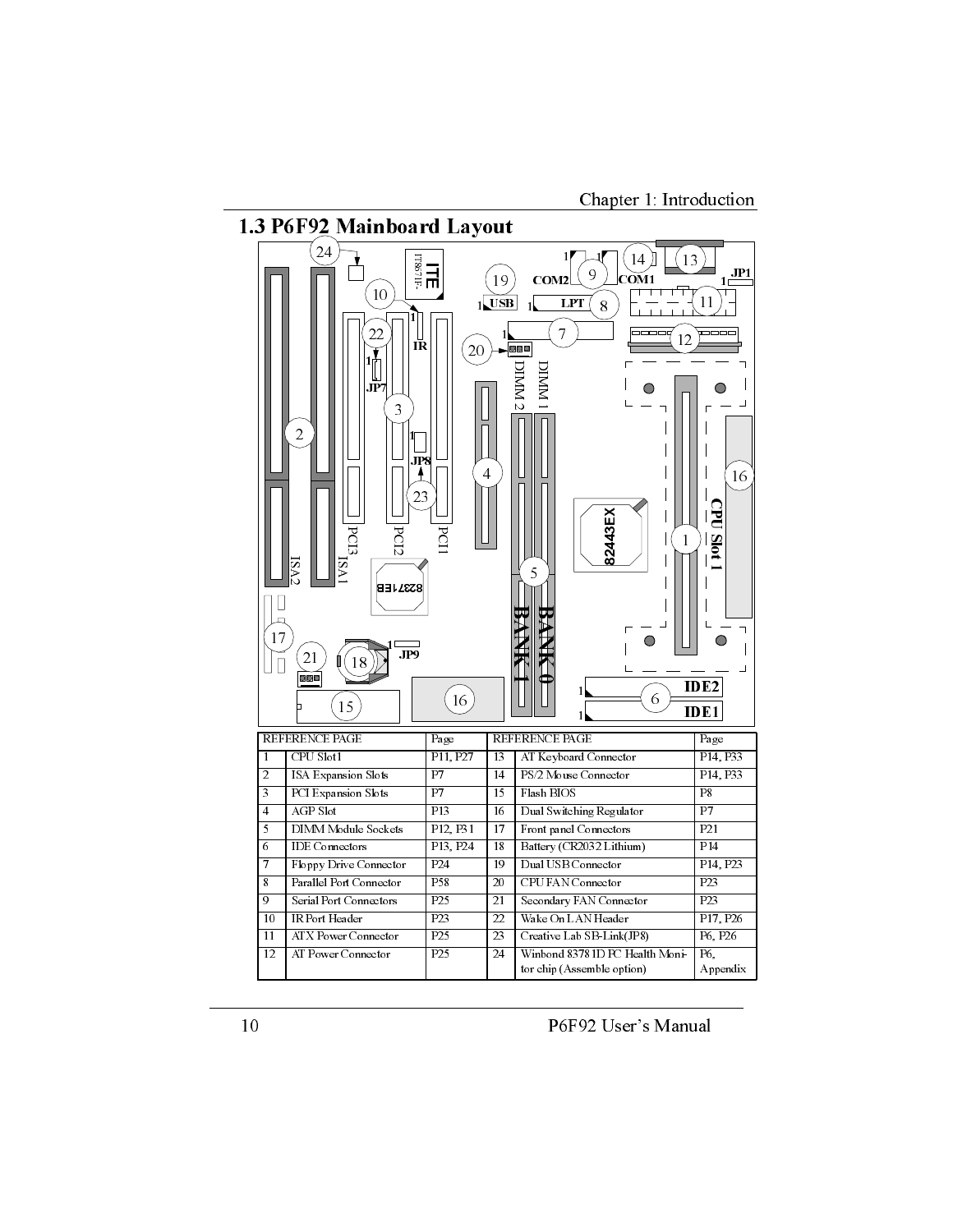Chapter 1: Introduction



P6F92 User's Manual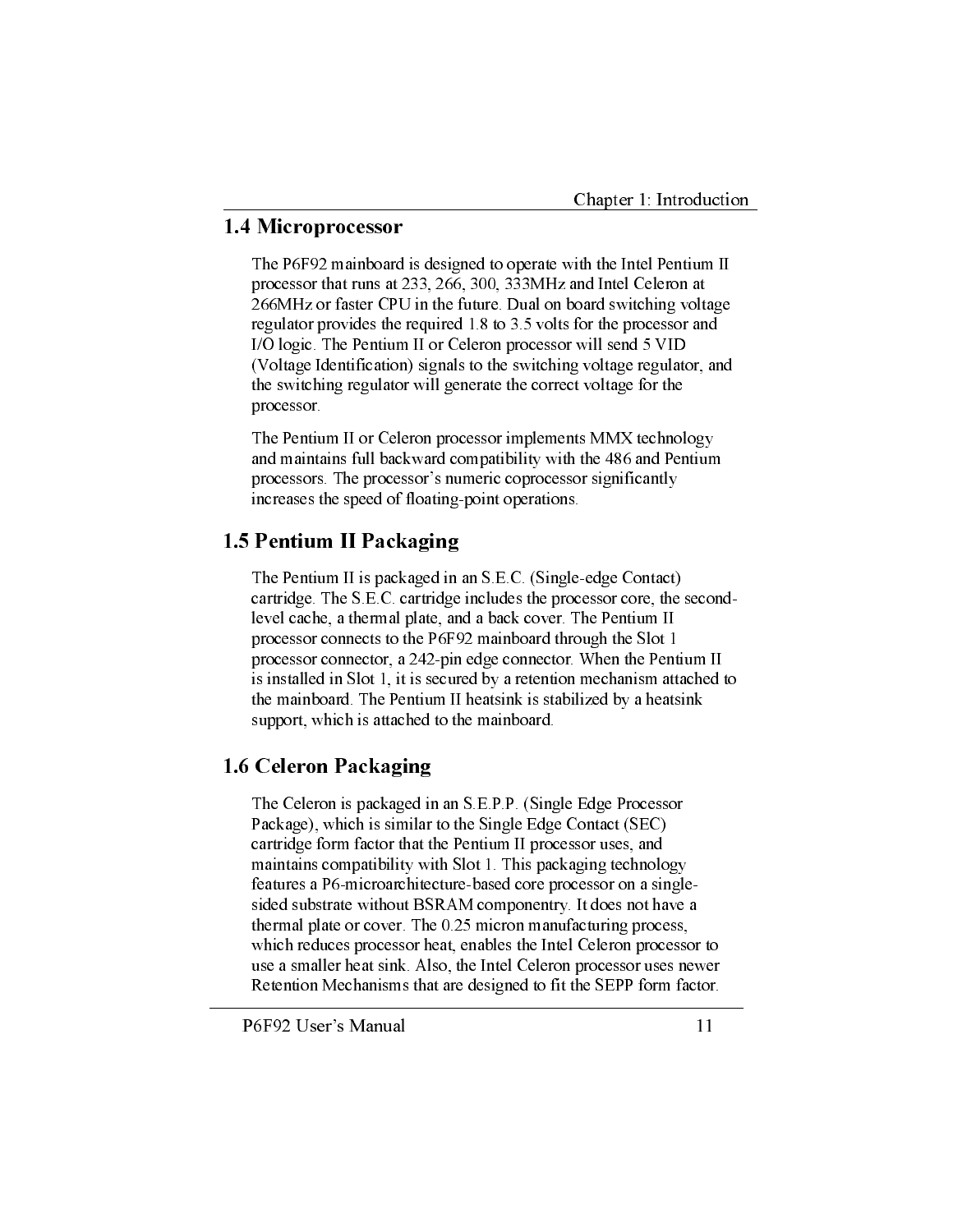### 1.4 Microprocessor

The P6F92 mainboard is designed to operate with the Intel Pentium II processor that runs at 233, 266, 300, 333MHz and Intel Celeron at 266MHz or faster CPU in the future. Dual on board switching voltage regulator provides the required 1.8 to 3.5 volts for the processor and I/O logic. The Pentium II or Celeron processor will send 5 VID (Voltage Identification) signals to the switching voltage regulator, and the switching regulator will generate the correct voltage for the processor.

The Pentium II or Celeron processor implements MMX technology and maintains full backward compatibility with the 486 and Pentium processors. The processor's numeric coprocessor significantly increases the speed of floating-point operations.

## 1.5 Pentium II Packaging

The Pentium II is packaged in an S.E.C. (Single-edge Contact) cartridge. The S.E.C. cartridge includes the processor core, the secondlevel cache, a thermal plate, and a back cover. The Pentium II processor connects to the P6F92 mainboard through the Slot 1 processor connector, a 242-pin edge connector. When the Pentium II is installed in Slot 1, it is secured by a retention mechanism attached to the mainboard. The Pentium II heatsink is stabilized by a heatsink support, which is attached to the mainboard.

## 1.6 Celeron Packaging

The Celeron is packaged in an S.E.P.P. (Single Edge Processor Package), which is similar to the Single Edge Contact (SEC) cartridge form factor that the Pentium II processor uses, and maintains compatibility with Slot 1. This packaging technology features a P6-microarchitecture-based core processor on a singlesided substrate without BSRAM componentry. It does not have a thermal plate or cover. The 0.25 micron manufacturing process, which reduces processor heat, enables the Intel Celeron processor to use a smaller heat sink. Also, the Intel Celeron processor uses newer Retention Mechanisms that are designed to fit the SEPP form factor.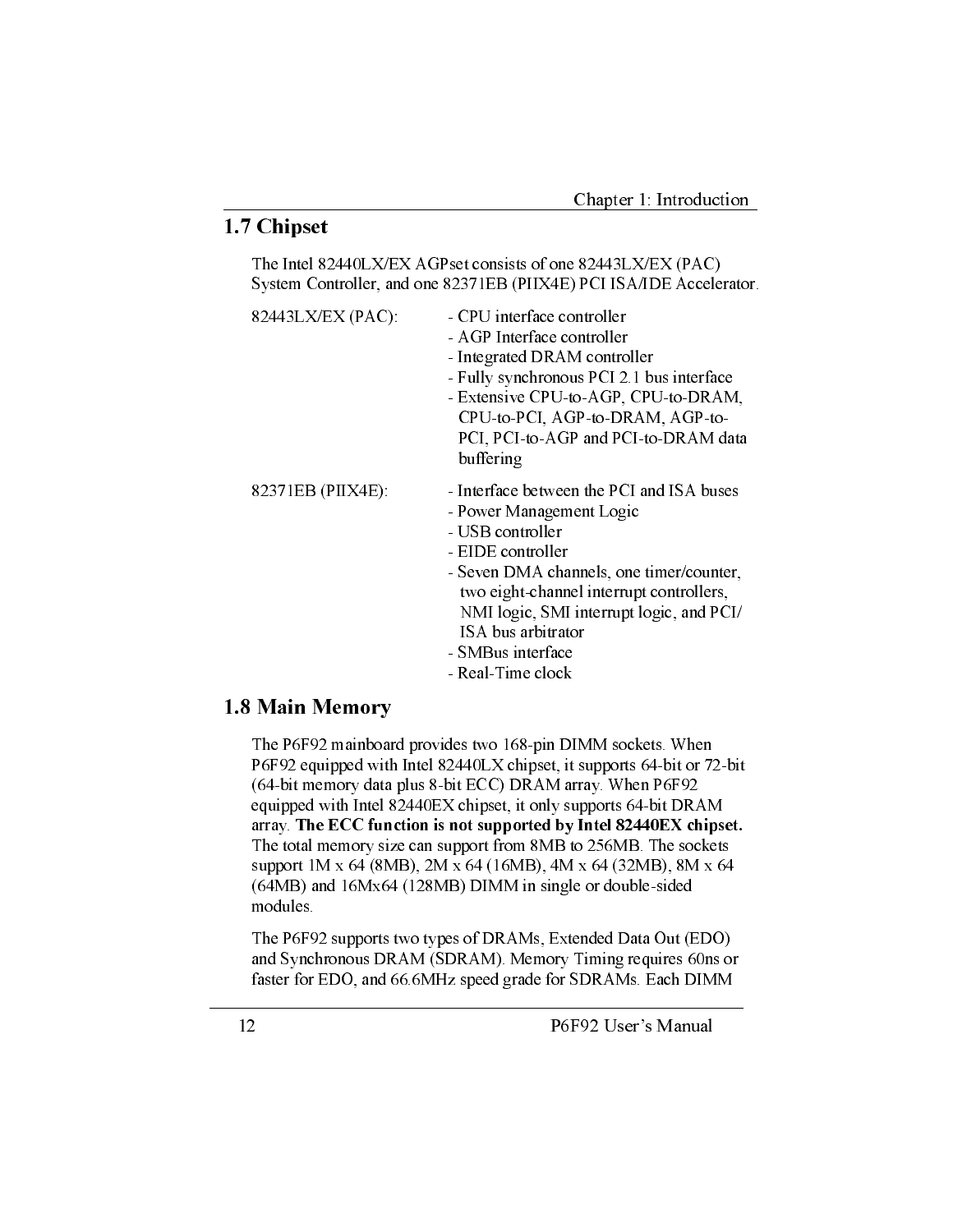## 1.7 Chipset

The Intel 82440LX/EX AGPset consists of one 82443LX/EX (PAC) System Controller, and one 82371EB (PIIX4E) PCI ISA/IDE Accelerator.

| 82443LX/EX (PAC): | - CPU interface controller<br>- AGP Interface controller<br>- Integrated DRAM controller<br>- Fully synchronous PCI 2.1 bus interface<br>- Extensive CPU-to-AGP, CPU-to-DRAM,<br>CPU-to-PCI, AGP-to-DRAM, AGP-to-<br>PCI, PCI-to-AGP and PCI-to-DRAM data<br>buffering                                             |
|-------------------|--------------------------------------------------------------------------------------------------------------------------------------------------------------------------------------------------------------------------------------------------------------------------------------------------------------------|
| 82371EB (PIIX4E): | - Interface between the PCI and ISA buses<br>- Power Management Logic<br>- USB controller<br>- EIDE controller<br>- Seven DMA channels, one timer/counter,<br>two eight-channel interrupt controllers,<br>NMI logic, SMI interrupt logic, and PCI/<br>ISA bus arbitrator<br>- SMBus interface<br>- Real-Time clock |

#### 1.8 Main Memory

The P6F92 mainboard provides two 168-pin DIMM sockets. When P6F92 equipped with Intel 82440LX chipset, it supports 64-bit or 72-bit (64-bit memory data plus 8-bit ECC) DRAM array. When P6F92 equipped with Intel 82440EX chipset, it only supports 64-bit DRAM array. The ECC function is not supported by Intel 82440EX chipset. The total memory size can support from 8MB to 256MB. The sockets support 1M x 64 (8MB), 2M x 64 (16MB), 4M x 64 (32MB), 8M x 64 (64MB) and 16Mx64 (128MB) DIMM in single or double-sided modules.

The P6F92 supports two types of DRAMs, Extended Data Out (EDO) and Synchronous DRAM (SDRAM). Memory Timing requires 60ns or faster for EDO, and 66.6MHz speed grade for SDRAMs. Each DIMM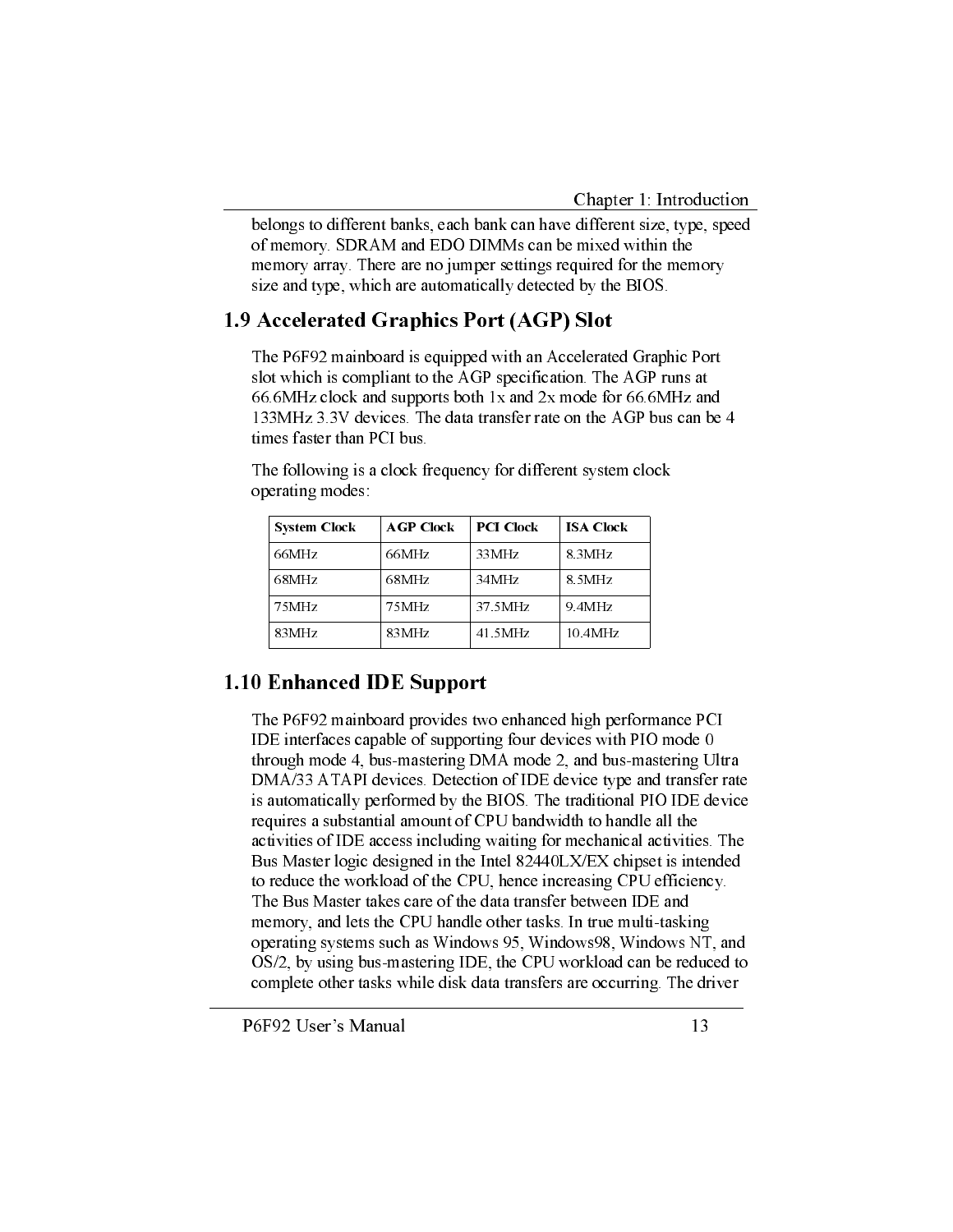belongs to different banks, each bank can have different size, type, speed of memory. SDRAM and EDO DIMMs can be mixed within the memory array. There are no jumper settings required for the memory size and type, which are automatically detected by the BIOS.

## 1.9 Accelerated Graphics Port (AGP) Slot

The P6F92 mainboard is equipped with an Accelerated Graphic Port slot which is compliant to the AGP specification. The AGP runs at 66.6MHz clock and supports both 1x and 2x mode for 66.6MHz and 133MHz 3.3V devices. The data transfer rate on the AGP bus can be 4 times faster than PCI bus

| <b>System Clock</b> | <b>AGP</b> Clock | <b>PCI Clock</b> | <b>ISA Clock</b> |
|---------------------|------------------|------------------|------------------|
| 66MHz               | 66MHz            | 33MHz            | 8.3MHz           |
| 68MHz               | 68 MHz           | 34MHz            | 8.5MHz           |
| 75MHz               | 75 MHz           | 37.5MHz          | 9.4MHz           |
| 83MHz               | 83MHz            | 41.5MHz          | 10.4MHz          |

The following is a clock frequency for different system clock operating modes:

## 1.10 Enhanced IDE Support

The P6F92 mainboard provides two enhanced high performance PCI IDE interfaces capable of supporting four devices with PIO mode 0 through mode 4, bus-mastering DMA mode 2, and bus-mastering Ultra DMA/33 ATAPI devices. Detection of IDE device type and transfer rate is automatically performed by the BIOS. The traditional PIO IDE device requires a substantial amount of CPU bandwidth to handle all the activities of IDE access including waiting for mechanical activities. The Bus Master logic designed in the Intel 82440LX/EX chipset is intended to reduce the workload of the CPU, hence increasing CPU efficiency. The Bus Master takes care of the data transfer between IDE and memory, and lets the CPU handle other tasks. In true multi-tasking operating systems such as Windows 95, Windows 98, Windows NT, and OS/2, by using bus-mastering IDE, the CPU workload can be reduced to complete other tasks while disk data transfers are occurring. The driver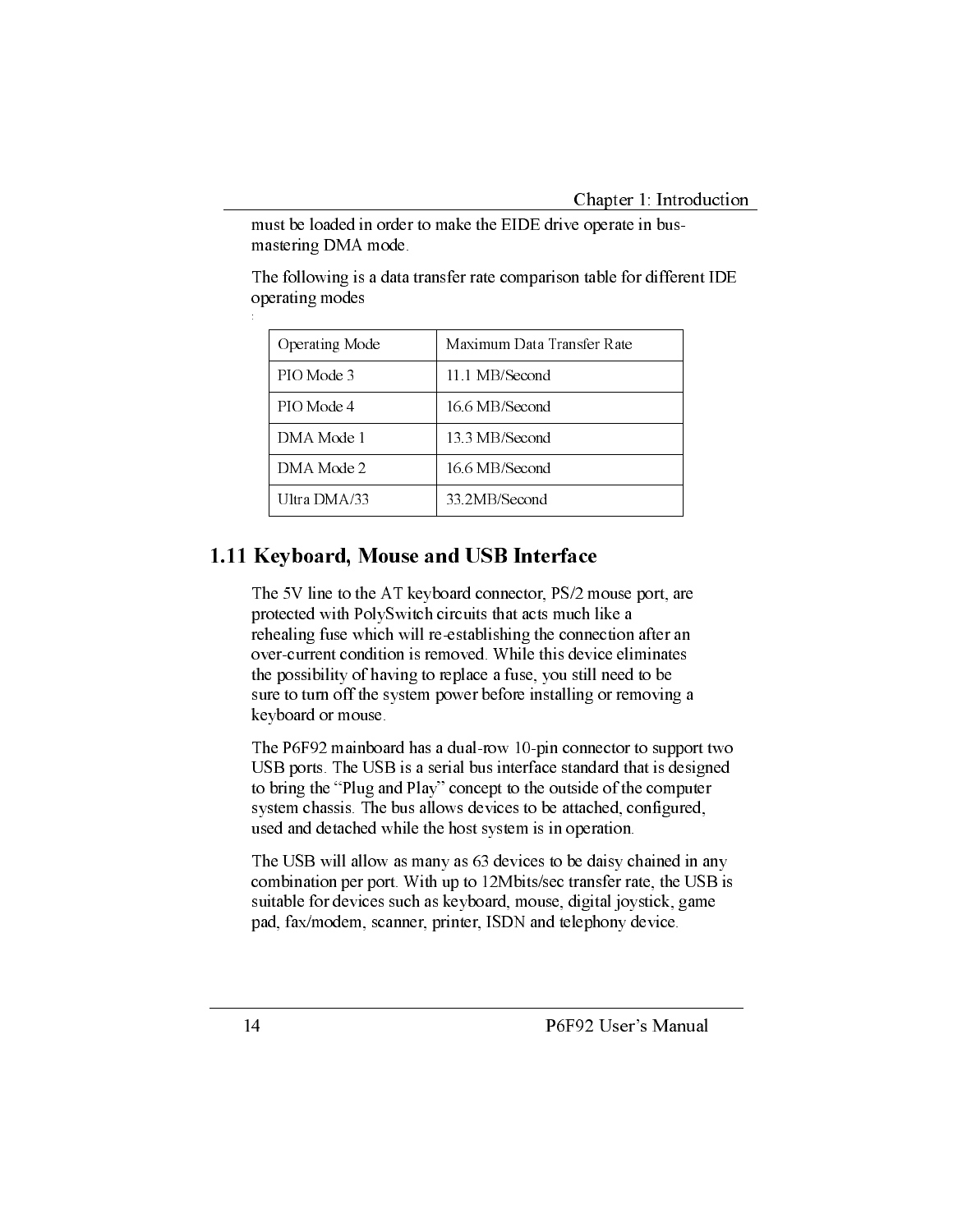must be loaded in order to make the EIDE drive operate in busmastering DMA mode.

| Operating Mode | Maximum Data Transfer Rate |
|----------------|----------------------------|
| PIO Mode 3     | 11.1 MB/Second             |
| PIO Mode 4     | 16.6 MB/Second             |
| DMA Mode 1     | 13.3 MB/Second             |
| DMA Mode 2     | 16.6 MB/Second             |
| Ultra DMA/33   | 33.2MB/Second              |

The following is a data transfer rate comparison table for different IDE operating modes

## 1.11 Keyboard, Mouse and USB Interface

The 5V line to the AT keyboard connector, PS/2 mouse port, are protected with PolySwitch circuits that acts much like a rehealing fuse which will re-establishing the connection after an over-current condition is removed. While this device eliminates the possibility of having to replace a fuse, you still need to be sure to turn off the system power before installing or removing a keyboard or mouse.

The P6F92 mainboard has a dual-row 10-pin connector to support two USB ports. The USB is a serial bus interface standard that is designed to bring the "Plug and Play" concept to the outside of the computer system chassis. The bus allows devices to be attached, configured, used and detached while the host system is in operation.

The USB will allow as many as 63 devices to be daisy chained in any combination per port. With up to 12Mbits/sec transfer rate, the USB is suitable for devices such as keyboard, mouse, digital joystick, game pad, fax/modem, scanner, printer, ISDN and telephony device.

 $\frac{1}{2}$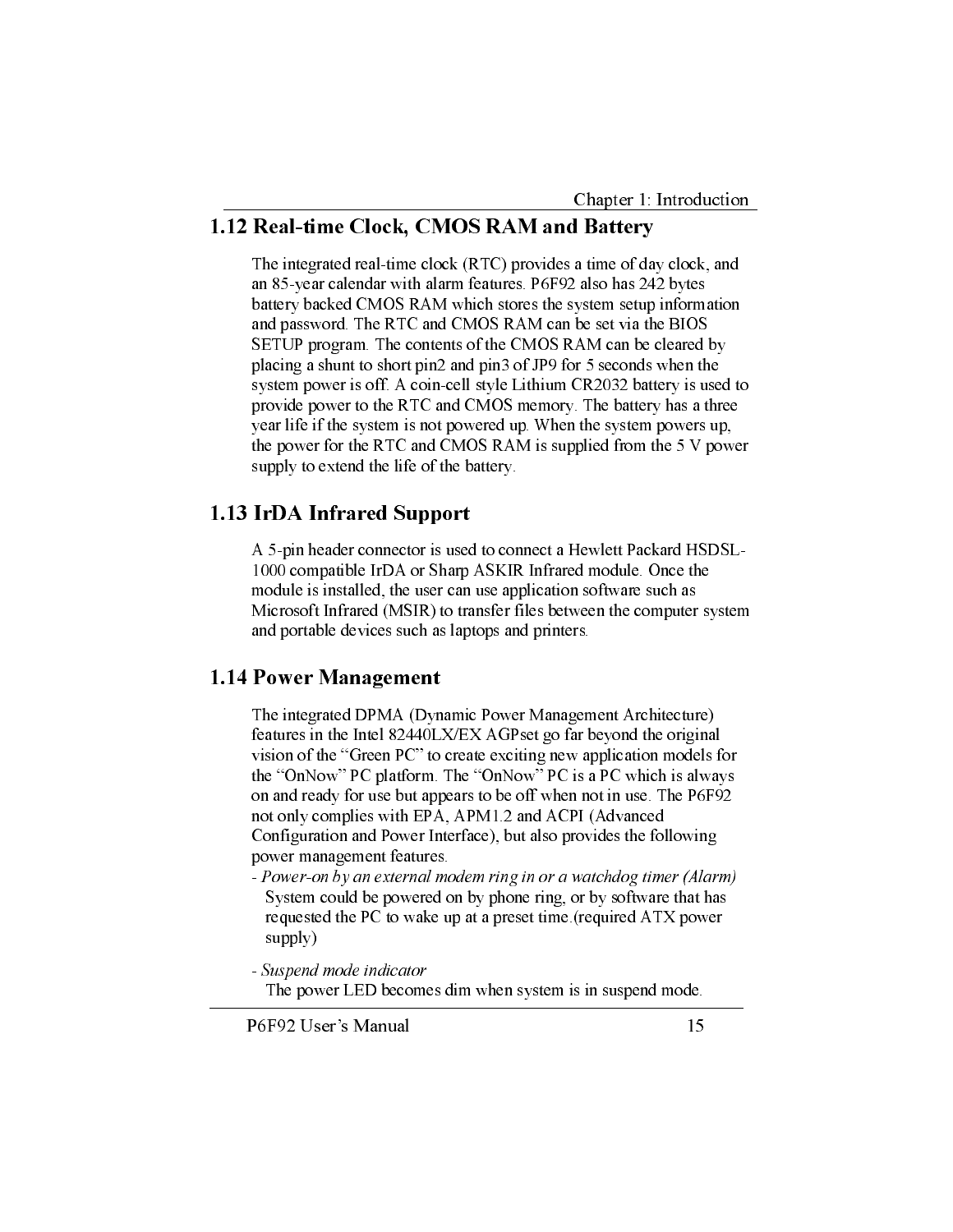#### 1.12 Real-time Clock, CMOS RAM and Battery

The integrated real-time clock (RTC) provides a time of day clock, and an 85-year calendar with alarm features. P6F92 also has 242 bytes battery backed CMOS RAM which stores the system setup information and password. The RTC and CMOS RAM can be set via the BIOS SETUP program. The contents of the CMOS RAM can be cleared by placing a shunt to short pin2 and pin3 of JP9 for 5 seconds when the system power is off. A coin-cell style Lithium CR2032 battery is used to provide power to the RTC and CMOS memory. The battery has a three year life if the system is not powered up. When the system powers up, the power for the RTC and CMOS RAM is supplied from the 5 V power supply to extend the life of the battery.

### 1.13 IrDA Infrared Support

A 5-pin header connector is used to connect a Hewlett Packard HSDSL-1000 compatible IrDA or Sharp ASKIR Infrared module. Once the module is installed, the user can use application software such as Microsoft Infrared (MSIR) to transfer files between the computer system and portable devices such as laptops and printers.

#### 1.14 Power Management

The integrated DPMA (Dynamic Power Management Architecture) features in the Intel 82440LX/EX AGPset go far beyond the original vision of the "Green PC" to create exciting new application models for the "OnNow" PC platform. The "OnNow" PC is a PC which is always on and ready for use but appears to be off when not in use. The P6F92 not only complies with EPA, APM1.2 and ACPI (Advanced Configuration and Power Interface), but also provides the following power management features.

- Power-on by an external modem ring in or a watchdog timer (Alarm) System could be powered on by phone ring, or by software that has requested the PC to wake up at a preset time (required ATX power supply)
- Suspend mode indicator The power LED becomes dim when system is in suspend mode.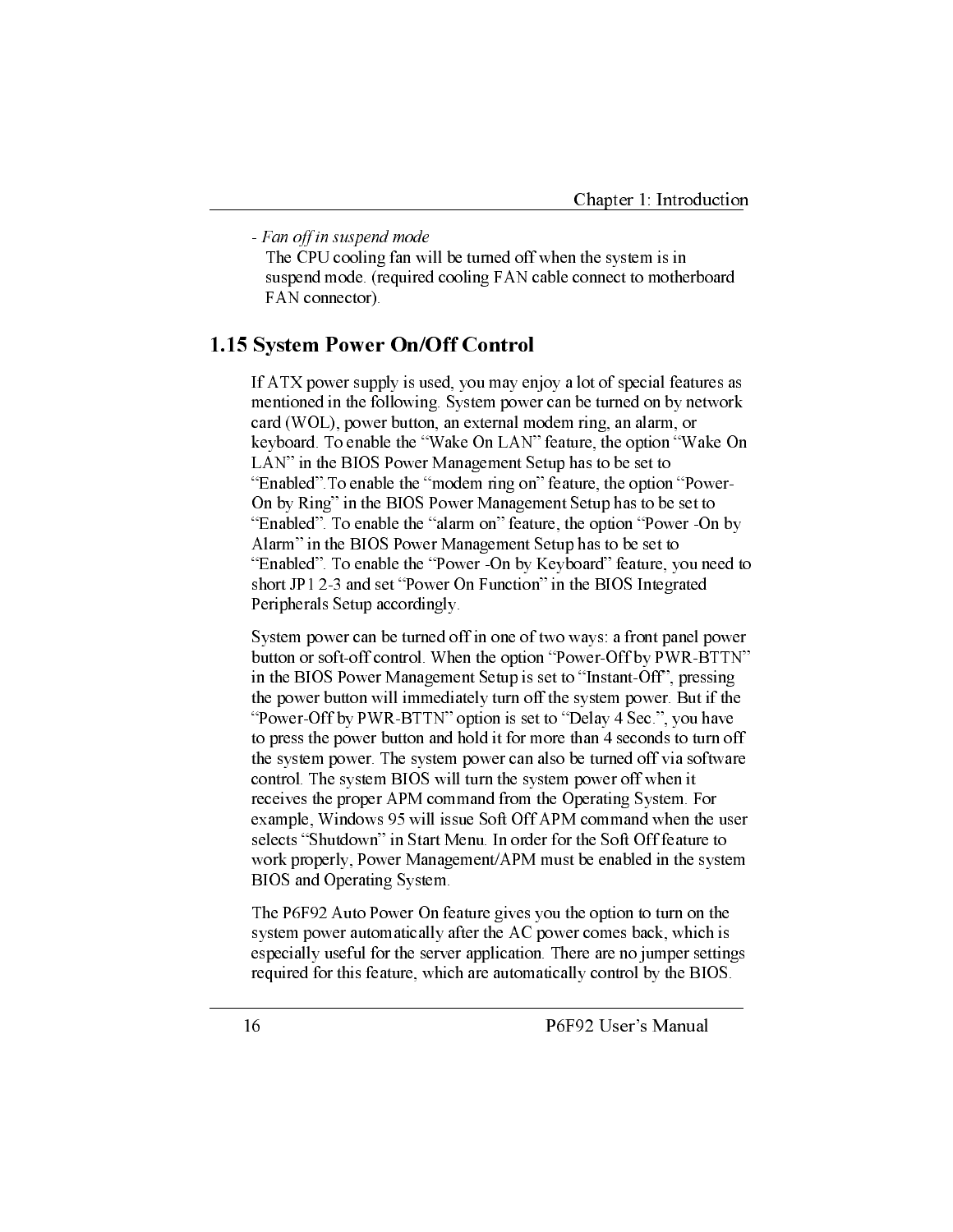- Fan off in suspend mode

The CPU cooling fan will be turned off when the system is in suspend mode. (required cooling FAN cable connect to motherboard FAN connector).

#### 1.15 System Power On/Off Control

If ATX power supply is used, you may enjoy a lot of special features as mentioned in the following. System power can be turned on by network card (WOL), power button, an external modem ring, an alarm, or keyboard. To enable the "Wake On LAN" feature, the option "Wake On LAN" in the BIOS Power Management Setup has to be set to "Enabled" To enable the "modem ring on" feature, the option "Power-On by Ring" in the BIOS Power Management Setup has to be set to "Enabled". To enable the "alarm on" feature, the option "Power -On by Alarm" in the BIOS Power Management Setup has to be set to "Enabled". To enable the "Power -On by Keyboard" feature, you need to short JP1 2-3 and set "Power On Function" in the BIOS Integrated Peripherals Setup accordingly.

System power can be turned off in one of two ways: a front panel power button or soft-off control. When the option "Power-Off by PWR-BTTN" in the BIOS Power Management Setup is set to "Instant-Off", pressing the power button will immediately turn off the system power. But if the "Power-Off by PWR-BTTN" option is set to "Delay 4 Sec.", you have to press the power button and hold it for more than 4 seconds to turn off the system power. The system power can also be turned off via software control. The system BIOS will turn the system power off when it receives the proper APM command from the Operating System. For example, Windows 95 will issue Soft Off APM command when the user selects "Shutdown" in Start Menu. In order for the Soft Off feature to work properly, Power Management/APM must be enabled in the system BIOS and Operating System.

The P6F92 Auto Power On feature gives you the option to turn on the system power automatically after the AC power comes back, which is especially useful for the server application. There are no jumper settings required for this feature, which are automatically control by the BIOS.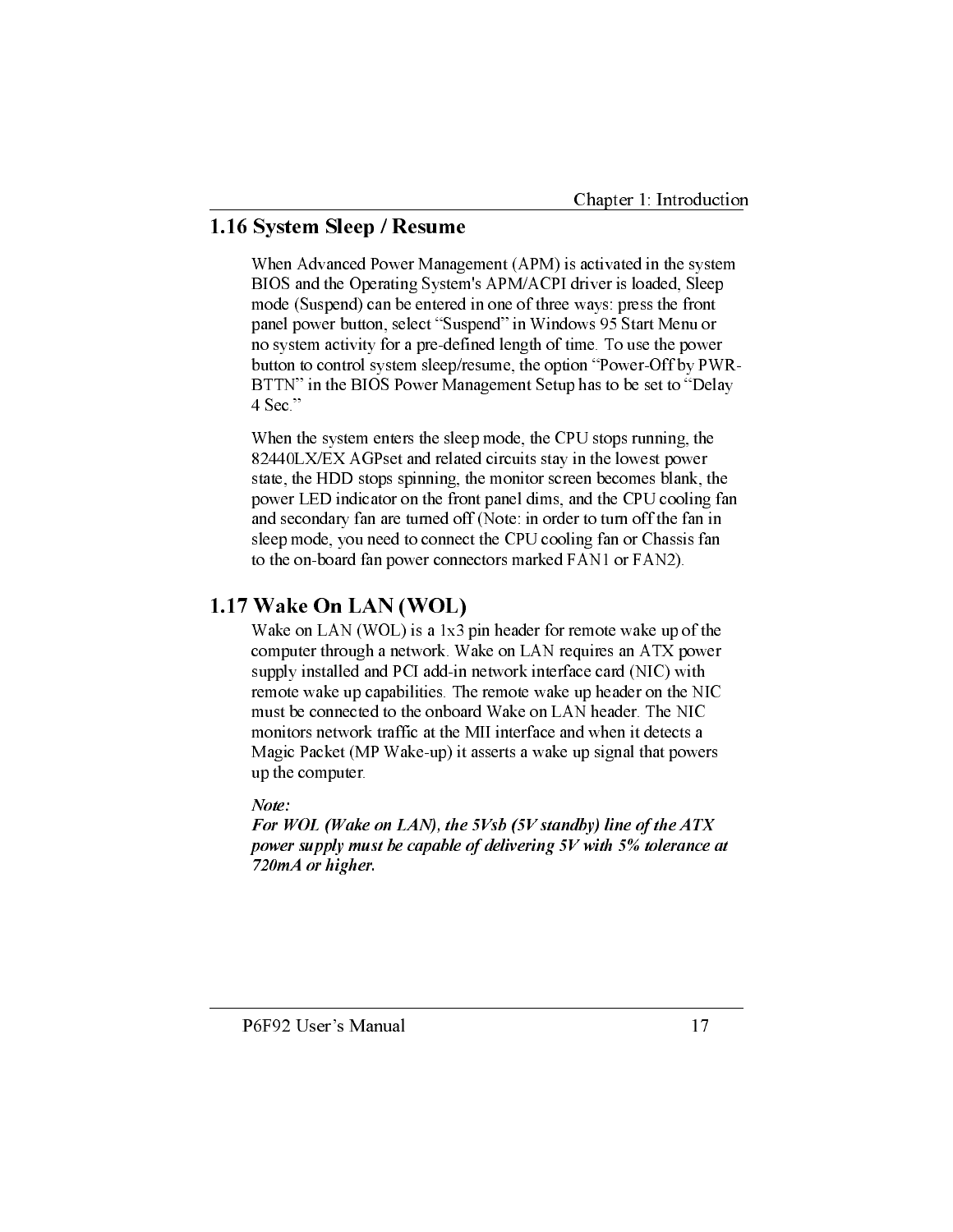### 1.16 System Sleep / Resume

When Advanced Power Management (APM) is activated in the system BIOS and the Operating System's APM/ACPI driver is loaded, Sleep mode (Suspend) can be entered in one of three ways: press the front panel power button, select "Suspend" in Windows 95 Start Menu or no system activity for a pre-defined length of time. To use the power button to control system sleep/resume, the option "Power-Off by PWR-BTTN" in the BIOS Power Management Setup has to be set to "Delay 4 Sec."

When the system enters the sleep mode, the CPU stops running, the 82440LX/EX AGPset and related circuits stay in the lowest power state, the HDD stops spinning, the monitor screen becomes blank, the power LED indicator on the front panel dims, and the CPU cooling fan and secondary fan are turned off (Note: in order to turn off the fan in sleep mode, you need to connect the CPU cooling fan or Chassis fan to the on-board fan power connectors marked FAN1 or FAN2).

## 1.17 Wake On LAN (WOL)

Wake on LAN (WOL) is a 1x3 pin header for remote wake up of the computer through a network. Wake on LAN requires an ATX power supply installed and PCI add-in network interface card (NIC) with remote wake up capabilities. The remote wake up header on the NIC must be connected to the onboard Wake on LAN header. The NIC monitors network traffic at the MII interface and when it detects a Magic Packet (MP Wake-up) it asserts a wake up signal that powers up the computer.

#### Note:

For WOL (Wake on LAN), the 5Vsb (5V standby) line of the ATX power supply must be capable of delivering 5V with 5% tolerance at 720mA or higher.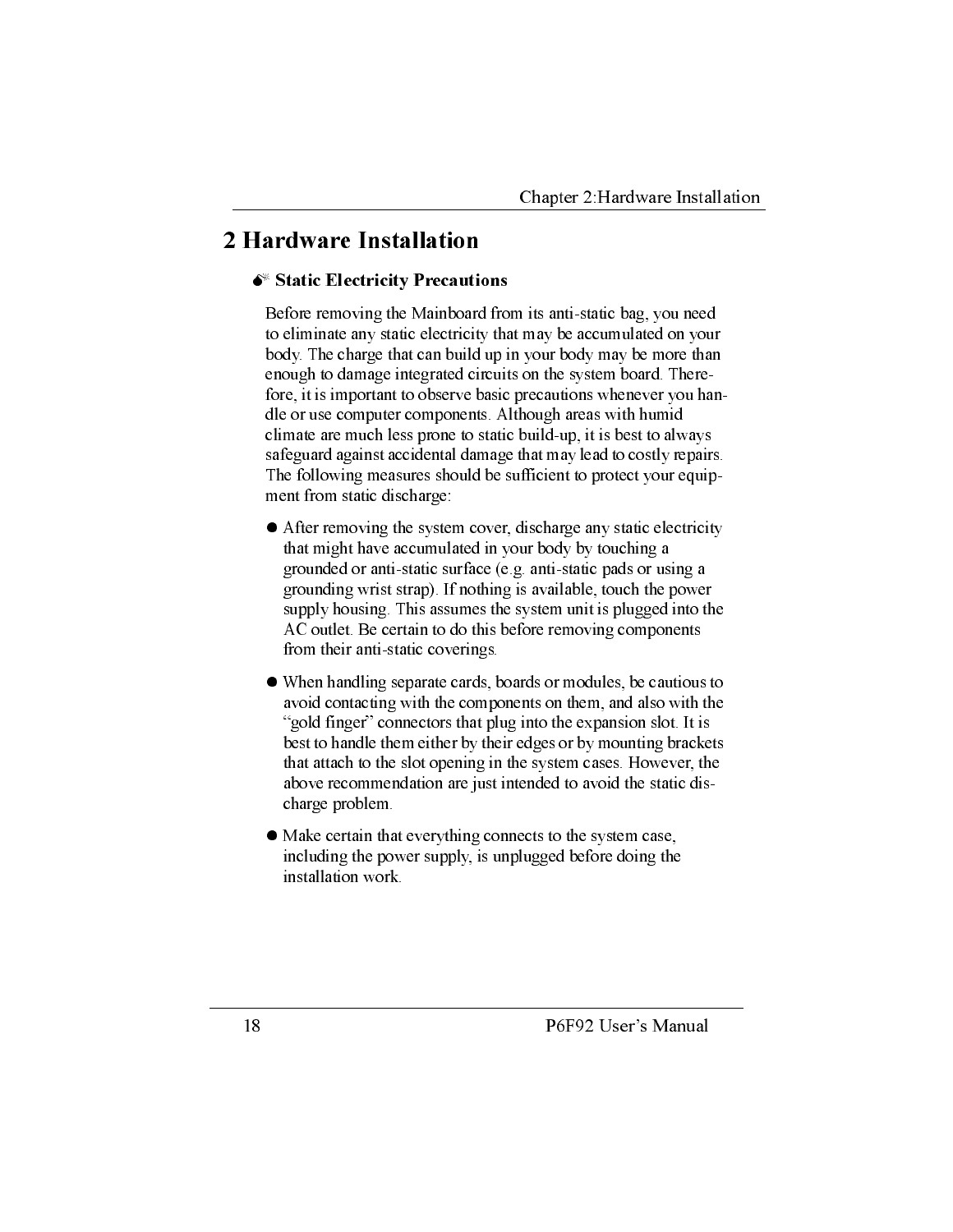## 2 Hardware Installation

#### Static Electricity Precautions

Before removing the Mainboard from its anti-static bag, you need to eliminate any static electricity that may be accumulated on your body. The charge that can build up in your body may be more than enough to damage integrated circuits on the system board. Therefore, it is important to observe basic precautions whenever you handle or use computer components. Although areas with humid climate are much less prone to static build-up, it is best to always safeguard against accidental damage that may lead to costly repairs. The following measures should be sufficient to protect your equipment from static discharge:

- After removing the system cover, discharge any static electricity that might have accumulated in your body by touching a grounded or anti-static surface (e.g. anti-static pads or using a grounding wrist strap). If nothing is available, touch the power supply housing. This assumes the system unit is plugged into the AC outlet. Be certain to do this before removing components from their anti-static coverings.
- When handling separate cards, boards or modules, be cautious to avoid contacting with the components on them, and also with the "gold finger" connectors that plug into the expansion slot. It is best to handle them either by their edges or by mounting brackets that attach to the slot opening in the system cases. However, the above recommendation are just intended to avoid the static discharge problem.
- Make certain that everything connects to the system case, including the power supply, is unplugged before doing the installation work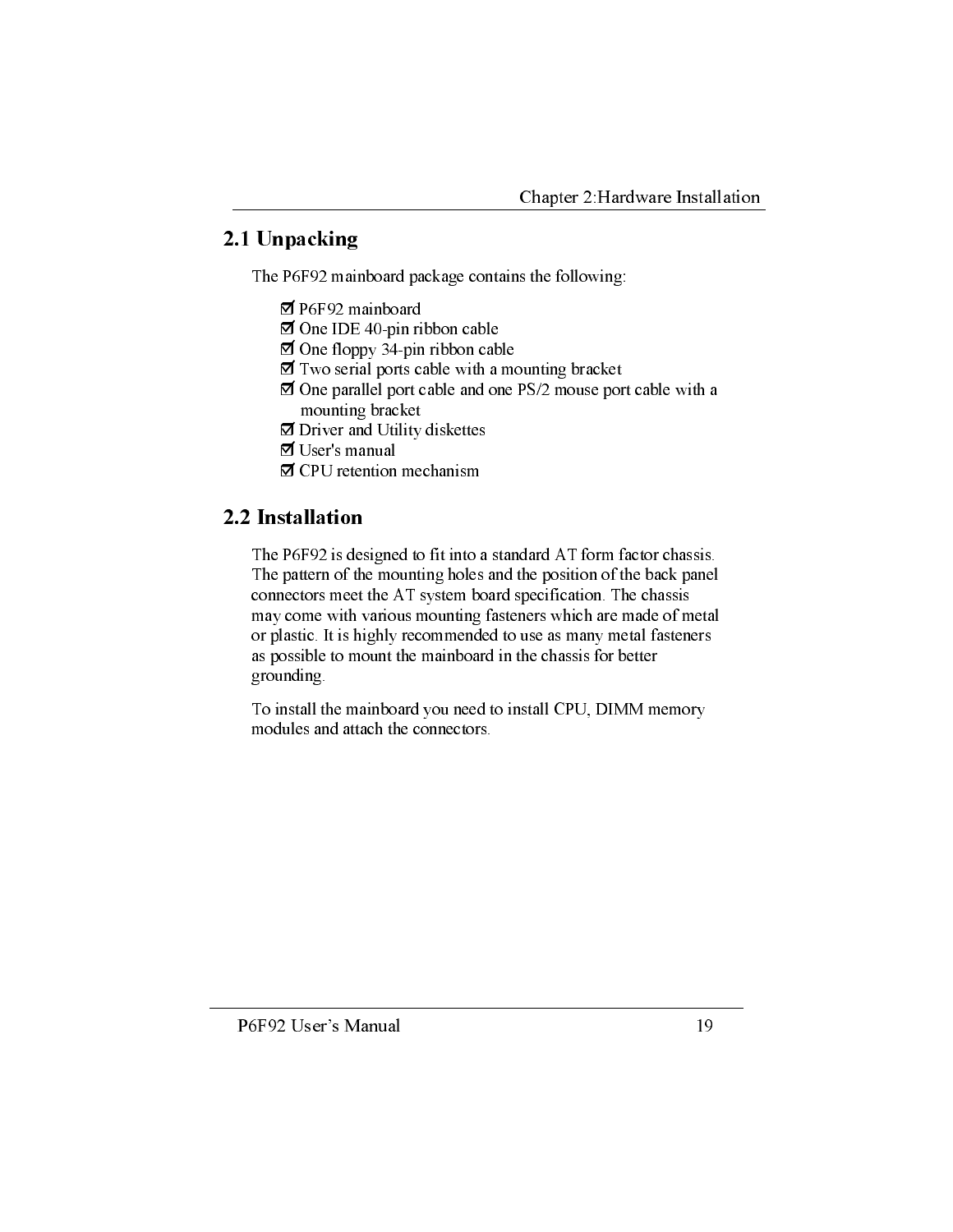## 2.1 Unpacking

The P6F92 mainboard package contains the following:

- $\boxtimes$  P6F92 mainboard
- $\Box$  One IDE 40-pin ribbon cable
- $\Box$  One floppy 34-pin ribbon cable
- $\Box$  Two serial ports cable with a mounting bracket
- $\overline{2}$  One parallel port cable and one PS/2 mouse port cable with a mounting bracket
- ◘ Driver and Utility diskettes
- Ø User's manual
- ☑ CPU retention mechanism

## 2.2 Installation

The P6F92 is designed to fit into a standard AT form factor chassis. The pattern of the mounting holes and the position of the back panel connectors meet the AT system board specification. The chassis may come with various mounting fasteners which are made of metal or plastic. It is highly recommended to use as many metal fasteners as possible to mount the mainboard in the chassis for better grounding.

To install the mainboard you need to install CPU, DIMM memory modules and attach the connectors.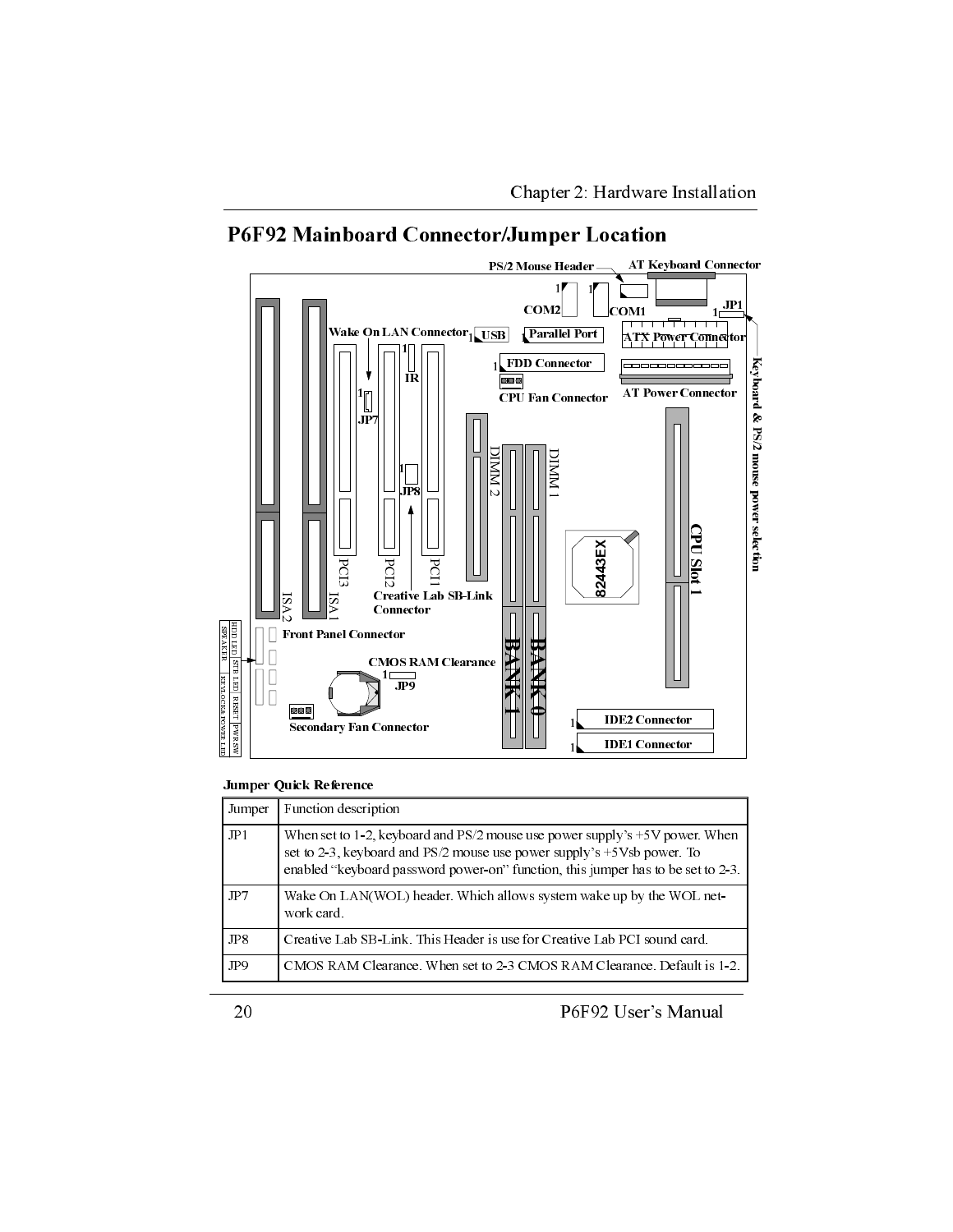

## P6F92 Mainboard Connector/Jumper Location

#### Jumper Quick Reference

| Jumper | Function description                                                                                                                                                                                                                          |
|--------|-----------------------------------------------------------------------------------------------------------------------------------------------------------------------------------------------------------------------------------------------|
| JPI    | When set to 1-2, keyboard and $PS/2$ mouse use power supply's $+5V$ power When<br>set to 2-3, keyboard and PS/2 mouse use power supply's +5 Vsb power. To<br>enabled "keyboard password power-on" function, this jumper has to be set to 2-3. |
| JP7    | Wake On $LAN(WOL)$ header Which allows system wake up by the WOL net-<br>work card.                                                                                                                                                           |
| JP8    | Creative Lab SB-Link This Header is use for Creative Lab PCI sound card.                                                                                                                                                                      |
| JP9    | CMOS RAM Clearance When set to 2-3 CMOS RAM Clearance Default is 1-2                                                                                                                                                                          |

P6F92 User's Manual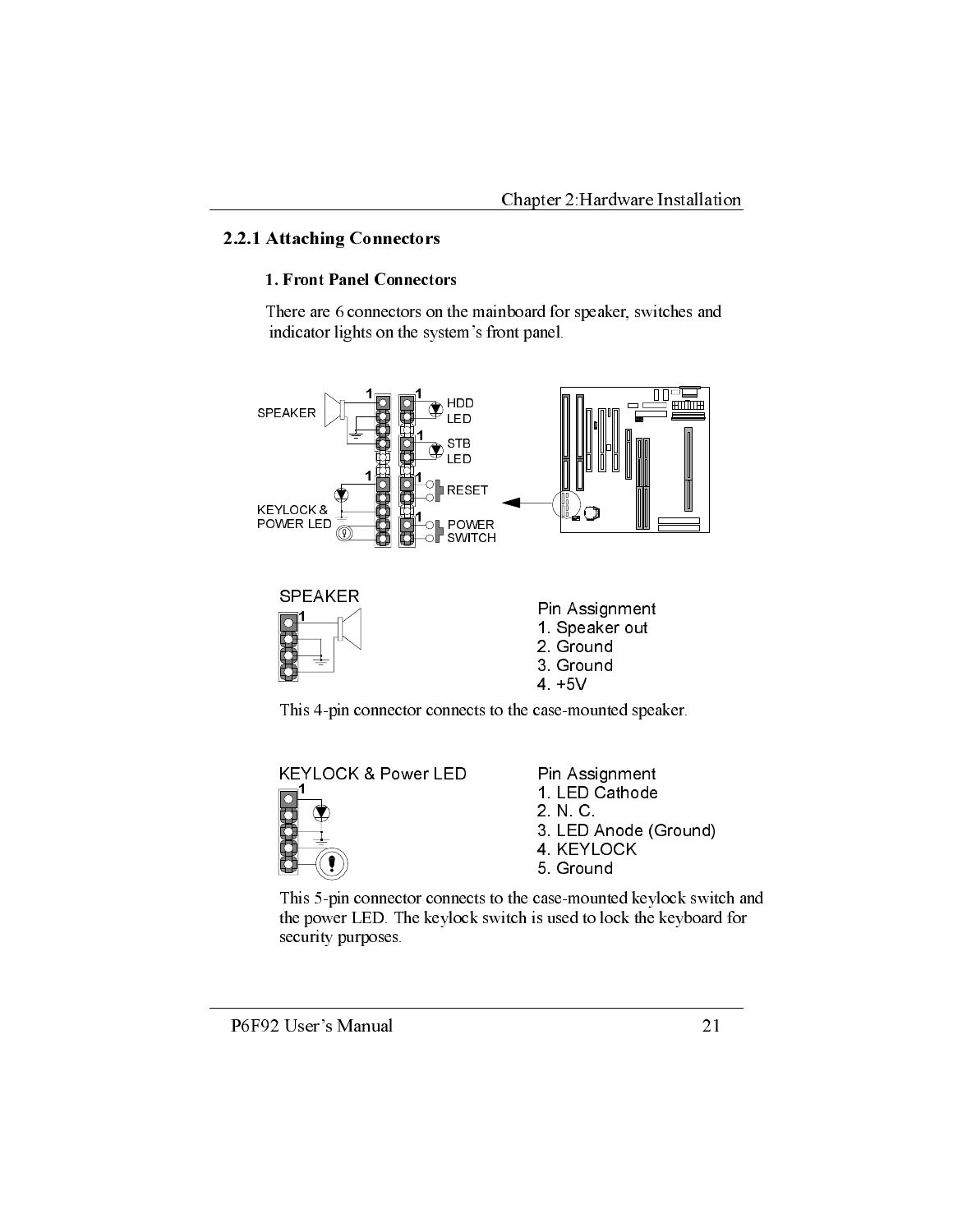### 2.2.1 Attaching Connectors

#### 1. Front Panel Connectors

There are 6 connectors on the mainboard for speaker, switches and indicator lights on the system's front panel.



This 4-pin connector connects to the case-mounted speaker.



This 5-pin connector connects to the case-mounted keylock switch and the power LED. The keylock switch is used to lock the keyboard for security purposes.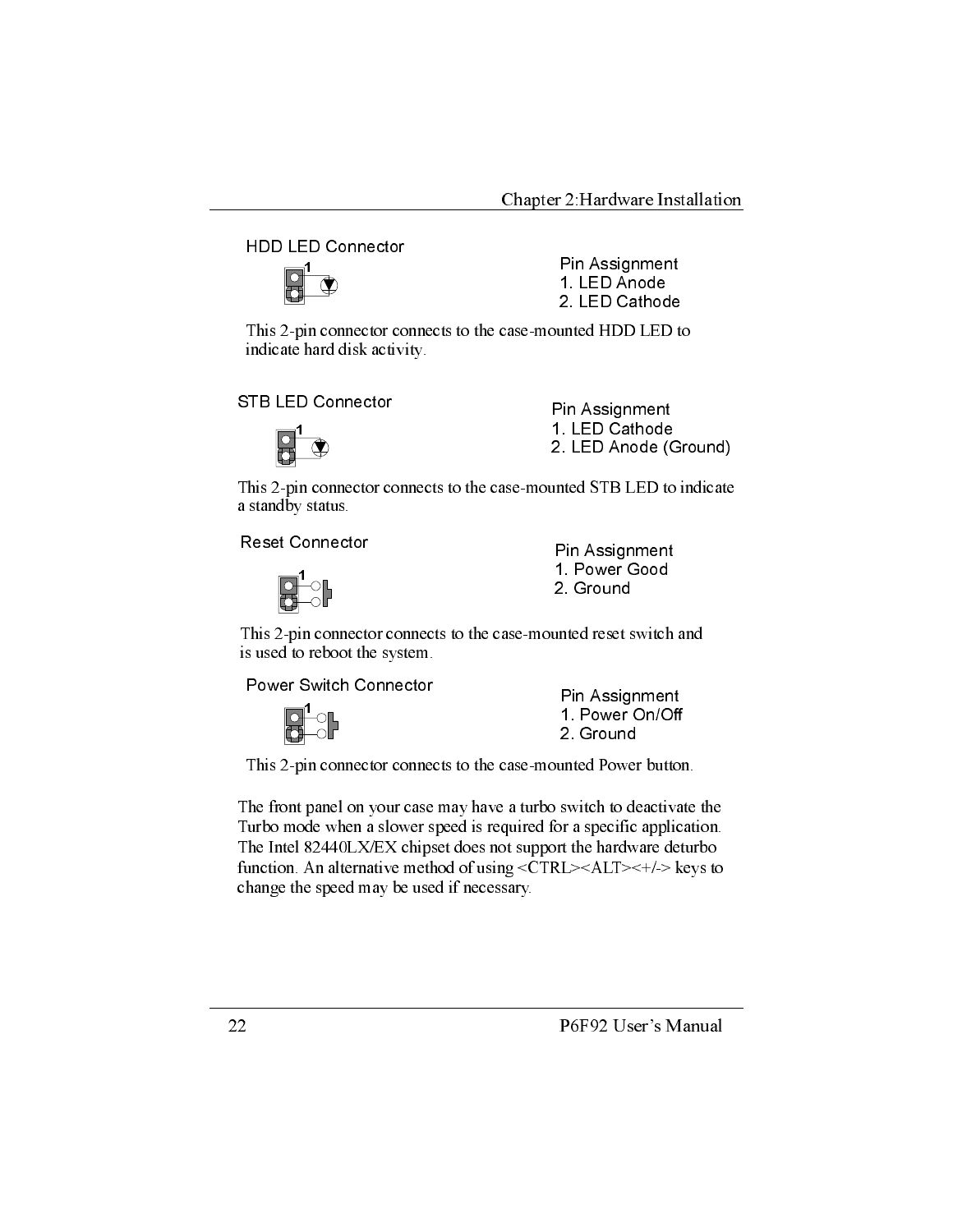**HDD LED Connector** 



Pin Assignment 1. LED Anode 2. LED Cathode

This 2-pin connector connects to the case-mounted HDD LED to indicate hard disk activity.

**STB LED Connector** 



Pin Assignment 1. LED Cathode 2. LED Anode (Ground)

This 2-pin connector connects to the case-mounted STB LED to indicate a standby status.

**Reset Connector** 



Pin Assignment 1. Power Good 2. Ground

This 2-pin connector connects to the case-mounted reset switch and is used to reboot the system.

Power Switch Connector



Pin Assignment 1. Power On/Off 2. Ground

This 2-pin connector connects to the case-mounted Power button.

The front panel on your case may have a turbo switch to deactivate the Turbo mode when a slower speed is required for a specific application. The Intel 82440LX/EX chipset does not support the hardware deturbo function. An alternative method of using  $\langle CTRL \rangle \langle ALT \rangle \langle +/ \rangle$  keys to change the speed may be used if necessary.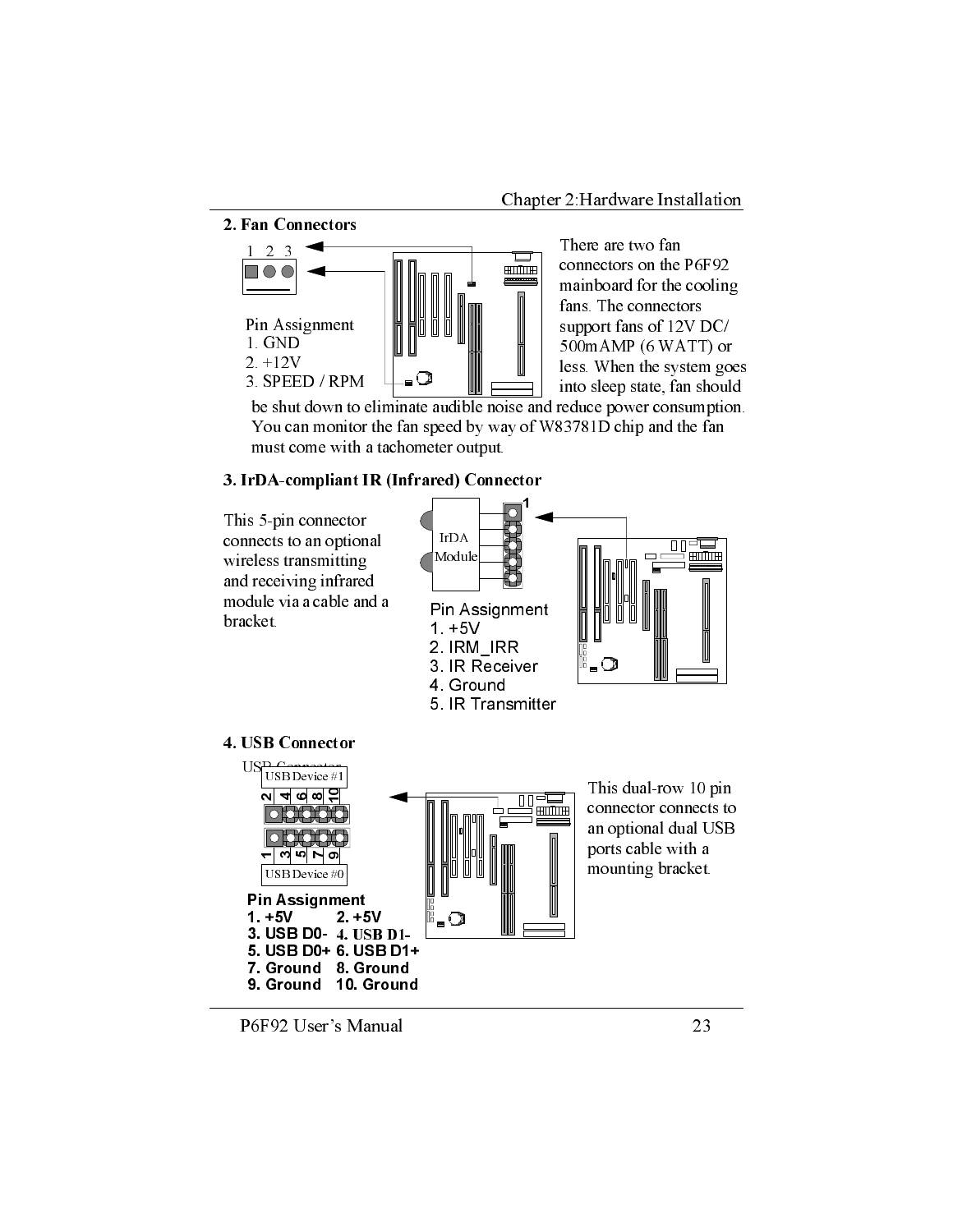2. Fan Connectors



There are two fan connectors on the P6F92 mainboard for the cooling fans. The connectors support fans of 12V DC/ 500mAMP (6 WATT) or less. When the system goes into sleep state, fan should

be shut down to eliminate audible noise and reduce power consumption. You can monitor the fan speed by way of W83781D chip and the fan must come with a tachometer output.

#### 3. IrDA-compliant IR (Infrared) Connector

This 5-pin connector connects to an optional wireless transmitting and receiving infrared module via a cable and a bracket.



#### 4. USB Connector



P6F92 User's Manual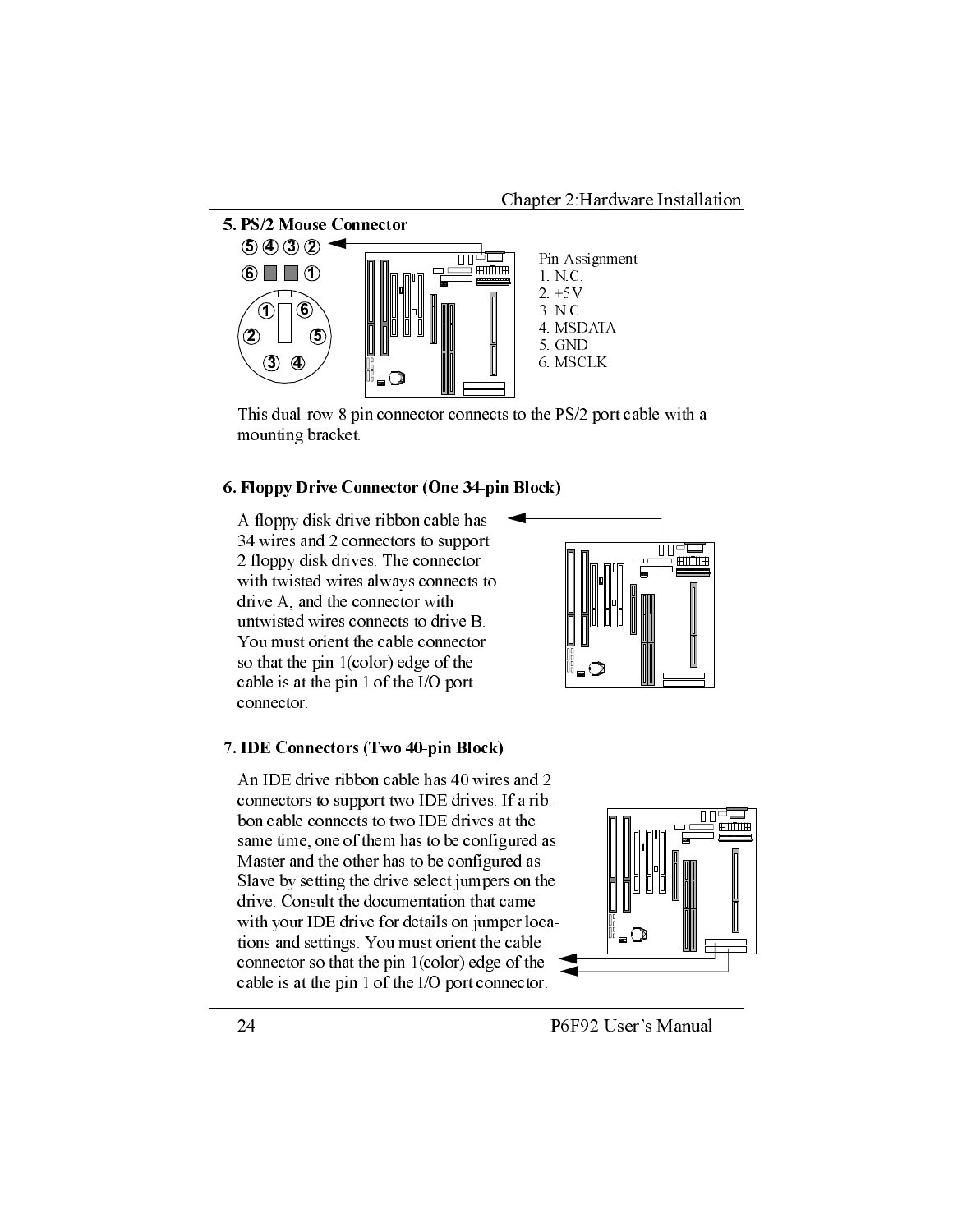

This dual-row 8 pin connector connects to the PS/2 port cable with a mounting bracket.

#### 6. Floppy Drive Connector (One 34-pin Block)

A floppy disk drive ribbon cable has 34 wires and 2 connectors to support 2 floppy disk drives. The connector with twisted wires always connects to drive A, and the connector with untwisted wires connects to drive B. You must orient the cable connector so that the pin 1(color) edge of the cable is at the pin 1 of the I/O port connector.

#### 7. IDE Connectors (Two 40-pin Block)

An IDE drive ribbon cable has 40 wires and 2 connectors to support two IDE drives. If a ribbon cable connects to two IDE drives at the same time, one of them has to be configured as Master and the other has to be configured as Slave by setting the drive select jumpers on the drive. Consult the documentation that came with your IDE drive for details on jumper locations and settings. You must orient the cable connector so that the pin  $1$ (color) edge of the cable is at the pin 1 of the I/O port connector.



P6F92 User's Manual

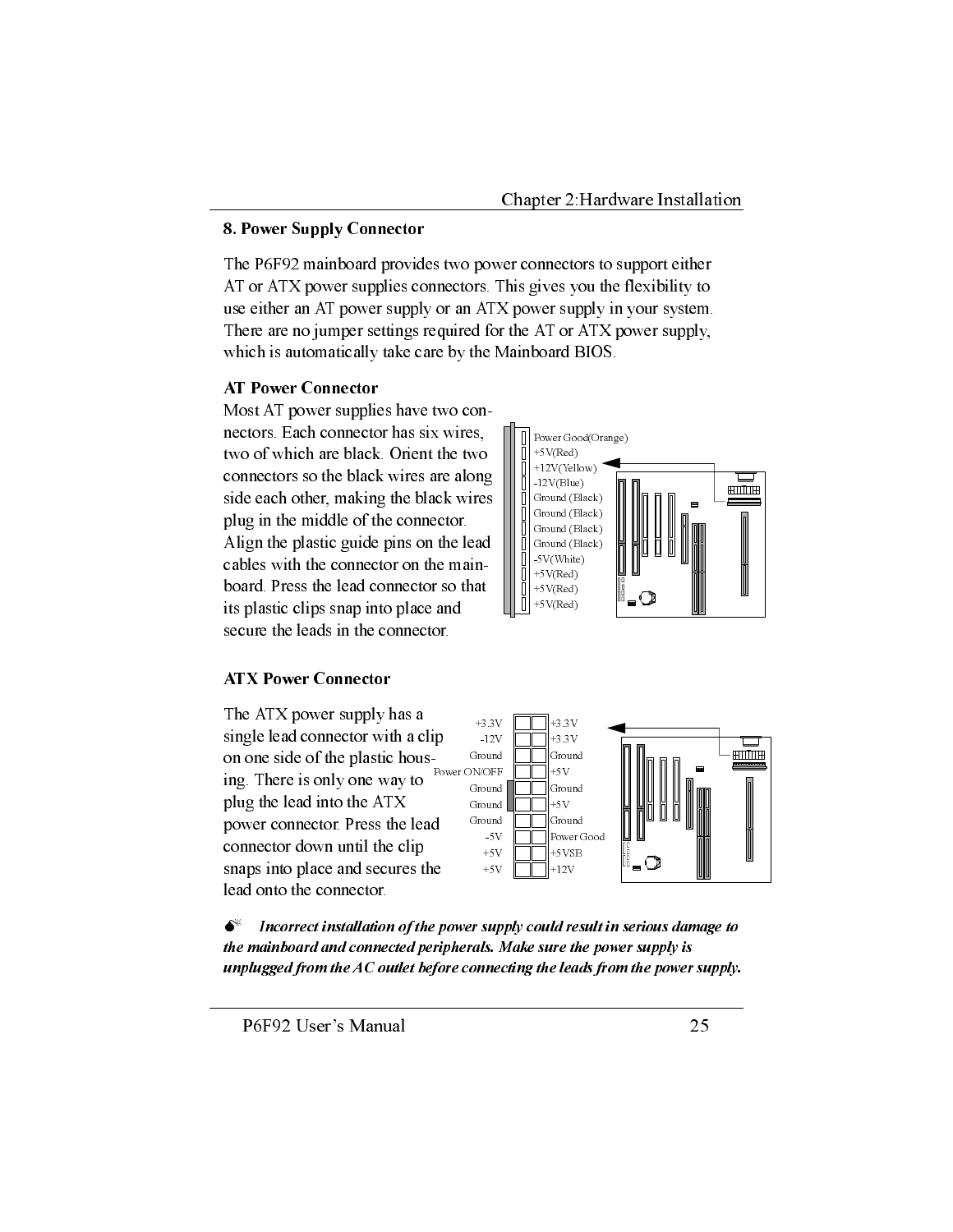#### 8. Power Supply Connector

The P6F92 mainboard provides two power connectors to support either AT or ATX power supplies connectors. This gives you the flexibility to use either an AT power supply or an ATX power supply in your system. There are no jumper settings required for the AT or ATX power supply, which is automatically take care by the Mainboard BIOS.

#### **AT Power Connector**

Most AT power supplies have two connectors. Each connector has six wires, two of which are black. Orient the two connectors so the black wires are along side each other, making the black wires plug in the middle of the connector. Align the plastic guide pins on the lead cables with the connector on the mainboard. Press the lead connector so that its plastic clips snap into place and secure the leads in the connector.



#### **ATX Power Connector**

The ATX power supply has a single lead connector with a clip on one side of the plastic housing. There is only one way to plug the lead into the ATX power connector. Press the lead connector down until the clip snaps into place and secures the lead onto the connector.





 $\bullet^*$ Incorrect installation of the power supply could result in serious damage to the mainboard and connected peripherals. Make sure the power supply is unplugged from the  $AC$  outlet before connecting the leads from the power supply.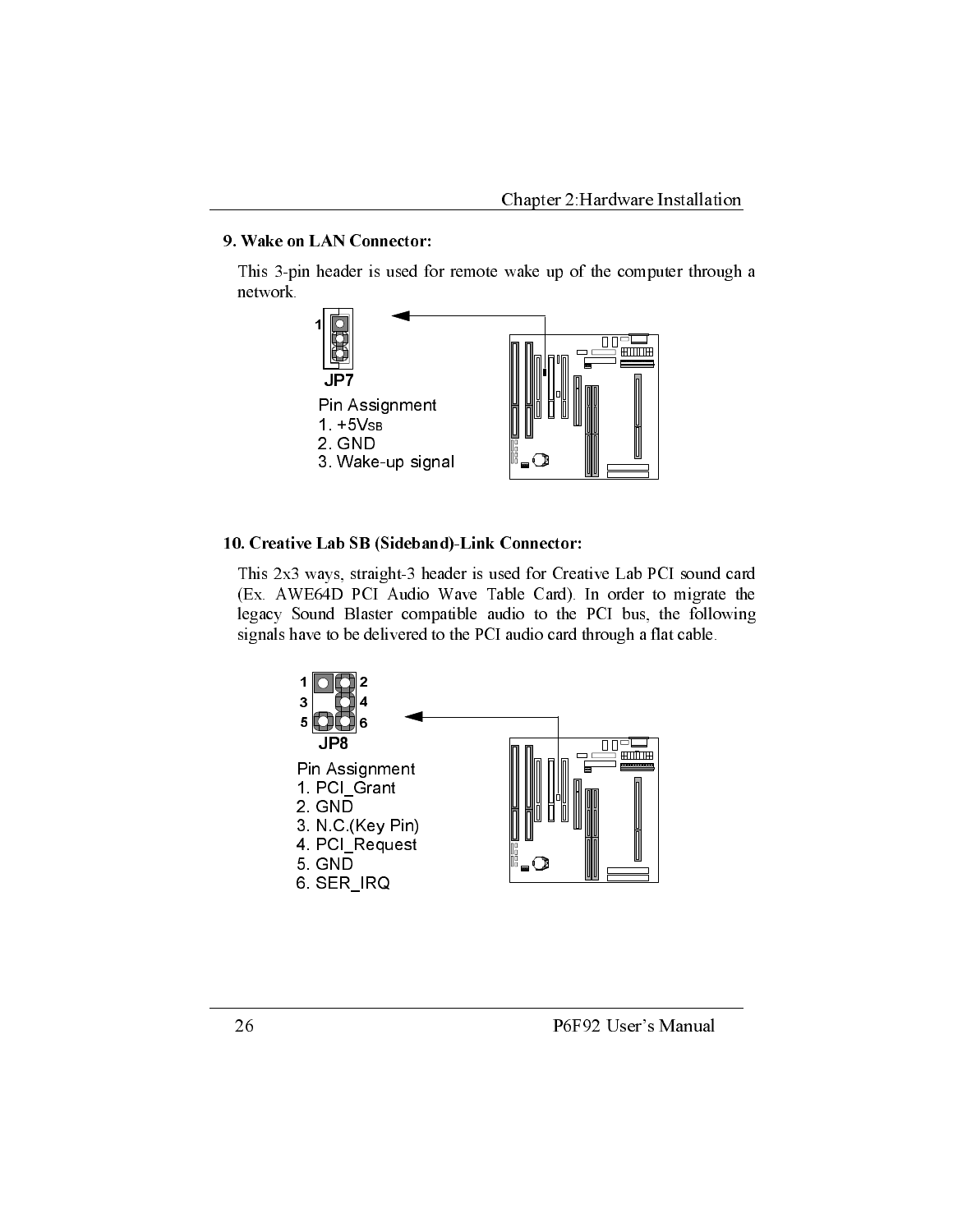#### 9. Wake on LAN Connector:

This 3-pin header is used for remote wake up of the computer through a network.



#### 10. Creative Lab SB (Sideband)-Link Connector:

This 2x3 ways, straight-3 header is used for Creative Lab PCI sound card (Ex. AWE64D PCI Audio Wave Table Card). In order to migrate the legacy Sound Blaster compatible audio to the PCI bus, the following signals have to be delivered to the PCI audio card through a flat cable.

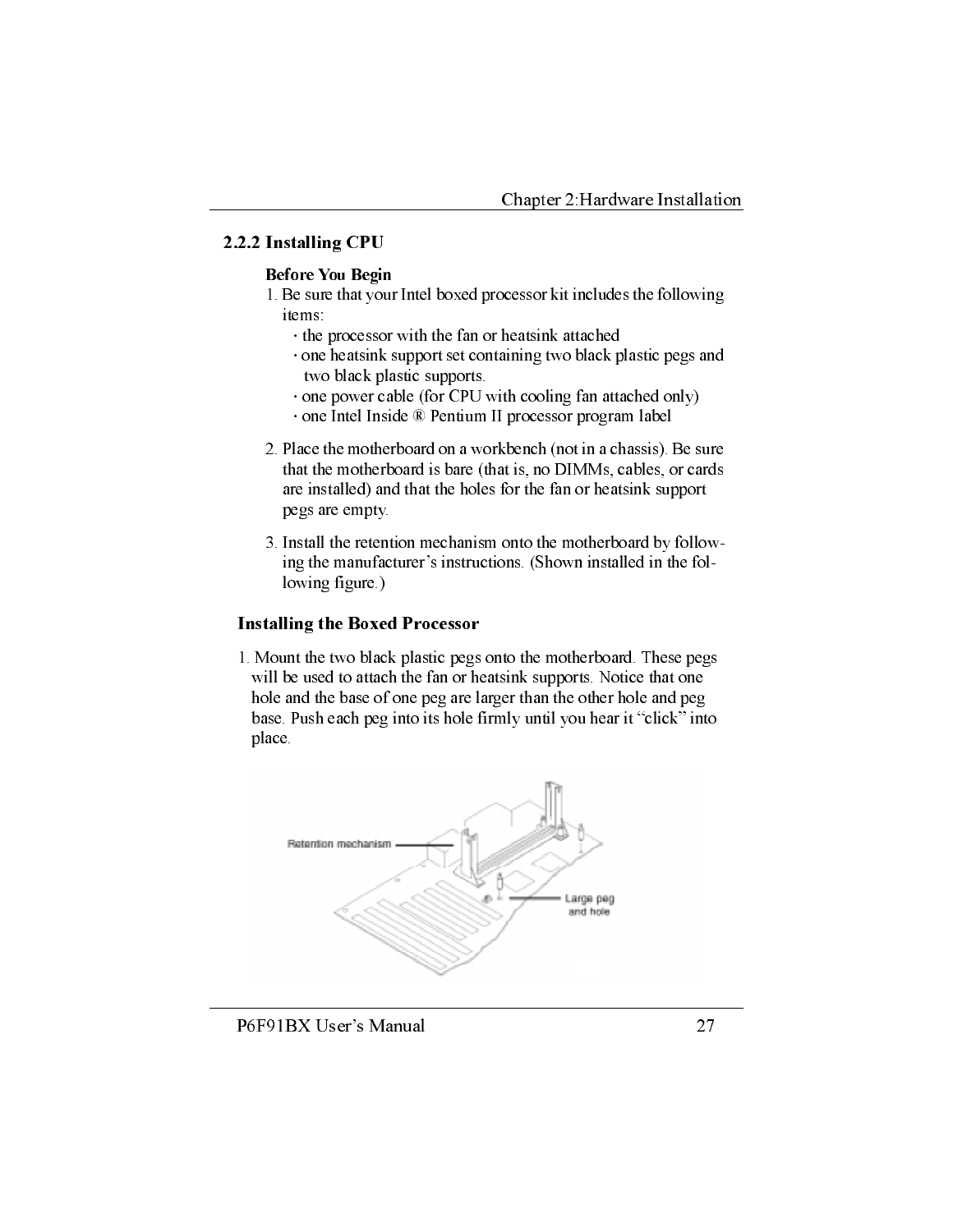#### 2.2.2 Installing CPU

#### **Before You Begin**

- 1. Be sure that your Intel boxed processor kit includes the following items:
	- the processor with the fan or heatsink attached
	- one heatsink support set containing two black plastic pegs and two black plastic supports.
	- one power cable (for CPU with cooling fan attached only)
	- · one Intel Inside ® Pentium II processor program label
- 2. Place the motherboard on a workbench (not in a chassis). Be sure that the motherboard is bare (that is, no DIMMs, cables, or cards are installed) and that the holes for the fan or heatsink support pegs are empty.
- 3. Install the retention mechanism onto the motherboard by following the manufacturer's instructions. (Shown installed in the following figure.)

#### **Installing the Boxed Processor**

1. Mount the two black plastic pegs onto the motherboard. These pegs will be used to attach the fan or heatsink supports. Notice that one hole and the base of one peg are larger than the other hole and peg base. Push each peg into its hole firmly until you hear it "click" into place.



#### P6F91BX User's Manual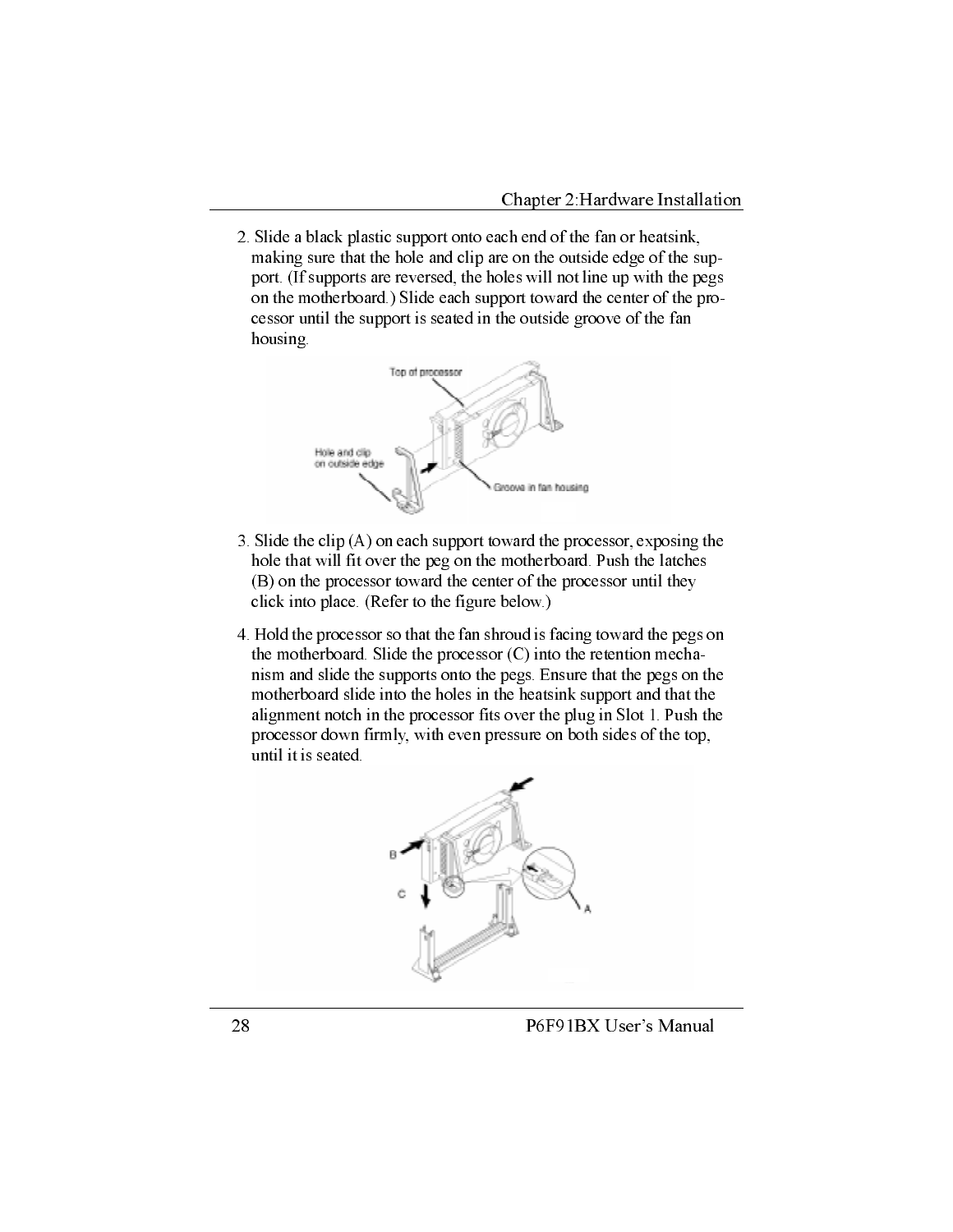2. Slide a black plastic support onto each end of the fan or heatsink, making sure that the hole and clip are on the outside edge of the support. (If supports are reversed, the holes will not line up with the pegs on the motherboard.) Slide each support toward the center of the processor until the support is seated in the outside groove of the fan housing.



- 3. Slide the clip  $(A)$  on each support toward the processor, exposing the hole that will fit over the peg on the motherboard. Push the latches (B) on the processor toward the center of the processor until they click into place. (Refer to the figure below.)
- 4. Hold the processor so that the fan shroud is facing toward the pegs on the motherboard. Slide the processor (C) into the retention mechanism and slide the supports onto the pegs. Ensure that the pegs on the motherboard slide into the holes in the heatsink support and that the alignment notch in the processor fits over the plug in Slot 1. Push the processor down firmly, with even pressure on both sides of the top, until it is seated.



P6F91BX User's Manual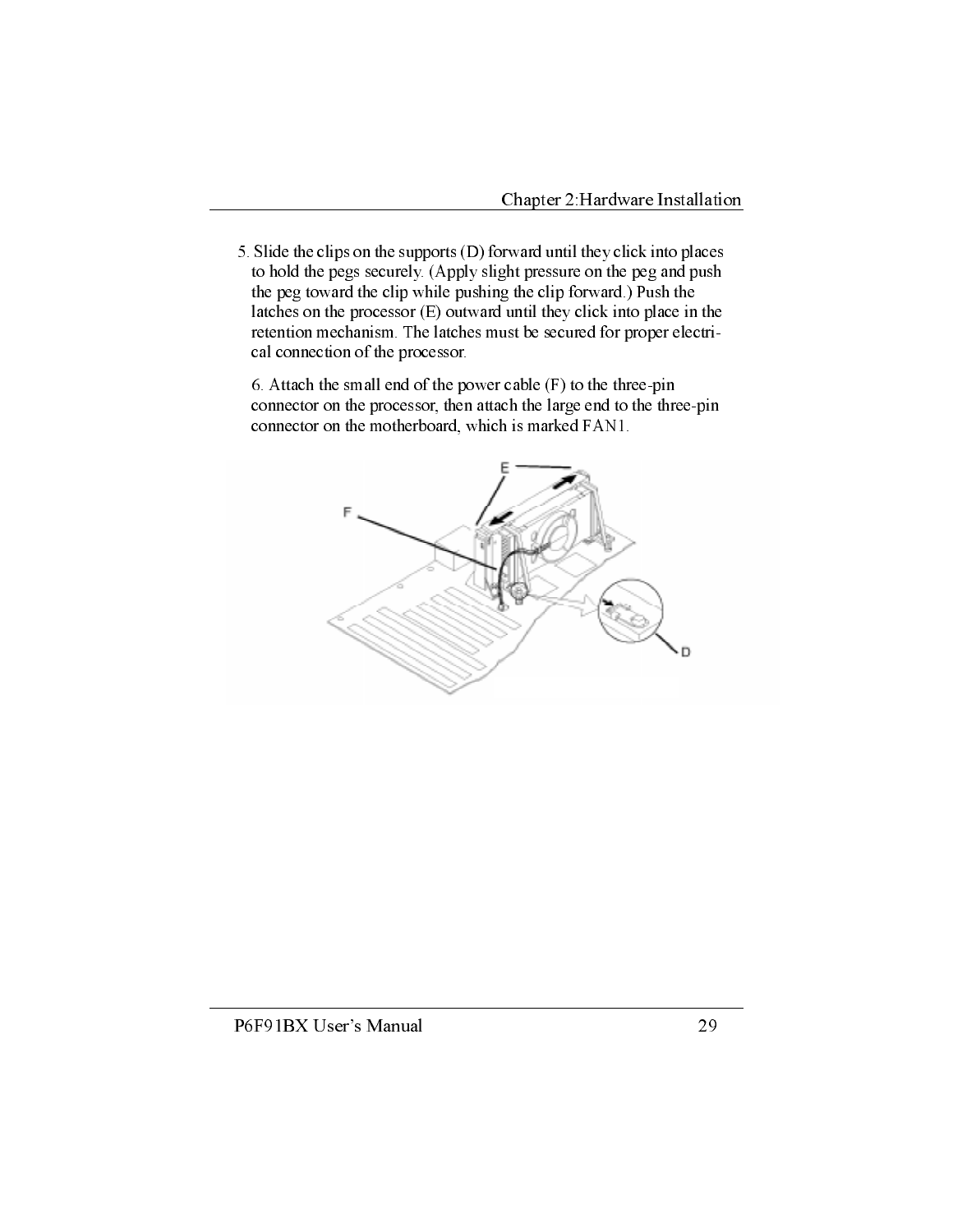5. Slide the clips on the supports (D) forward until they click into places to hold the pegs securely. (Apply slight pressure on the peg and push the peg toward the clip while pushing the clip forward.) Push the latches on the processor  $(E)$  outward until they click into place in the retention mechanism. The latches must be secured for proper electrical connection of the processor.

6. Attach the small end of the power cable  $(F)$  to the three-pin connector on the processor, then attach the large end to the three-pin connector on the motherboard, which is marked FAN1.

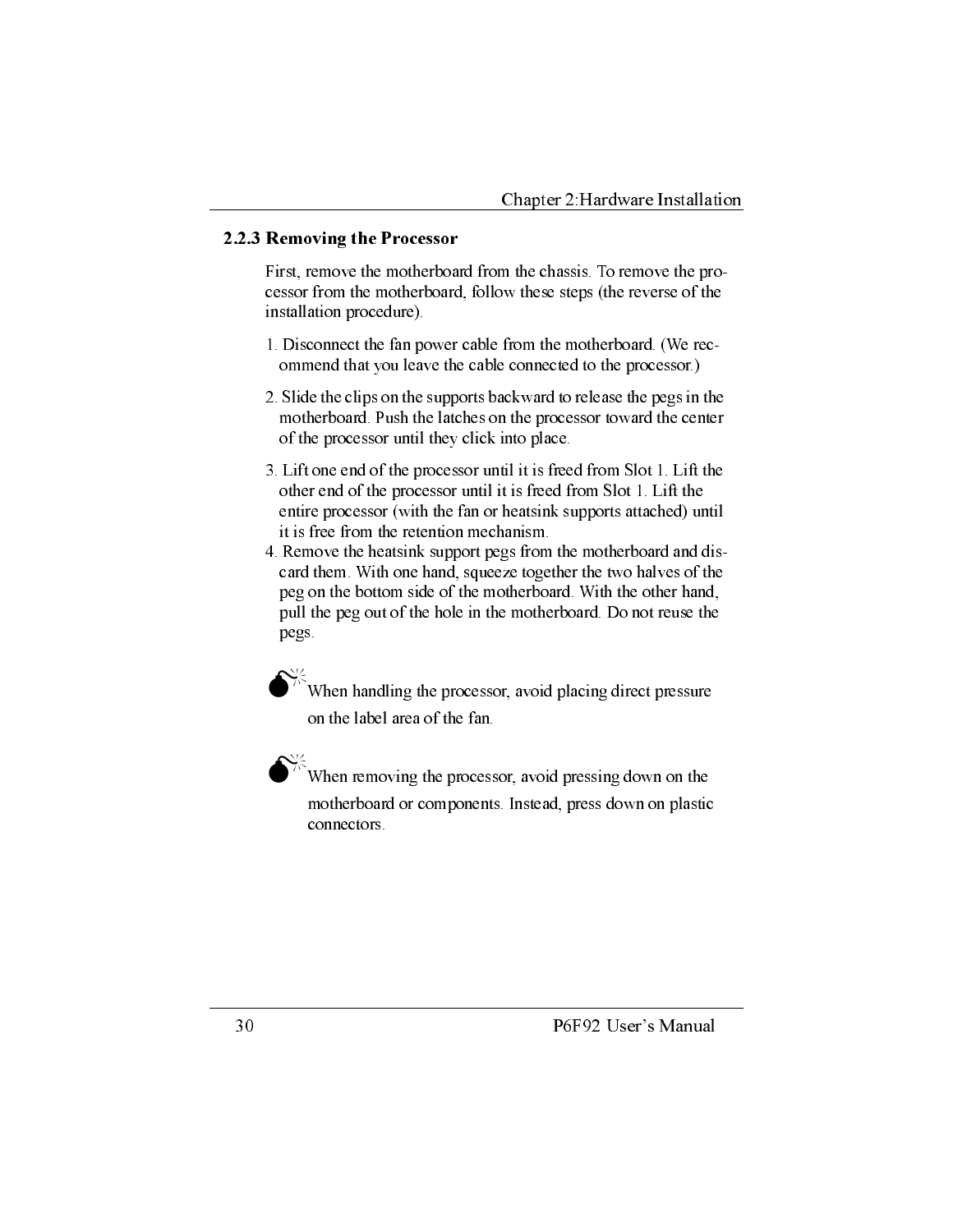#### 2.2.3 Removing the Processor

First, remove the motherboard from the chassis. To remove the processor from the motherboard, follow these steps (the reverse of the installation procedure).

- 1. Disconnect the fan power cable from the motherboard. (We recommend that you leave the cable connected to the processor.)
- 2. Slide the clips on the supports backward to release the pegs in the motherboard. Push the latches on the processor toward the center of the processor until they click into place.
- 3. Lift one end of the processor until it is freed from Slot 1. Lift the other end of the processor until it is freed from Slot 1. Lift the entire processor (with the fan or heatsink supports attached) until it is free from the retention mechanism.
- 4. Remove the heatsink support pegs from the motherboard and discard them. With one hand, squeeze together the two halves of the peg on the bottom side of the motherboard. With the other hand, pull the peg out of the hole in the motherboard. Do not reuse the pegs.

When handling the processor, avoid placing direct pressure on the label area of the fan.

When removing the processor, avoid pressing down on the motherboard or components. Instead, press down on plastic connectors.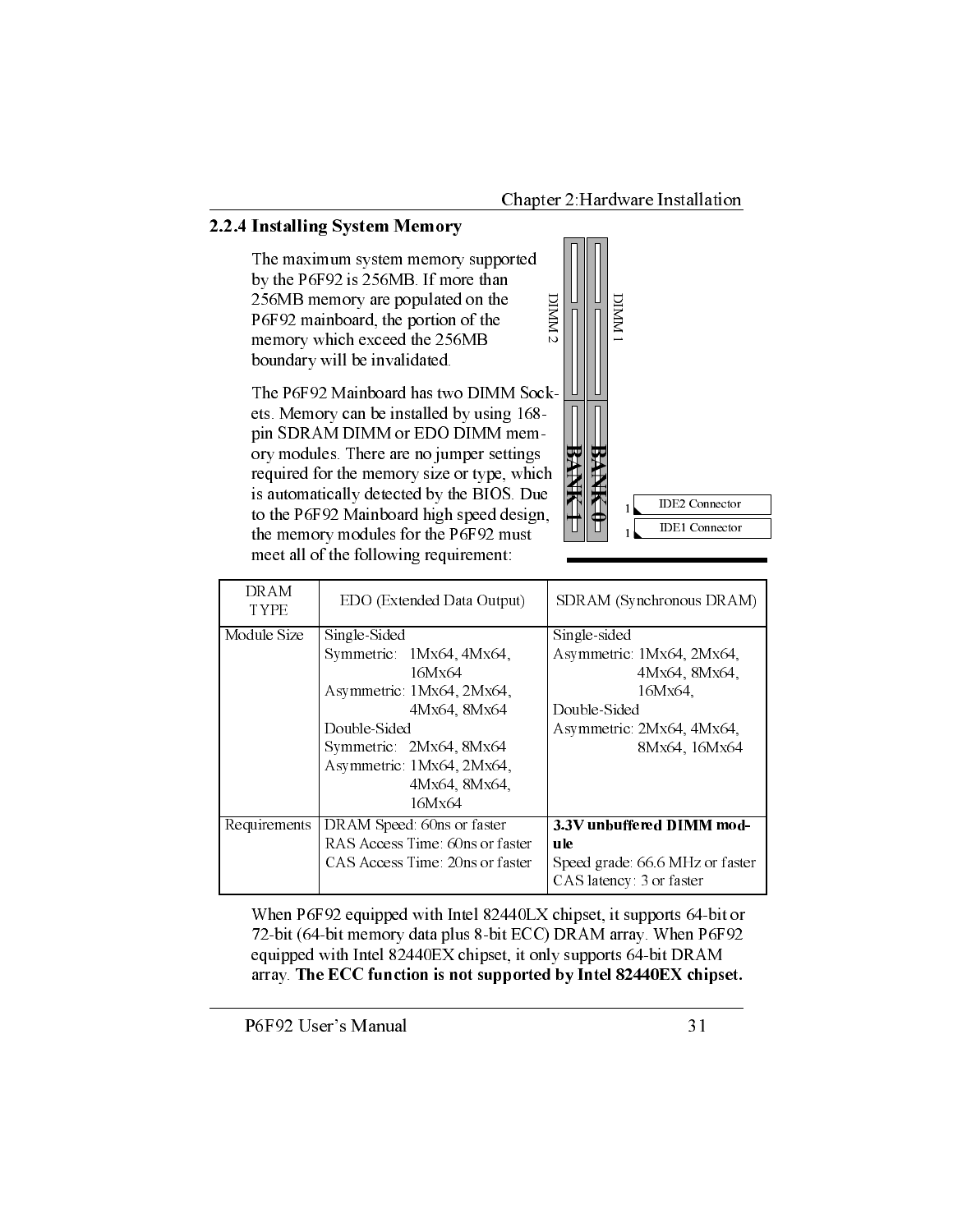#### 2.2.4 Installing System Memory

The maximum system memory supported by the P6F92 is 256MB. If more than 256MB memory are populated on the P6F92 mainboard, the portion of the memory which exceed the 256MB boundary will be invalidated.

The P6F92 Mainboard has two DIMM Sockets. Memory can be installed by using 168pin SDRAM DIMM or EDO DIMM memory modules. There are no jumper settings required for the memory size or type, which is automatically detected by the BIOS. Due to the P6F92 Mainboard high speed design, the memory modules for the P6F92 must meet all of the following requirement:



| DRAM<br><b>TYPE</b> | EDO (Extended Data Output)      | SDRAM (Synchronous DRAM)       |
|---------------------|---------------------------------|--------------------------------|
| Module Size         | Single-Sided                    | Single-sided                   |
|                     | Symmetric 1Mx64, 4Mx64,         | Asymmetric 1Mx64, 2Mx64,       |
|                     | 16Mx64                          | 4Mx64, 8Mx64,                  |
|                     | Asymmetric 1Mx64, 2Mx64,        | 16Mx64.                        |
|                     | 4Mx64, 8Mx64                    | Double-Sided                   |
|                     | Double-Sided                    | Asymmetric 2Mx64, 4Mx64,       |
|                     | Symmetric 2Mx64, 8Mx64          | 8Mx64, 16Mx64                  |
|                     | Asymmetric 1Mx64, 2Mx64,        |                                |
|                     | 4Mx64, 8Mx64,                   |                                |
|                     | 16Mx64                          |                                |
| Requirements        | DRAM Speed: 60ns or faster      | 3.3V unbuffered DIMM mod-      |
|                     | RAS Access Time 60ns or faster  | ule                            |
|                     | CAS Access Time. 20ns or faster | Speed grade 66.6 MHz or faster |
|                     |                                 | CAS latency: 3 or faster       |

When P6F92 equipped with Intel 82440LX chipset, it supports 64-bit or 72-bit (64-bit memory data plus 8-bit ECC) DRAM array. When P6F92 equipped with Intel 82440EX chipset, it only supports 64-bit DRAM array. The ECC function is not supported by Intel 82440EX chipset.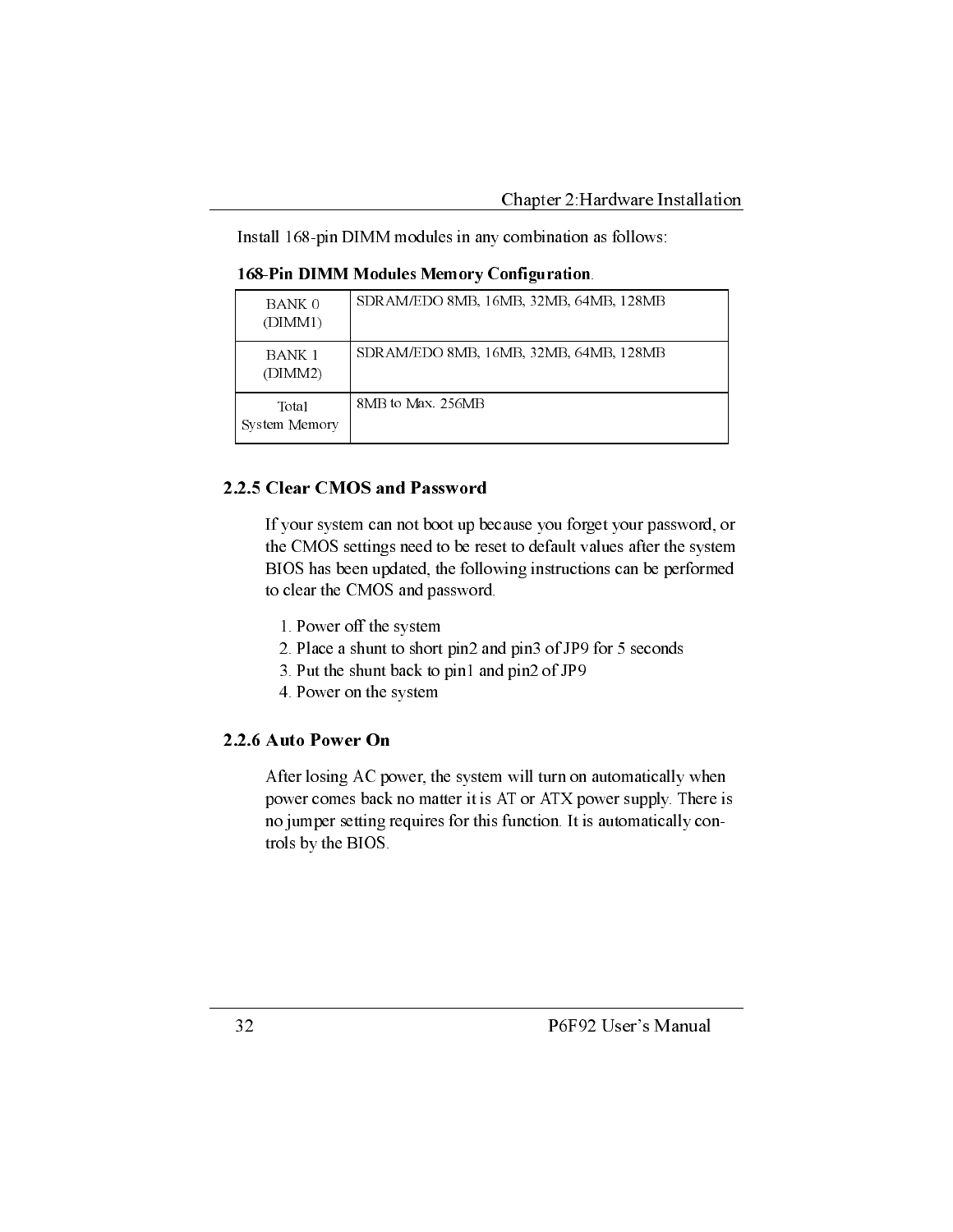Install 168-pin DIMM modules in any combination as follows:

168-Pin DIMM Modules Memory Configuration.

| BANK 0<br>(DIMM1)      | SDRAM/EDO 8MB, 16MB, 32MB, 64MB, 128MB |
|------------------------|----------------------------------------|
| BANK 1<br>(DIMM2)      | SDRAM/EDO 8MB, 16MB, 32MB, 64MB, 128MB |
| Total<br>System Memory | 8MB to Max 256MB                       |

#### 2.2.5 Clear CMOS and Password

If your system can not boot up because you forget your password, or the CMOS settings need to be reset to default values after the system BIOS has been updated, the following instructions can be performed to clear the CMOS and password.

- 1. Power off the system
- 2. Place a shunt to short pin2 and pin3 of JP9 for 5 seconds
- 3. Put the shunt back to pin1 and pin2 of JP9
- 4. Power on the system

#### 2.2.6 Auto Power On

After losing AC power, the system will turn on automatically when power comes back no matter it is AT or ATX power supply. There is no jumper setting requires for this function. It is automatically controls by the BIOS.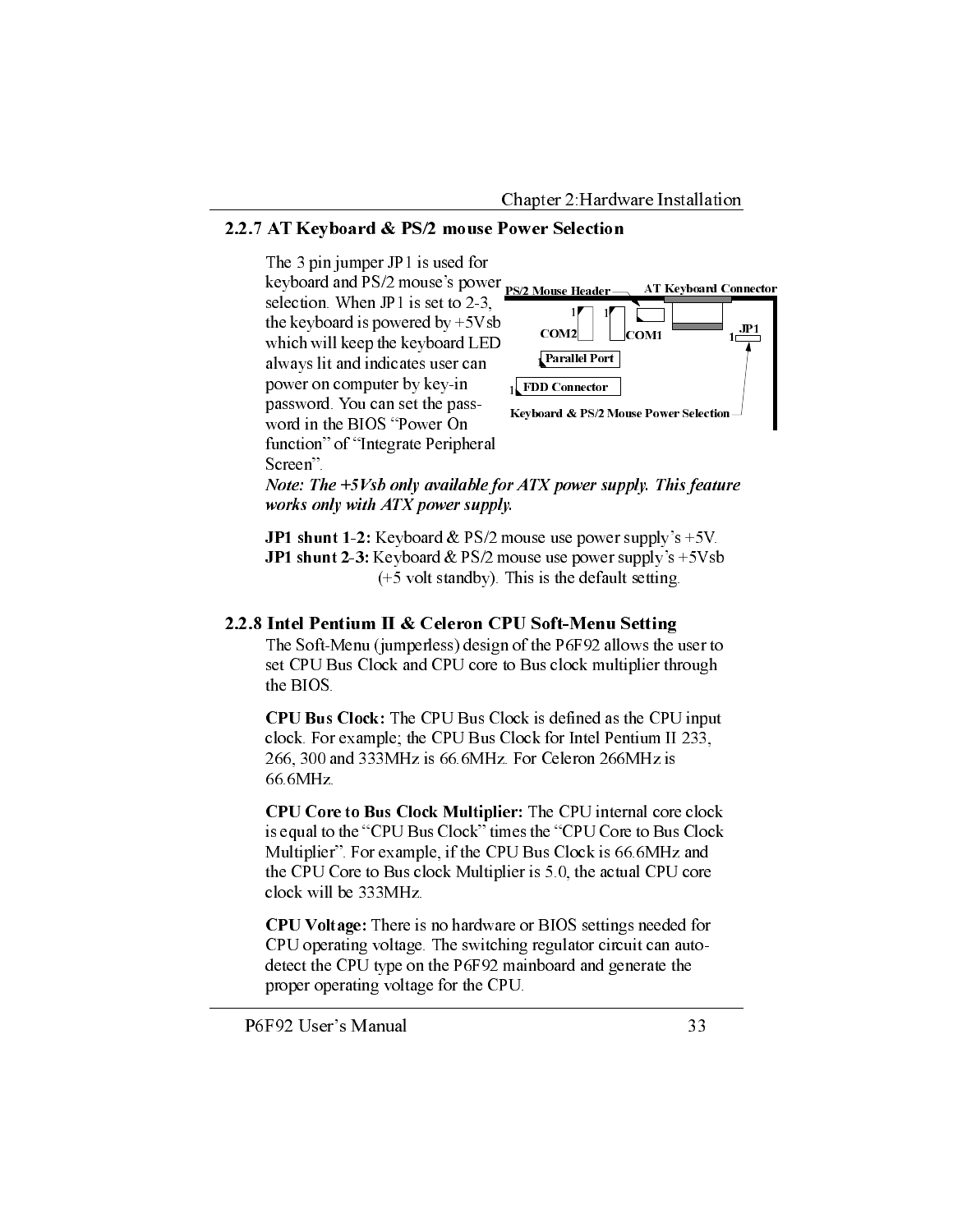#### 2.2.7 AT Keyboard & PS/2 mouse Power Selection



Note: The  $+5Vsb$  only available for ATX power supply. This feature works only with ATX power supply.

JP1 shunt 1-2: Keyboard & PS/2 mouse use power supply's +5V. **JP1** shunt 2-3: Keyboard & PS/2 mouse use power supply's  $+5Vsb$  $(+5$  volt standby). This is the default setting.

#### 2.2.8 Intel Pentium II & Celeron CPU Soft-Menu Setting

The Soft-Menu (jumperless) design of the P6F92 allows the user to set CPU Bus Clock and CPU core to Bus clock multiplier through the BIOS.

CPU Bus Clock: The CPU Bus Clock is defined as the CPU input clock. For example; the CPU Bus Clock for Intel Pentium II 233, 266, 300 and 333MHz is 66.6MHz. For Celeron 266MHz is 66.6MHz.

CPU Core to Bus Clock Multiplier: The CPU internal core clock is equal to the "CPU Bus Clock" times the "CPU Core to Bus Clock Multiplier". For example, if the CPU Bus Clock is 66.6MHz and the CPU Core to Bus clock Multiplier is 5.0, the actual CPU core clock will be 333MHz.

CPU Voltage: There is no hardware or BIOS settings needed for CPU operating voltage. The switching regulator circuit can autodetect the CPU type on the P6F92 mainboard and generate the proper operating voltage for the CPU.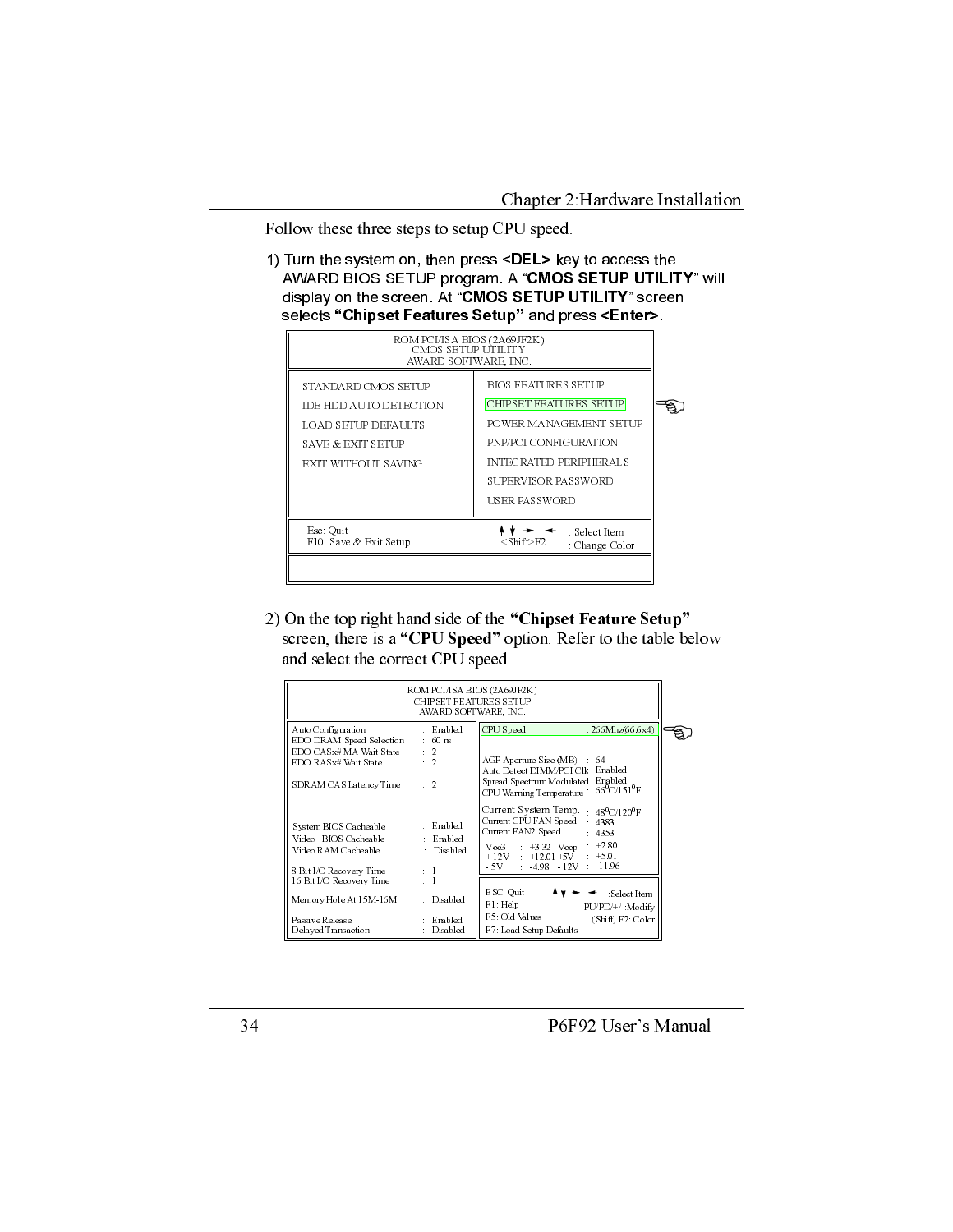Follow these three steps to setup CPU speed.

1) Turn the system on, then press <DEL> key to access the AWARD BIOS SETUP program. A "CMOS SETUP UTILITY" will display on the screen. At "CMOS SETUP UTILITY" screen selects "Chipset Features Setup" and press <Enter>.



2) On the top right hand side of the "Chipset Feature Setup" screen, there is a "CPU Speed" option. Refer to the table below and select the correct CPU speed.

|                                                                                                 | ROM PCI/ISA BIOS (2A69JF2K)<br><b>CHIPSET FEATURES SETUP</b><br>AWARD SOFTWARE, INC. |                                                                                                                                                                                                                        |  |
|-------------------------------------------------------------------------------------------------|--------------------------------------------------------------------------------------|------------------------------------------------------------------------------------------------------------------------------------------------------------------------------------------------------------------------|--|
| Auto Configuration<br>EDO DRAM Speed Selection                                                  | : Enabled<br>$\div$ 60 ns                                                            | CPU Speed<br>: 266Mhz(66.6x4)                                                                                                                                                                                          |  |
| EDO CASx# MA Wait State<br>EDO RASx# Wait State                                                 | $\cdot$ 2<br>$\overline{2}$<br>÷.                                                    | AGP Aperture Size (MB)<br>64<br>Auto Detect DIMM/PCI Clk Enabled                                                                                                                                                       |  |
| SDRAM CAS Latency Time                                                                          | $\cdot$ 2                                                                            | Spread Spectrum Modulated Enabled<br>$66^{\rm o}$ C/151 <sup>0</sup> F<br>CPU Warning Temperature                                                                                                                      |  |
| System BIOS Cacheable<br>Video BIOS Cacheable<br>Video RAM Cacheable<br>8 Bit I/O Recovery Time | : Enabled<br>: Enabled<br>: Disabled<br>$\mathbf{1}$                                 | Current System Temp. $48^{\circ}$ C/120 <sup>0</sup> F<br>Current CPU FAN Speed 4383<br>Current FAN2 Speed<br>$-4353$<br>Vcc3 $+3.32$ Vccp $+2.80$<br>$+12V$ : $+12.01 +5V$ : $+5.01$<br>$-5V$ $-4.98$ $-12V$ $-11.96$ |  |
| 16 Bit I/O Recovery Time                                                                        |                                                                                      |                                                                                                                                                                                                                        |  |
| Memory Hole At 15M-16M                                                                          | Disabled                                                                             | ESC: Quit<br>: Select Item<br>F1: Help<br>PU/PD/+/ Modify                                                                                                                                                              |  |
| Passive Release<br>Delayed Transaction                                                          | Enabled<br>Disabled                                                                  | F5: Old Values<br>(Shif) F2: Color<br>F7: Load Setup Defaults                                                                                                                                                          |  |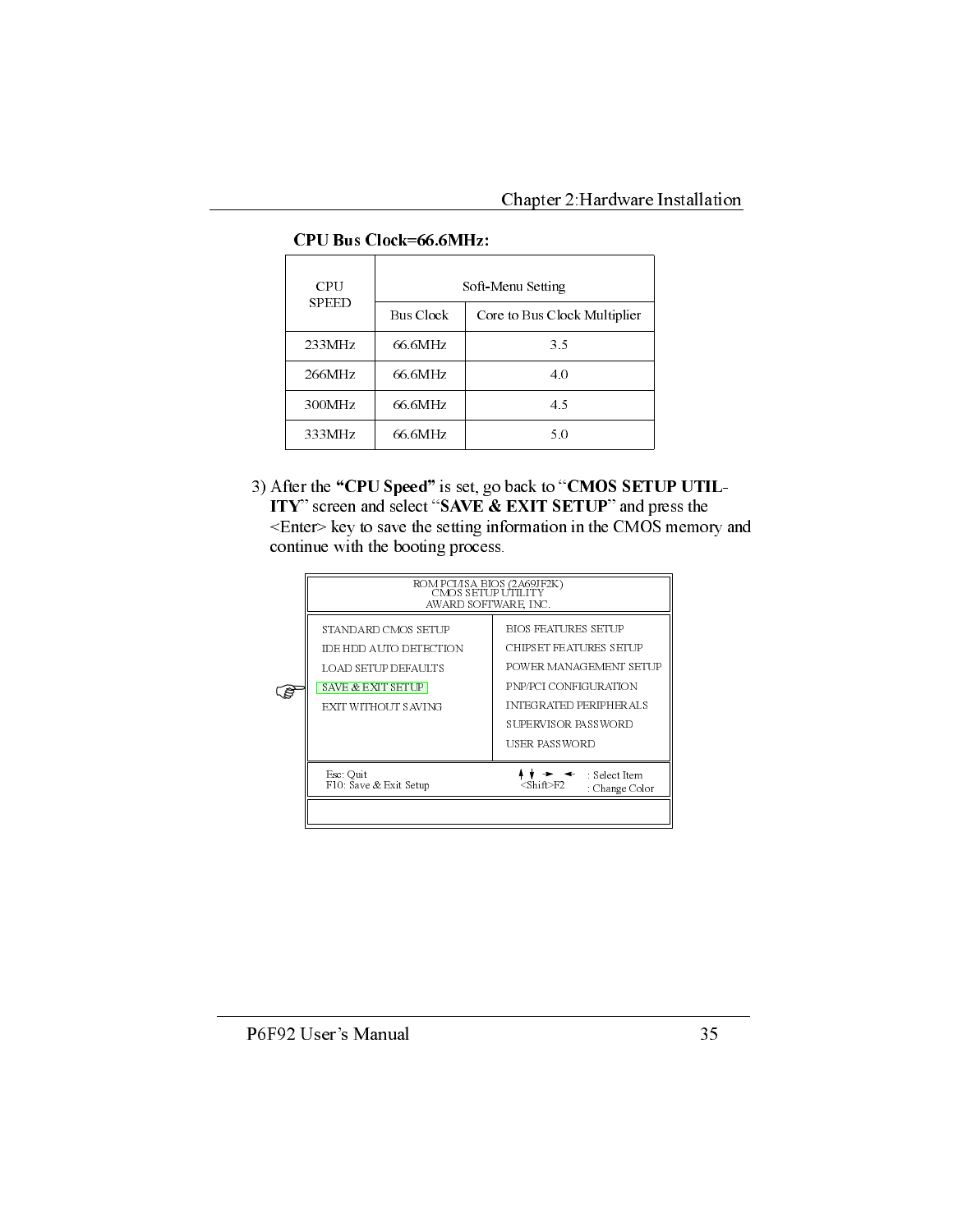| CPU          |                  | Soft-Menu Setting            |
|--------------|------------------|------------------------------|
| <b>SPEED</b> | <b>Bus Clock</b> | Core to Bus Clock Multiplier |
| 233MHz       | 66.6MHz          | 35                           |
| 266MHz       | 66.6MHz          | 4.0                          |
| 300MHz       | 66.6MHz          | 4.5                          |
| 333MHz       | 66.6MHz          | 50                           |

#### **CPU Bus Clock=66.6MHz:**

3) After the "CPU Speed" is set, go back to "CMOS SETUP UTIL-ITY" screen and select "SAVE & EXIT SETUP" and press the <Enter> key to save the setting information in the CMOS memory and continue with the booting process.

| ROM PCI/ISA BIOS (2A69JF2K)<br>CMOS SETUP UTILITY<br>AWARD SOFTWARE, INC.                                        |                                                                                                                                                                    |  |  |  |  |  |
|------------------------------------------------------------------------------------------------------------------|--------------------------------------------------------------------------------------------------------------------------------------------------------------------|--|--|--|--|--|
| STANDARD CMOS SETUP<br>IDE HDD AUTO DETECTION<br>LOAD SETUP DEFAULTS<br>SAVE & EXIT SETUP<br>EXIT WITHOUT SAVING | BIOS FEATURES SETUP<br>CHIPSET FEATURES SETUP<br>POWER MANAGEMENT SETUP<br>PNP/PCI CONFIGURATION<br>INTEGRATED PERIPHERALS<br>SUPERVISOR PASSWORD<br>USER PASSWORD |  |  |  |  |  |
| Esc: Quit<br>F10: Save & Exit Setup                                                                              | : Select Item<br>$\langle$ Shift>F2<br>: Change Color                                                                                                              |  |  |  |  |  |
|                                                                                                                  |                                                                                                                                                                    |  |  |  |  |  |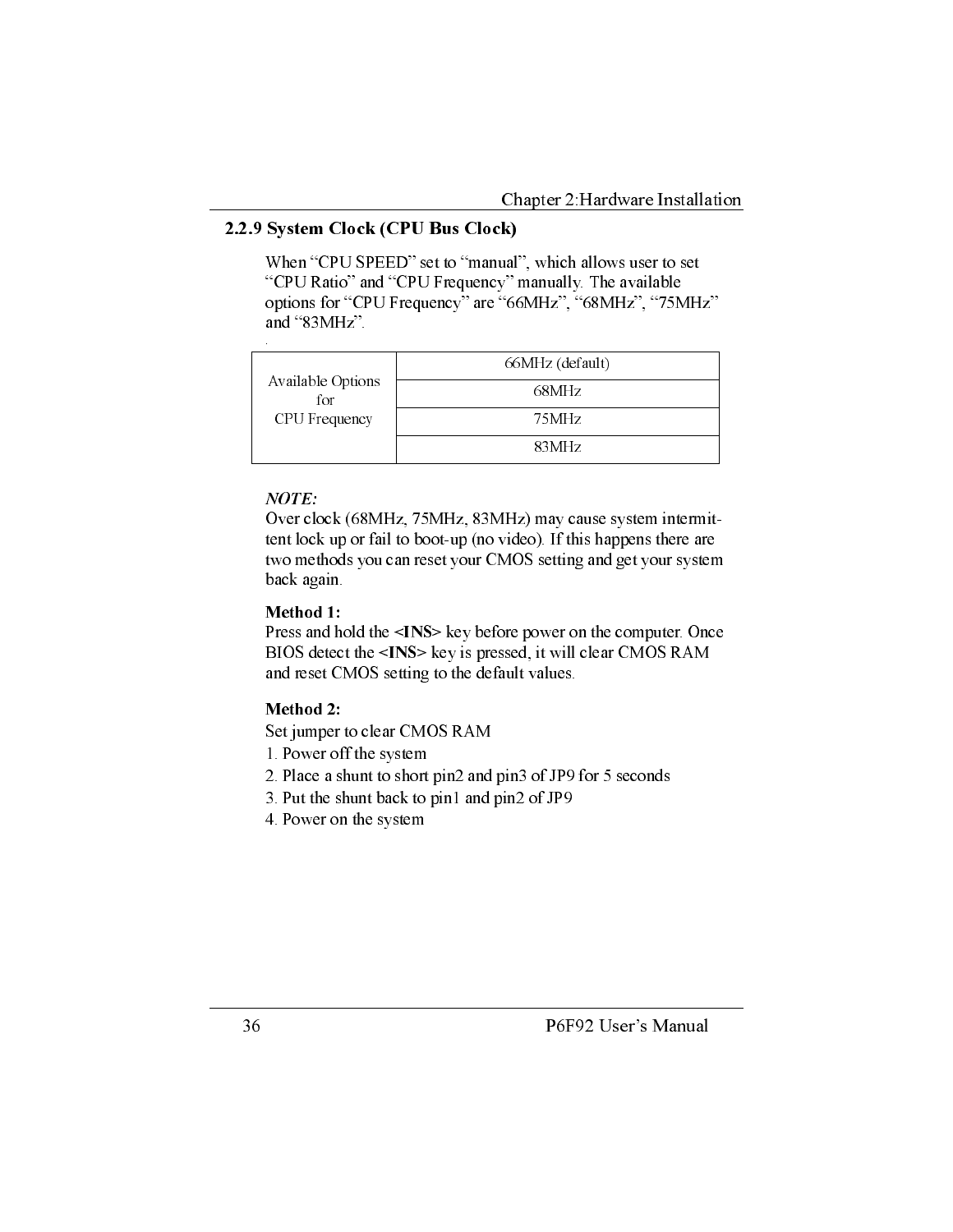#### 2.2.9 System Clock (CPU Bus Clock)

When "CPU SPEED" set to "manual", which allows user to set "CPU Ratio" and "CPU Frequency" manually. The available options for "CPU Frequency" are "66MHz", "68MHz", "75MHz" and "83MHz".

|                          | 66MHz (default) |
|--------------------------|-----------------|
| Available Options<br>for | 68MHz           |
| CPU Frequency            | 75MHz           |
|                          | 83MHz           |

#### $NOTE:$

Over clock (68MHz, 75MHz, 83MHz) may cause system intermittent lock up or fail to boot-up (no video). If this happens there are two methods you can reset your CMOS setting and get your system back again.

#### Method 1:

Press and hold the <INS> key before power on the computer. Once BIOS detect the <INS> key is pressed, it will clear CMOS RAM and reset CMOS setting to the default values.

#### Method 2:

Set jumper to clear CMOS RAM

- 1. Power off the system
- 2. Place a shunt to short pin2 and pin3 of JP9 for 5 seconds
- 3. Put the shunt back to pin1 and pin2 of JP9
- 4. Power on the system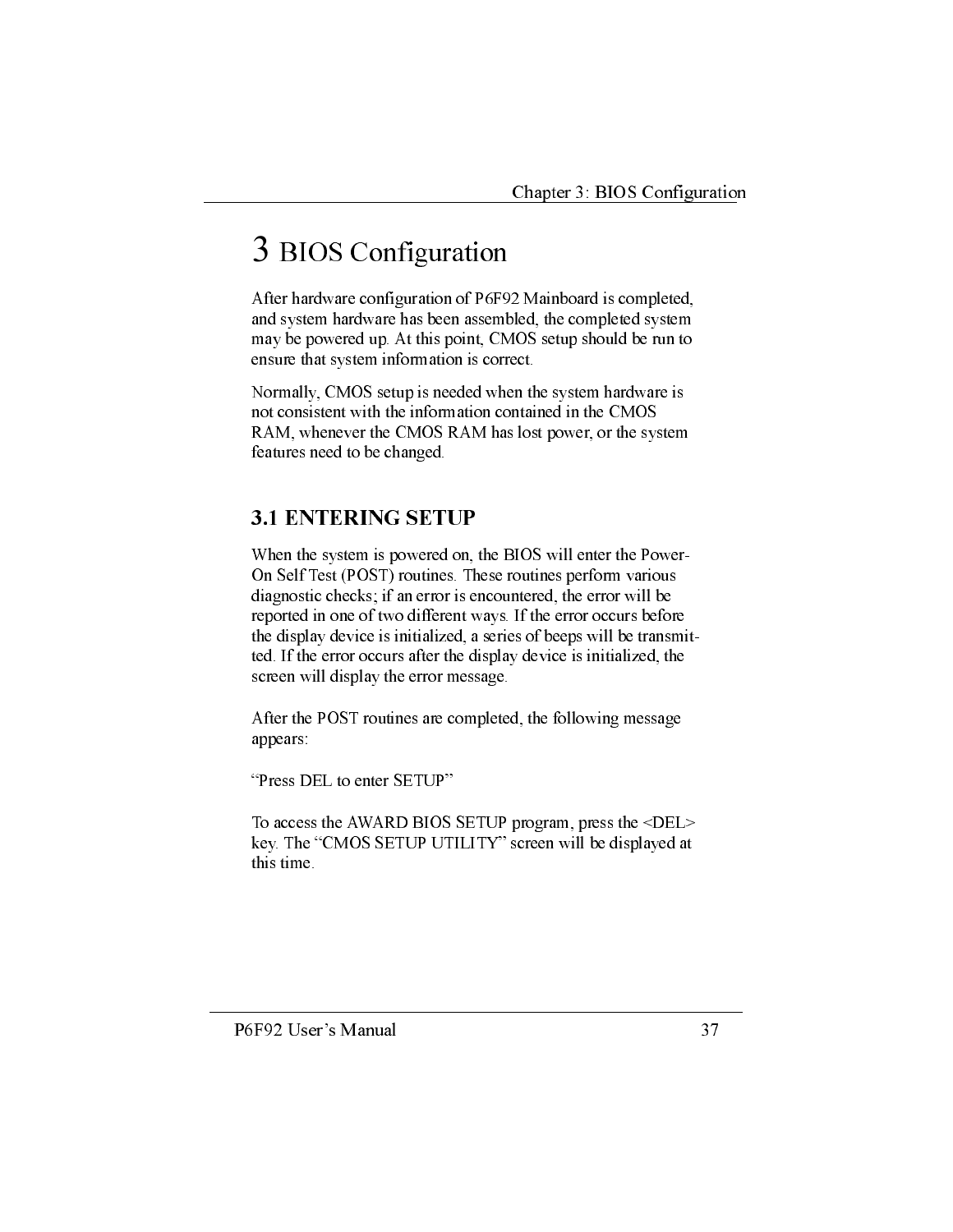## 3 BIOS Configuration

After hardware configuration of P6F92 Mainboard is completed, and system hardware has been assembled, the completed system may be powered up. At this point, CMOS setup should be run to ensure that system information is correct.

Normally, CMOS setup is needed when the system hardware is not consistent with the information contained in the CMOS RAM, whenever the CMOS RAM has lost power, or the system features need to be changed.

## **3.1 ENTERING SETUP**

When the system is powered on, the BIOS will enter the Power-On Self Test (POST) routines. These routines perform various diagnostic checks; if an error is encountered, the error will be reported in one of two different ways. If the error occurs before the display device is initialized, a series of beeps will be transmitted. If the error occurs after the display device is initialized, the screen will display the error message.

After the POST routines are completed, the following message appears:

"Press DEL to enter SETUP"

To access the AWARD BIOS SETUP program, press the <DEL> key. The "CMOS SETUP UTILITY" screen will be displayed at this time.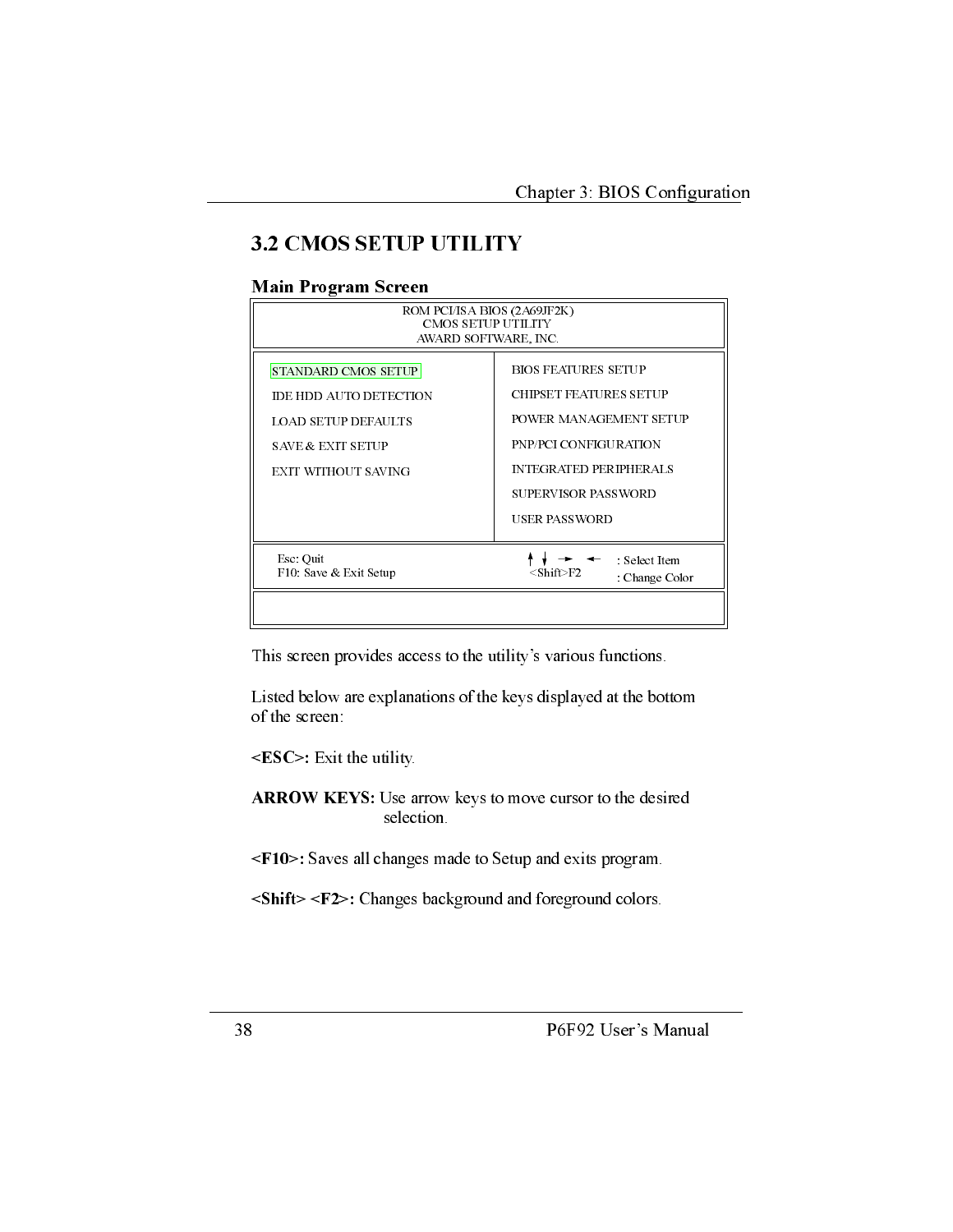## **3.2 CMOS SETUP UTILITY**

#### **Main Program Screen**

| <b>CMOS SETUP UTILITY</b><br>AWARD SOFTWARE, INC.                                                                                                 |                                                                                                                                                                                         |  |
|---------------------------------------------------------------------------------------------------------------------------------------------------|-----------------------------------------------------------------------------------------------------------------------------------------------------------------------------------------|--|
| <b>STANDARD CMOS SETUP</b><br><b>IDE HDD AUTO DETECTION</b><br><b>LOAD SETUP DEFAULTS</b><br><b>SAVE &amp; EXIT SETUP</b><br>EXIT WITHOUT S AVING | <b>BIOS FEATURES SETUP</b><br><b>CHIPSET FEATURES SETUP</b><br>POWER MANAGEMENT SETUP<br>PNP/PCI CONFIGURATION<br><b>INTEGRATED PERIPHERALS</b><br>SUPERVISOR PASSWORD<br>USER PASSWORD |  |
| Esc Quit<br>F10 Save & Exit Setup                                                                                                                 | : Select Item<br>$<$ Shift $>$ F2<br>Change Color                                                                                                                                       |  |

This screen provides access to the utility's various functions.

Listed below are explanations of the keys displayed at the bottom of the screen:

<ESC>: Exit the utility.

ARROW KEYS: Use arrow keys to move cursor to the desired selection.

<F10>: Saves all changes made to Setup and exits program.

<Shift> <F2>: Changes background and foreground colors.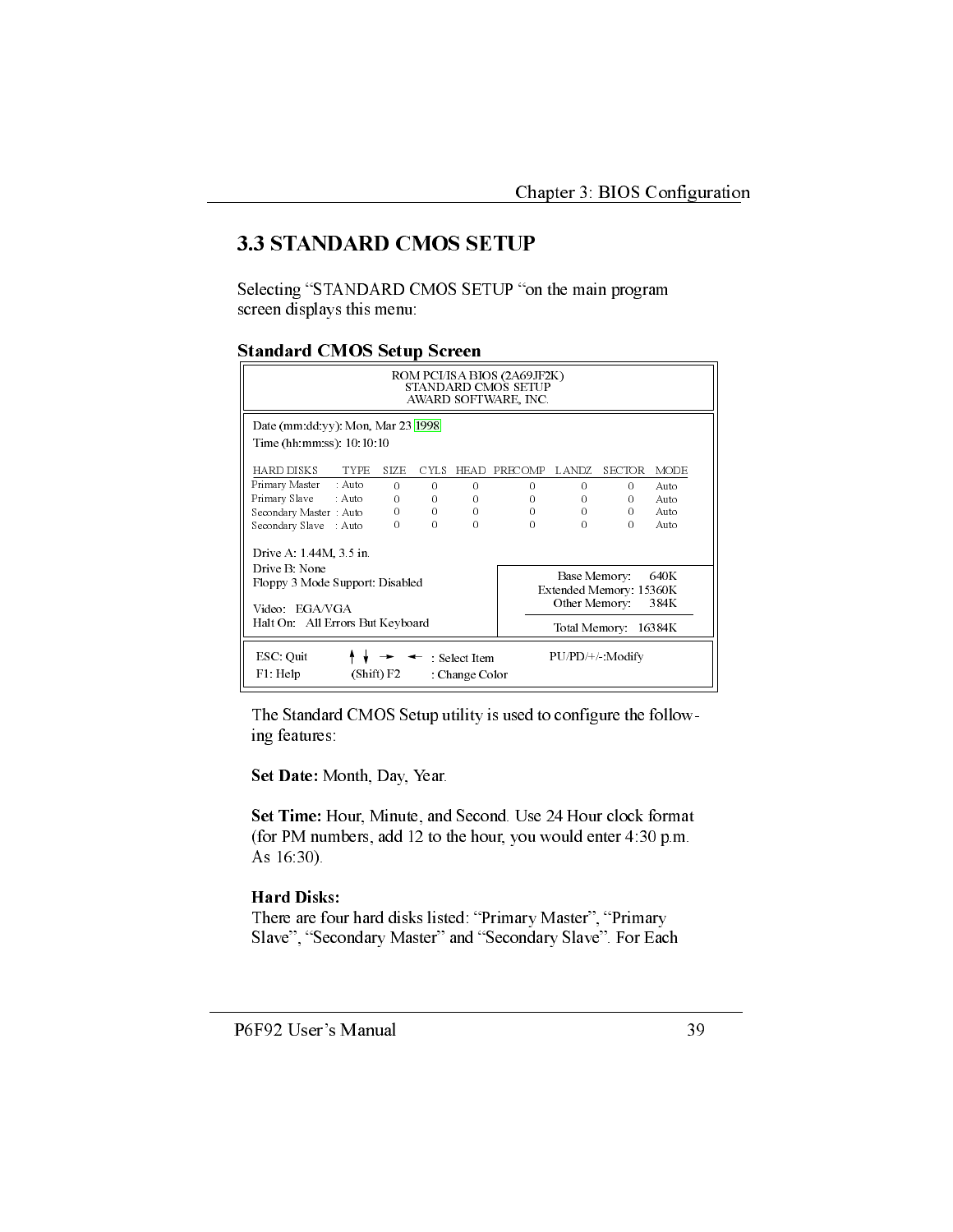## **3.3 STANDARD CMOS SETUP**

Selecting "STANDARD CMOS SETUP "on the main program screen displays this menu:

#### **Standard CMOS Setup Screen**

| ROM PCI/ISA BIOS (2A69JF2K)<br><b>STANDARD CMOS SETUP</b><br>AWARD SOFTWARE, INC.                                                                                       |             |                   |             |          |          |          |               |             |
|-------------------------------------------------------------------------------------------------------------------------------------------------------------------------|-------------|-------------------|-------------|----------|----------|----------|---------------|-------------|
| Date (mm dd yy) Mon, Mar $23 1998 $<br>Time (hh mm ss) 10 10 10                                                                                                         |             |                   |             |          |          |          |               |             |
|                                                                                                                                                                         |             |                   |             |          |          |          |               |             |
| HARD DISKS                                                                                                                                                              | <b>TYPE</b> | <b>STZE</b>       | <b>CYLS</b> | HEAD     | PRECOMP  | LANDZ.   | <b>SECTOR</b> | <b>MODE</b> |
| Primary Master : Auto                                                                                                                                                   |             | $\Omega$          | $\Omega$    | $\Omega$ | $\Omega$ | $\Omega$ | $\Omega$      | Auto        |
| Primary Slave : Auto                                                                                                                                                    |             | 0                 | 0           | $\Omega$ | 0        | 0        | $\Omega$      | Auto        |
| Secondary Master : Auto                                                                                                                                                 |             | $0 \qquad \qquad$ | $\Omega$    | $\Omega$ | 0        | $\Omega$ | $\Omega$      | Auto        |
| Secondary Slave : Auto                                                                                                                                                  |             | 0                 | $\Omega$    | $\Omega$ | $\Omega$ | $\Omega$ | $\Omega$      | Auto        |
| Drive $A$ 1 44M, $3.5$ in<br>Drive B. None<br>640K<br>Base Memory<br>Floppy 3 Mode Support Disabled<br>Extended Memory 15360K<br>Other Memory:<br>384K<br>Video EGA/VGA |             |                   |             |          |          |          |               |             |
| Halt On All Errors But Keyboard<br>Total Memory:<br>16384K                                                                                                              |             |                   |             |          |          |          |               |             |
| ESC Quit<br>PU/PD/+/ Modify<br>: Select Item<br>F1: Help<br>(Shif) F2<br>Change Color                                                                                   |             |                   |             |          |          |          |               |             |

The Standard CMOS Setup utility is used to configure the following features:

Set Date: Month, Day, Year.

Set Time: Hour, Minute, and Second. Use 24 Hour clock format (for PM numbers, add 12 to the hour, you would enter 4:30 p.m. As 16:30).

#### **Hard Disks:**

There are four hard disks listed: "Primary Master", "Primary Slave", "Secondary Master" and "Secondary Slave". For Each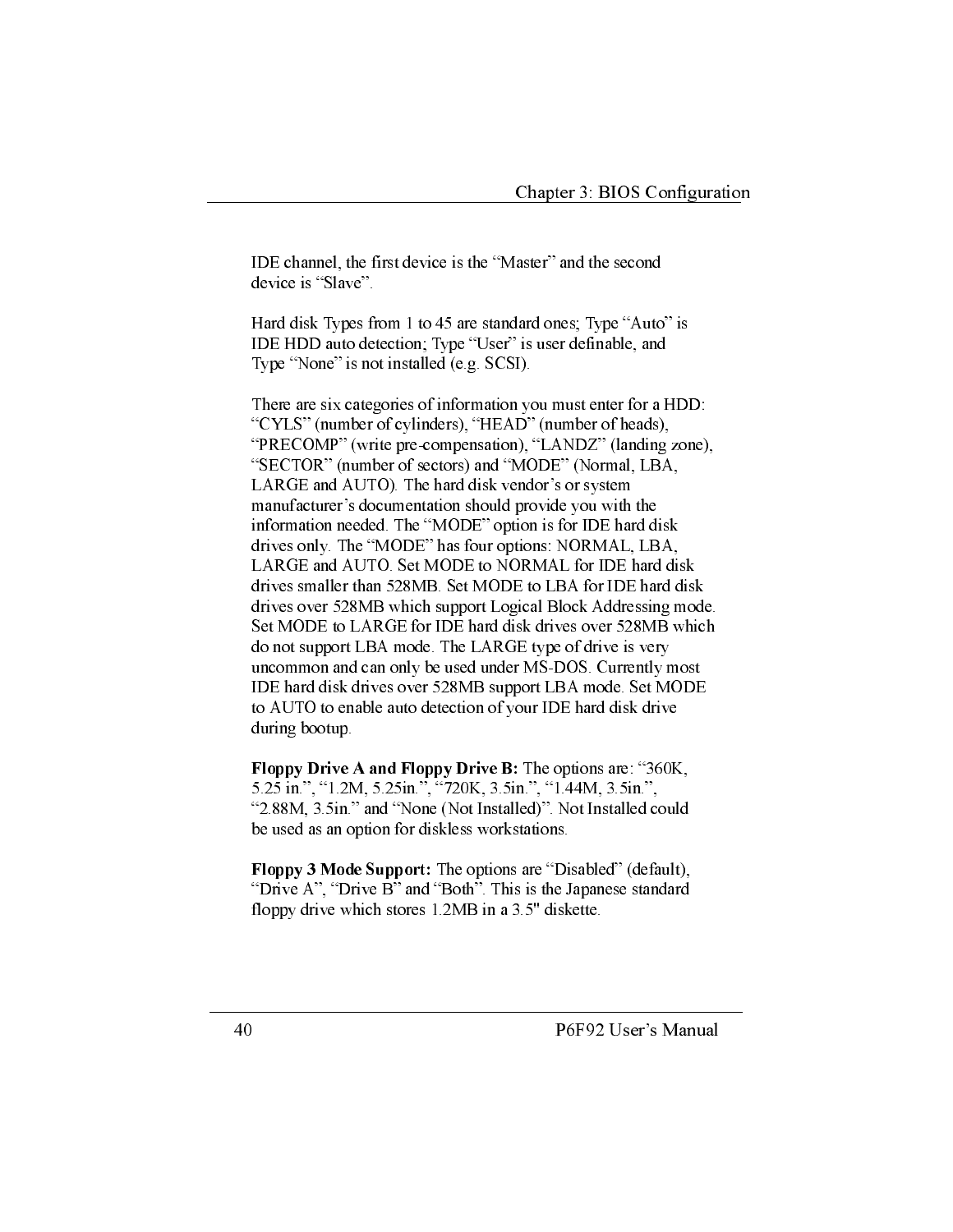IDE channel, the first device is the "Master" and the second device is "Slave".

Hard disk Types from 1 to 45 are standard ones; Type "Auto" is IDE HDD auto detection; Type "User" is user definable, and Type "None" is not installed (e.g. SCSI).

There are six categories of information you must enter for a HDD: "CYLS" (number of cylinders), "HEAD" (number of heads), "PRECOMP" (write pre-compensation), "LANDZ" (landing zone), "SECTOR" (number of sectors) and "MODE" (Normal, LBA, LARGE and AUTO). The hard disk vendor's or system manufacturer's documentation should provide you with the information needed. The "MODE" option is for IDE hard disk drives only. The "MODE" has four options: NORMAL, LBA, LARGE and AUTO. Set MODE to NORMAL for IDE hard disk drives smaller than 528MB. Set MODE to LBA for IDE hard disk drives over 528MB which support Logical Block Addressing mode. Set MODE to LARGE for IDE hard disk drives over 528MB which do not support LBA mode. The LARGE type of drive is very uncommon and can only be used under MS-DOS. Currently most IDE hard disk drives over 528MB support LBA mode. Set MODE to AUTO to enable auto detection of your IDE hard disk drive during bootup.

Floppy Drive A and Floppy Drive B: The options are: "360K, 5.25 in.", "1.2M, 5.25 in.", "720K, 3.5 in.", "1.44M, 3.5 in.", "2.88M, 3.5in." and "None (Not Installed)". Not Installed could be used as an option for diskless workstations.

Floppy 3 Mode Support: The options are "Disabled" (default), "Drive A", "Drive B" and "Both". This is the Japanese standard floppy drive which stores 1.2MB in a 3.5" diskette.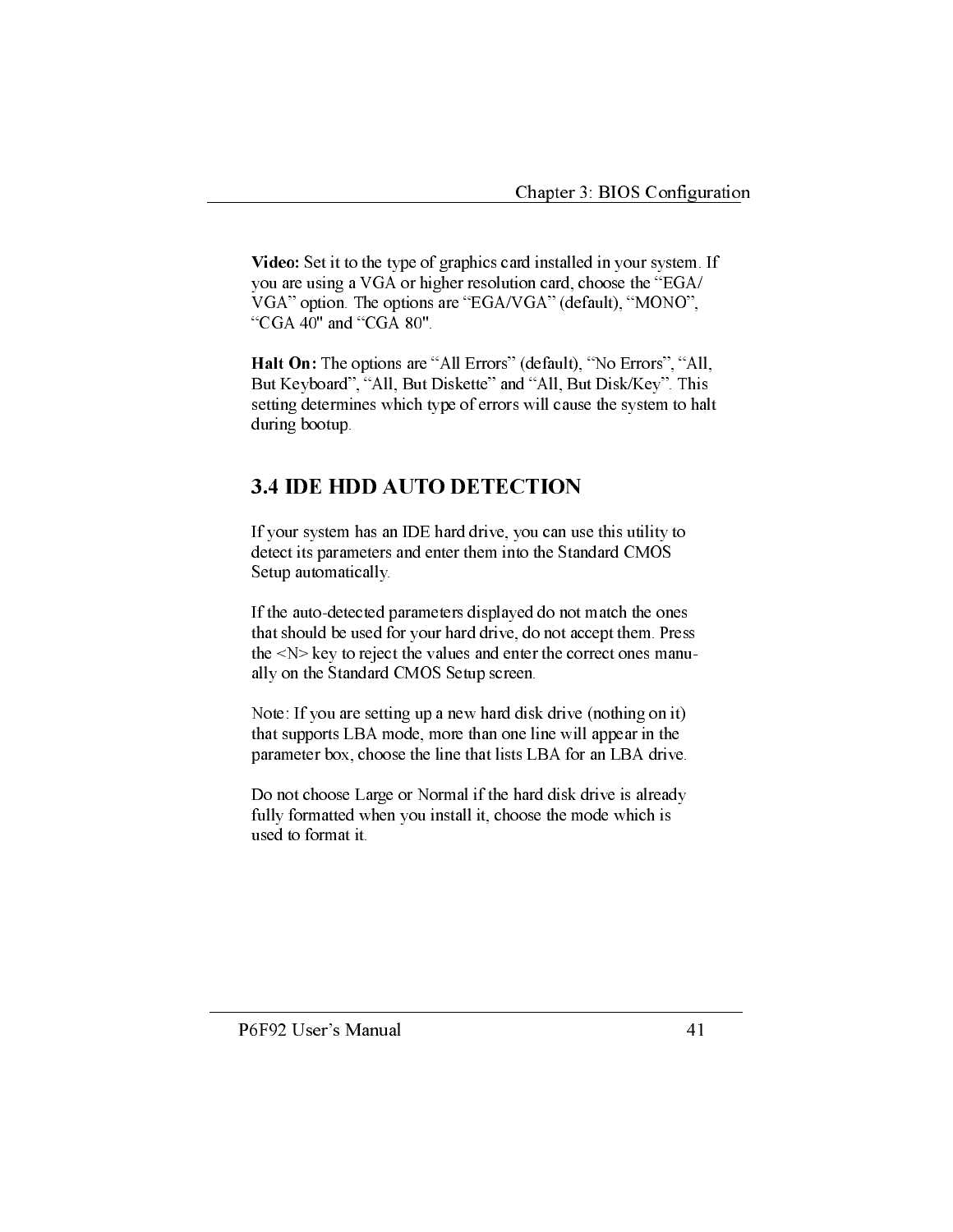Video: Set it to the type of graphics card installed in your system. If you are using a VGA or higher resolution card, choose the "EGA/ VGA" option. The options are "EGA/VGA" (default), "MONO", "CGA 40" and "CGA 80".

Halt On: The options are "All Errors" (default), "No Errors", "All, But Keyboard", "All, But Diskette" and "All, But Disk/Key". This setting determines which type of errors will cause the system to halt during bootup.

## **3.4 IDE HDD AUTO DETECTION**

If your system has an IDE hard drive, you can use this utility to detect its parameters and enter them into the Standard CMOS Setup automatically.

If the auto-detected parameters displayed do not match the ones that should be used for your hard drive, do not accept them. Press the  $\langle N \rangle$  key to reject the values and enter the correct ones manually on the Standard CMOS Setup screen.

Note: If you are setting up a new hard disk drive (nothing on it) that supports LBA mode, more than one line will appear in the parameter box, choose the line that lists LBA for an LBA drive.

Do not choose Large or Normal if the hard disk drive is already fully formatted when you install it, choose the mode which is used to format it.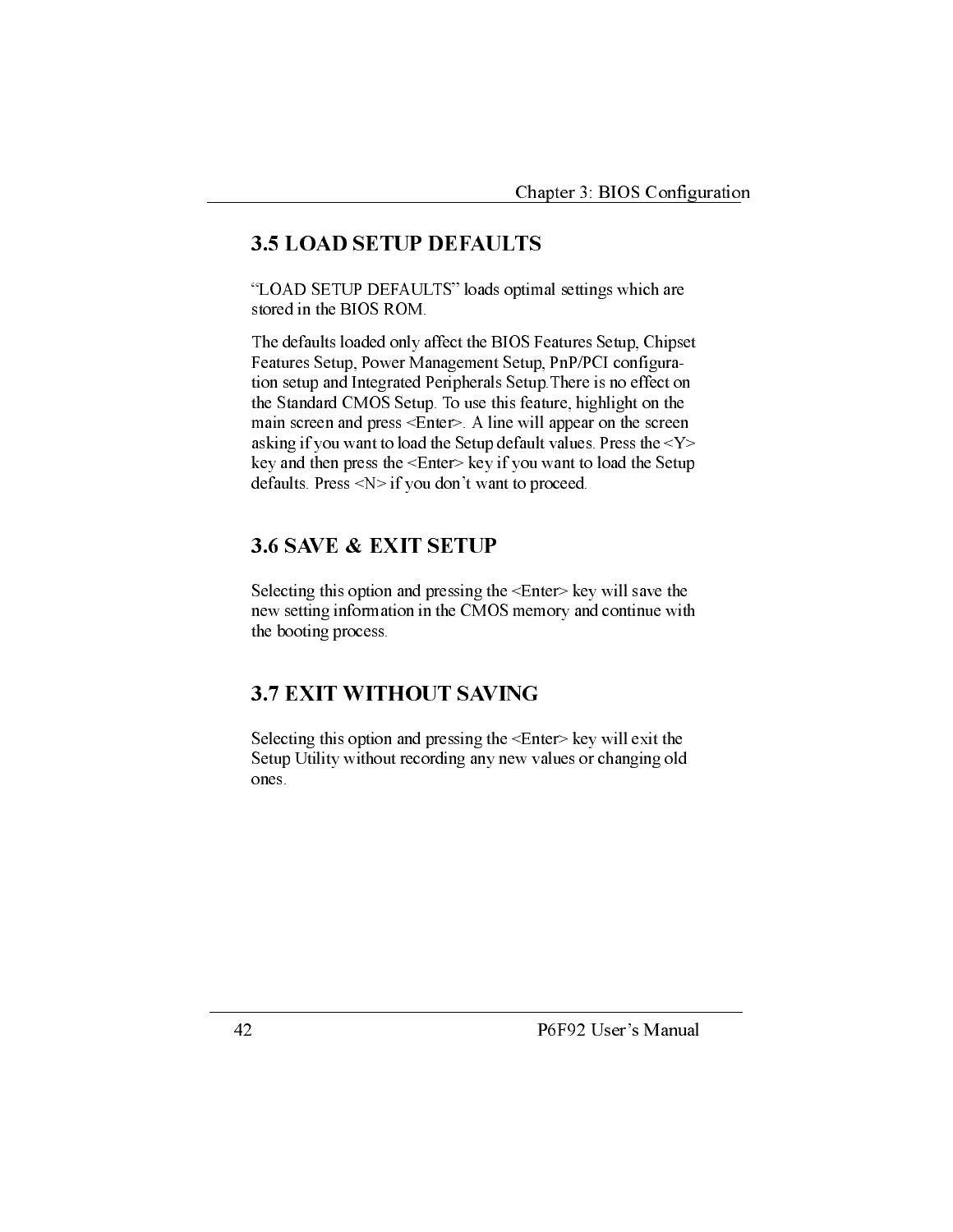## **3.5 LOAD SETUP DEFAULTS**

"LOAD SETUP DEFAULTS" loads optimal settings which are stored in the BIOS ROM.

The defaults loaded only affect the BIOS Features Setup, Chipset Features Setup, Power Management Setup, PnP/PCI configuration setup and Integrated Peripherals Setup. There is no effect on the Standard CMOS Setup. To use this feature, highlight on the main screen and press <Enter>. A line will appear on the screen asking if you want to load the Setup default values. Press the <Y> key and then press the <Enter> key if you want to load the Setup defaults. Press  $\langle N \rangle$  if you don't want to proceed.

## **3.6 SAVE & EXIT SETUP**

Selecting this option and pressing the <Enter> key will save the new setting information in the CMOS memory and continue with the booting process.

## **3.7 EXIT WITHOUT SAVING**

Selecting this option and pressing the <Enter> key will exit the Setup Utility without recording any new values or changing old ones.

P6F92 User's Manual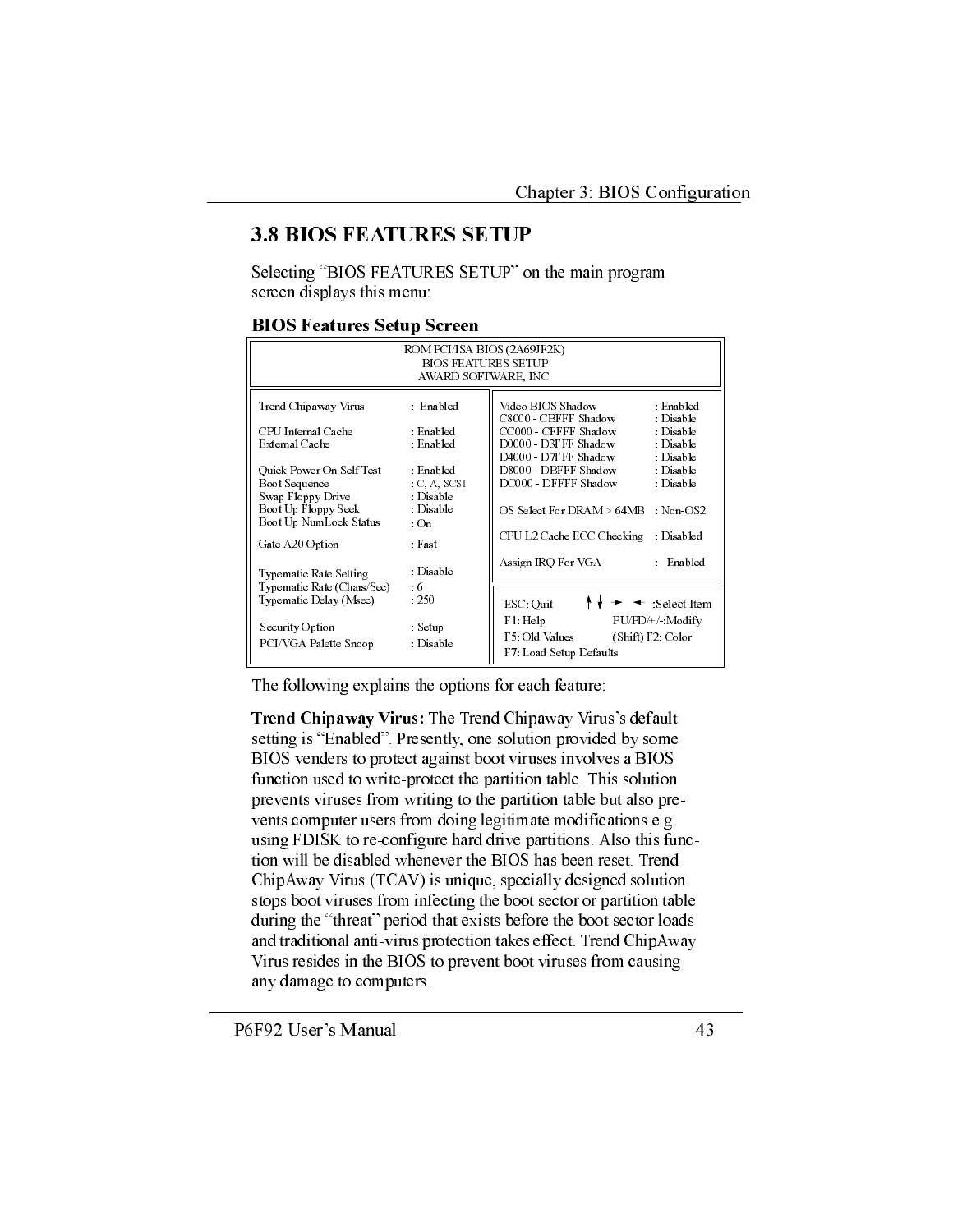## **3.8 BIOS FEATURES SETUP**

Selecting "BIOS FEATURES SETUP" on the main program screen displays this menu:

#### **BIOS Features Setup Screen**

| ROM PCI/ISA BIOS (2A69JF2K)<br><b>BIOS FEATURES SETUP</b><br>AWARD SOFTWARE, INC. |                                              |                                                                                                                        |  |  |
|-----------------------------------------------------------------------------------|----------------------------------------------|------------------------------------------------------------------------------------------------------------------------|--|--|
| Trend Chipaway Virus                                                              | $\therefore$ Enabled                         | Video BIOS Shadow<br>⊤ Enabled<br>C8000 - CBFFF Shadow<br>Disable                                                      |  |  |
| CPU Internal Cache<br>External Cache                                              | Enabled<br>: Enabled                         | CC000 - CFFFF Shadow<br>: Disable<br>D0000 - D3FFF Shadow<br>: Disable<br>D4000 - D7FFF Shadow<br>$\therefore$ Disable |  |  |
| Quick Power On Self Test<br>Boot Sequence<br>Swap Floppy Drive                    | : Enabled<br>C, A, SCSI<br>Dis able          | D8000 - DBFFF Shadow<br>: Disable<br>DC000 - DFFFF Shadow<br>: Disable                                                 |  |  |
| Boot Up Floppy Seek<br>Boot Up NumLock Status                                     | Dis able<br>$\cdot$ On                       | OS Select For DRAM > 64MB<br>Non-OS2                                                                                   |  |  |
| Gate A20 Option                                                                   | : Fast                                       | CPU L2 Cache ECC Checking<br>Disabled<br>Assign IRO For VGA<br>Enabled                                                 |  |  |
| Typematic Rate Setting<br>Typematic Rate (Chars/Sec)<br>Typ ematic Delay (Msec)   | $\therefore$ Disable<br>$\pm 6$<br>$\pm 250$ | $\leftarrow$ Select Item<br>ESC Quit                                                                                   |  |  |
| Security Option<br>PCI/VGA Palette Snoop                                          | : Setup<br>$\therefore$ Disable              | F1 Help<br>PU/PD/+/ Modify<br>F5: Old Values<br>(Shift) F2: Color<br>F7: Load Setup Defaults                           |  |  |

The following explains the options for each feature:

Trend Chipaway Virus: The Trend Chipaway Virus's default setting is "Enabled". Presently, one solution provided by some BIOS venders to protect against boot viruses involves a BIOS function used to write-protect the partition table. This solution prevents viruses from writing to the partition table but also prevents computer users from doing legitimate modifications e.g. using FDISK to re-configure hard drive partitions. Also this function will be disabled whenever the BIOS has been reset. Trend ChipAway Virus (TCAV) is unique, specially designed solution stops boot viruses from infecting the boot sector or partition table during the "threat" period that exists before the boot sector loads and traditional anti-virus protection takes effect. Trend ChipAway Virus resides in the BIOS to prevent boot viruses from causing any damage to computers.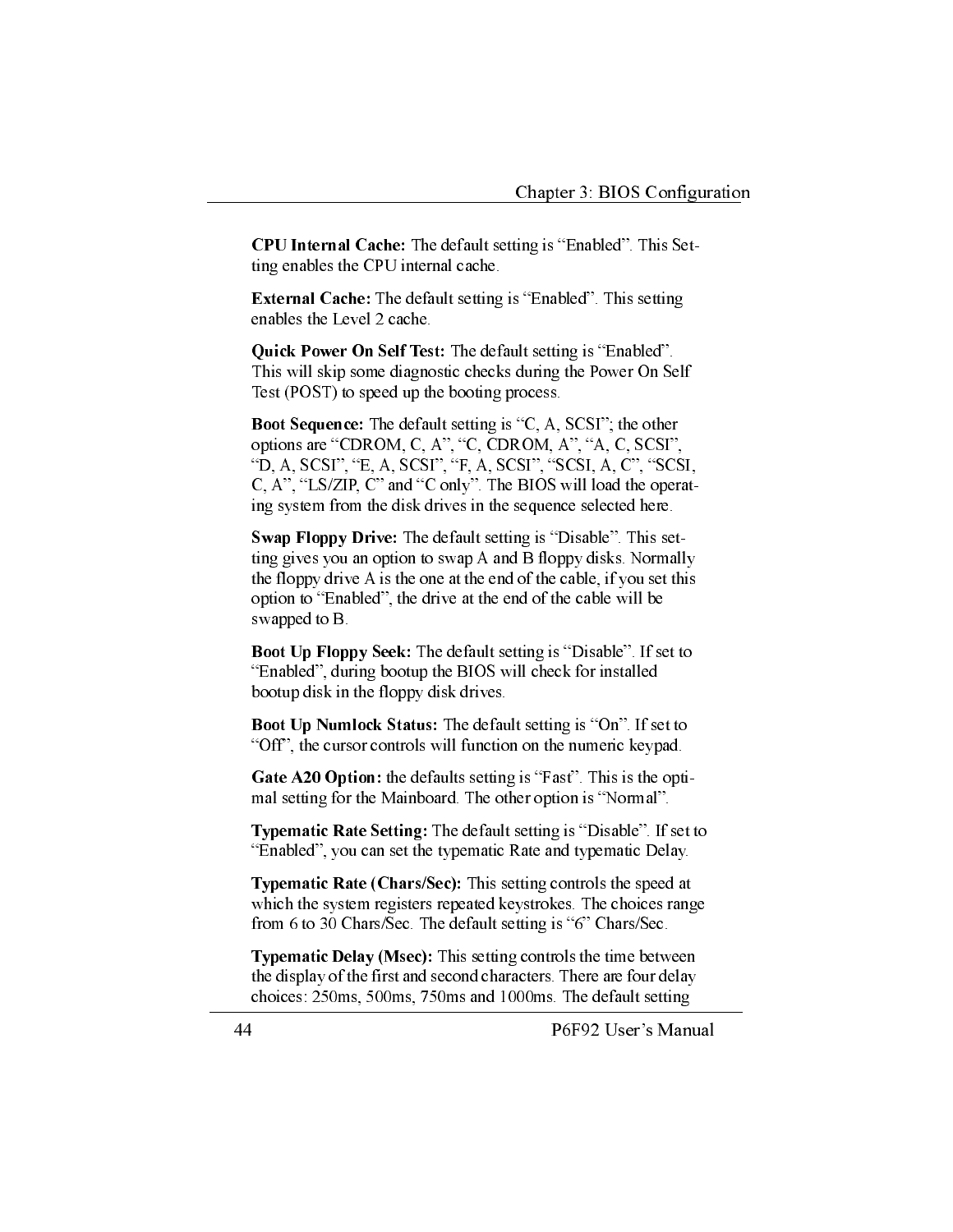**CPU Internal Cache:** The default setting is "Enabled". This Setting enables the CPU internal cache.

**External Cache:** The default setting is "Enabled". This setting enables the Level 2 cache.

Quick Power On Self Test: The default setting is "Enabled". This will skip some diagnostic checks during the Power On Self Test (POST) to speed up the booting process.

**Boot Sequence:** The default setting is "C, A, SCSI"; the other options are "CDROM, C, A", "C, CDROM, A", "A, C, SCSI", "D, A, SCSI", "E, A, SCSI", "F, A, SCSI", "SCSI, A, C", "SCSI, C, A", "LS/ZIP, C" and "C only". The BIOS will load the operating system from the disk drives in the sequence selected here.

Swap Floppy Drive: The default setting is "Disable". This setting gives you an option to swap A and B floppy disks. Normally the floppy drive A is the one at the end of the cable, if you set this option to "Enabled", the drive at the end of the cable will be swapped to B.

**Boot Up Floppy Seek:** The default setting is "Disable". If set to "Enabled", during bootup the BIOS will check for installed bootup disk in the floppy disk drives.

Boot Up Numlock Status: The default setting is "On". If set to "Off", the cursor controls will function on the numeric keypad.

Gate A20 Option: the defaults setting is "Fast". This is the optimal setting for the Mainboard. The other option is "Normal".

Typematic Rate Setting: The default setting is "Disable". If set to "Enabled", you can set the typematic Rate and typematic Delay.

Typematic Rate (Chars/Sec): This setting controls the speed at which the system registers repeated keystrokes. The choices range from 6 to 30 Chars/Sec. The default setting is "6" Chars/Sec.

Typematic Delay (Msec): This setting controls the time between the display of the first and second characters. There are four delay choices: 250ms, 500ms, 750ms and 1000ms. The default setting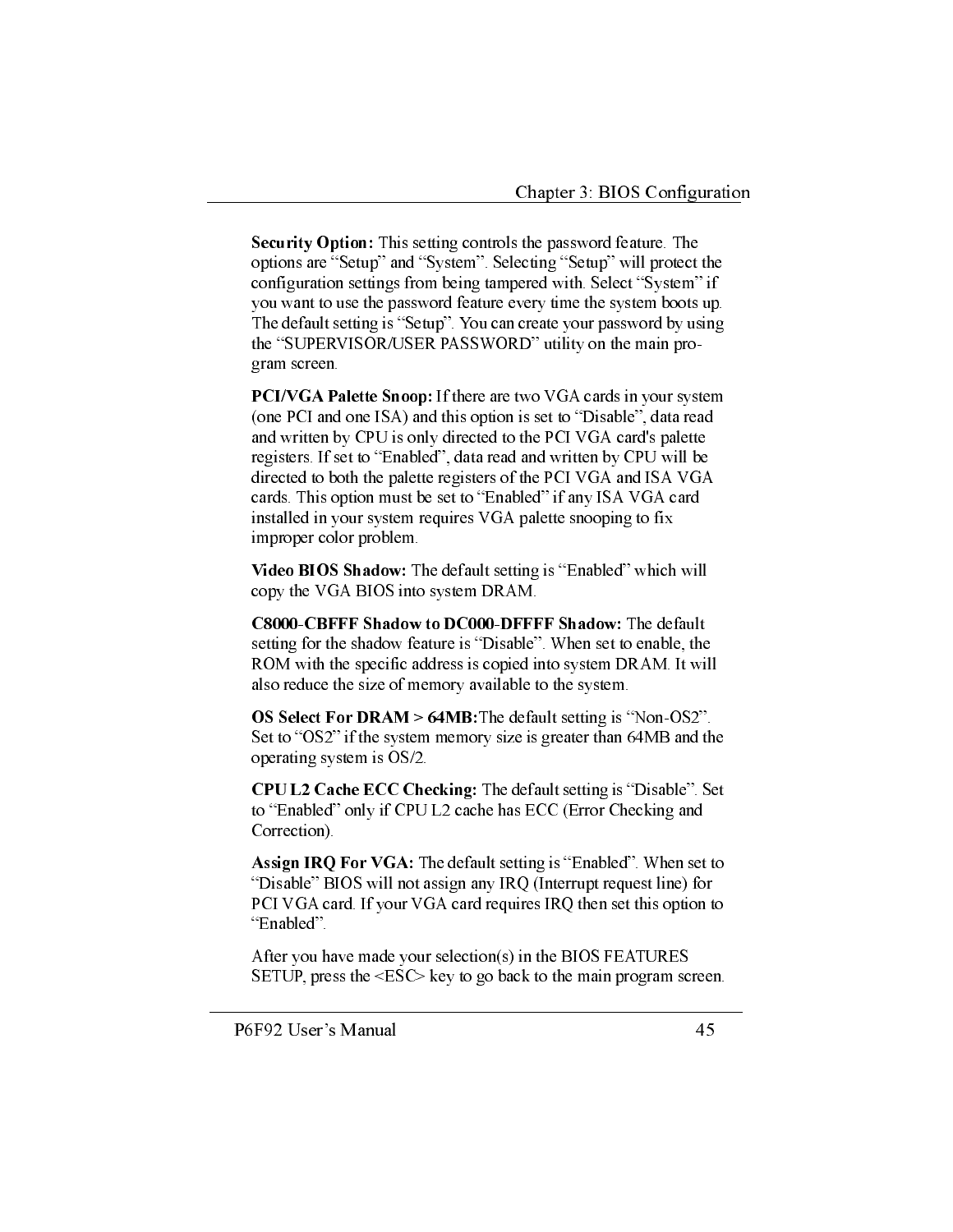**Security Option:** This setting controls the password feature. The options are "Setup" and "System". Selecting "Setup" will protect the configuration settings from being tampered with. Select "System" if you want to use the password feature every time the system boots up. The default setting is "Setup". You can create your password by using the "SUPERVISOR/USER PASSWORD" utility on the main program screen.

**PCI/VGA Palette Snoop:** If there are two VGA cards in your system (one PCI and one ISA) and this option is set to "Disable", data read and written by CPU is only directed to the PCI VGA card's palette registers. If set to "Enabled", data read and written by CPU will be directed to both the palette registers of the PCI VGA and ISA VGA cards. This option must be set to "Enabled" if any ISA VGA card installed in your system requires VGA palette snooping to fix improper color problem.

Video BIOS Shadow: The default setting is "Enabled" which will copy the VGA BIOS into system DRAM.

C8000-CBFFF Shadow to DC000-DFFFF Shadow: The default setting for the shadow feature is "Disable". When set to enable, the ROM with the specific address is copied into system DRAM. It will also reduce the size of memory available to the system.

OS Select For DRAM  $> 64MB$ : The default setting is "Non-OS2". Set to "OS2" if the system memory size is greater than 64MB and the operating system is OS/2.

CPU L2 Cache ECC Checking: The default setting is "Disable". Set to "Enabled" only if CPU L2 cache has ECC (Error Checking and Correction).

Assign IRQ For VGA: The default setting is "Enabled". When set to "Disable" BIOS will not assign any IRQ (Interrupt request line) for PCI VGA card. If your VGA card requires IRQ then set this option to "Enabled".

After you have made your selection(s) in the BIOS FEATURES SETUP, press the  $\leq$ ESC $>$  key to go back to the main program screen.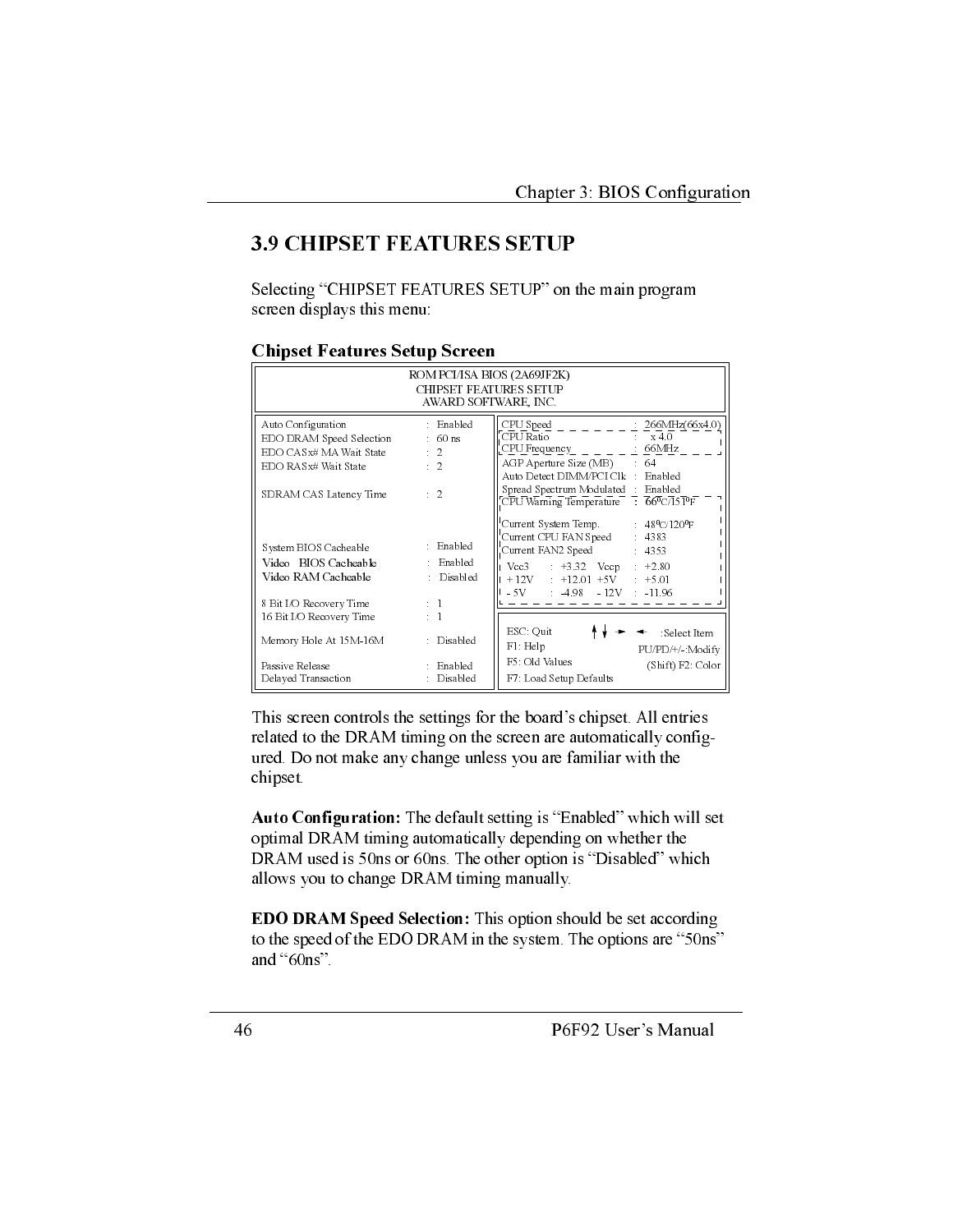## **3.9 CHIPSET FEATURES SETUP**

Selecting "CHIPSET FEATURES SETUP" on the main program screen displays this menu:

#### **Chipset Features Setup Screen**

| ROM PCI/ISA BIOS (2A69JF2K)<br>CHIPSET FEATURES SETUP<br>AWARD SOFTWARE, INC.                                               |                                                                             |                                                                                                                                                                                                                                     |  |
|-----------------------------------------------------------------------------------------------------------------------------|-----------------------------------------------------------------------------|-------------------------------------------------------------------------------------------------------------------------------------------------------------------------------------------------------------------------------------|--|
| Auto Configuration<br>EDO DRAM Speed Selection<br>EDO CASx# MA Wait State<br>EDO RASx# Wait State<br>SDRAM CAS Latency Time | : Enabled<br>$\therefore$ 60 ns<br>$\therefore$ 2<br>$\cdot$ 2<br>$\cdot$ 2 | CPU Speed<br>266MHz(66x4.0)<br>CPU Ratio<br>x 40<br>CPU Frequency : 66MHz<br>$AGP$ Aperture Size (MB) $64$<br>Auto Detect DIMM/PCI Clk : Enabled<br>Spread Spectrum Modulated : Enabled<br>CPU Warning Temperature 66°C/151°F       |  |
| System BIOS Cacheable<br>Video BIOS Cacheable<br>Video RAM Cacheable<br>8 Bit I/O Recovery Time                             | : Enabled<br>: Enabled<br>: Disabled<br>$\pm$ 1                             | Current System Temp. $48^{\circ}$ C/120 <sup>o</sup> F<br>Current CPU FAN Speed: 4383<br>Current FAN2 Speed<br>$\therefore$ 4353<br>$Vcc3$ : +3.32 $Vccp$ : +2.80<br>$+12V$ $+12.01$ $+5V$ $+5.01$<br>$-5V$ $-4.98$ $-12V$ $-11.96$ |  |
| 16 Bit I/O Recovery Time<br>Memory Hole At 15M-16M<br>Passive Release                                                       | $\pm$ 1<br>: Disabled<br>: Enabled                                          | ESC: Quit<br>:Select Item<br>$F1$ : Help<br>PU/PD/+/- Modify<br>F5: Old Values<br>(Shift) F2: Color                                                                                                                                 |  |
| Delayed Transaction                                                                                                         | Disabled                                                                    | F7: Load Setup Defaults                                                                                                                                                                                                             |  |

This screen controls the settings for the board's chipset. All entries related to the DRAM timing on the screen are automatically configured. Do not make any change unless you are familiar with the chipset.

Auto Configuration: The default setting is "Enabled" which will set optimal DRAM timing automatically depending on whether the DRAM used is 50ns or 60ns. The other option is "Disabled" which allows you to change DRAM timing manually.

**EDO DRAM Speed Selection:** This option should be set according to the speed of the EDO DRAM in the system. The options are "50ns" and "60ns".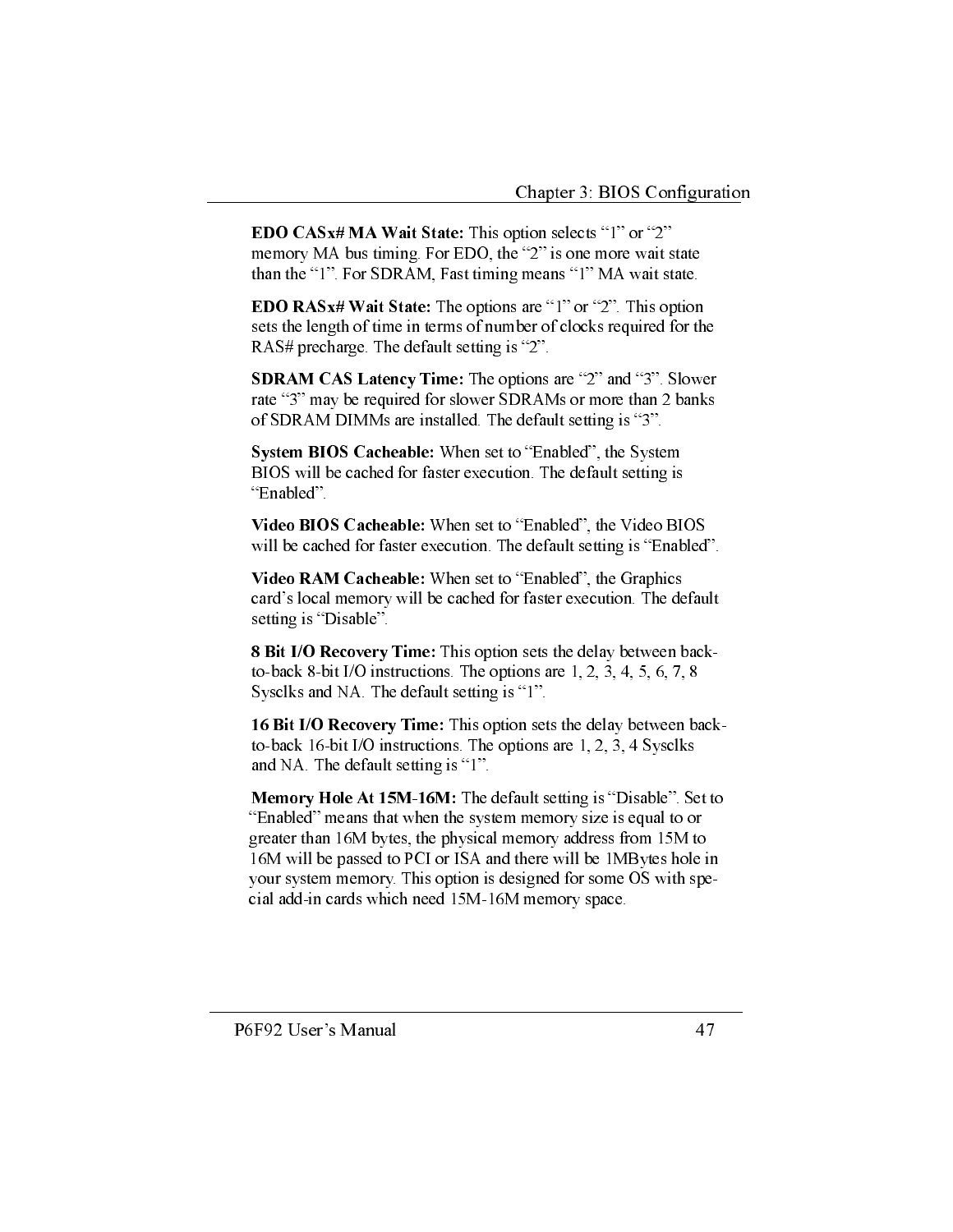**EDO CASx# MA Wait State:** This option selects "1" or "2" memory MA bus timing. For EDO, the "2" is one more wait state than the "1". For SDRAM, Fast timing means "1" MA wait state.

**EDO RASx# Wait State:** The options are "1" or "2". This option sets the length of time in terms of number of clocks required for the RAS# precharge. The default setting is "2".

**SDRAM CAS Latency Time:** The options are "2" and "3". Slower rate "3" may be required for slower SDRAMs or more than 2 banks of SDRAM DIMMs are installed. The default setting is "3".

System BIOS Cacheable: When set to "Enabled", the System BIOS will be cached for faster execution. The default setting is "Enabled".

Video BIOS Cacheable: When set to "Enabled", the Video BIOS will be cached for faster execution. The default setting is "Enabled".

Video RAM Cacheable: When set to "Enabled", the Graphics card's local memory will be cached for faster execution. The default setting is "Disable".

8 Bit I/O Recovery Time: This option sets the delay between backto-back 8-bit I/O instructions. The options are  $1, 2, 3, 4, 5, 6, 7, 8$ Sysclks and NA. The default setting is "1".

16 Bit I/O Recovery Time: This option sets the delay between backto-back 16-bit I/O instructions. The options are 1, 2, 3, 4 Sysclks and NA. The default setting is "1".

Memory Hole At 15M-16M: The default setting is "Disable". Set to "Enabled" means that when the system memory size is equal to or greater than 16M bytes, the physical memory address from 15M to 16M will be passed to PCI or ISA and there will be 1MBytes hole in your system memory. This option is designed for some OS with special add-in cards which need 15M-16M memory space.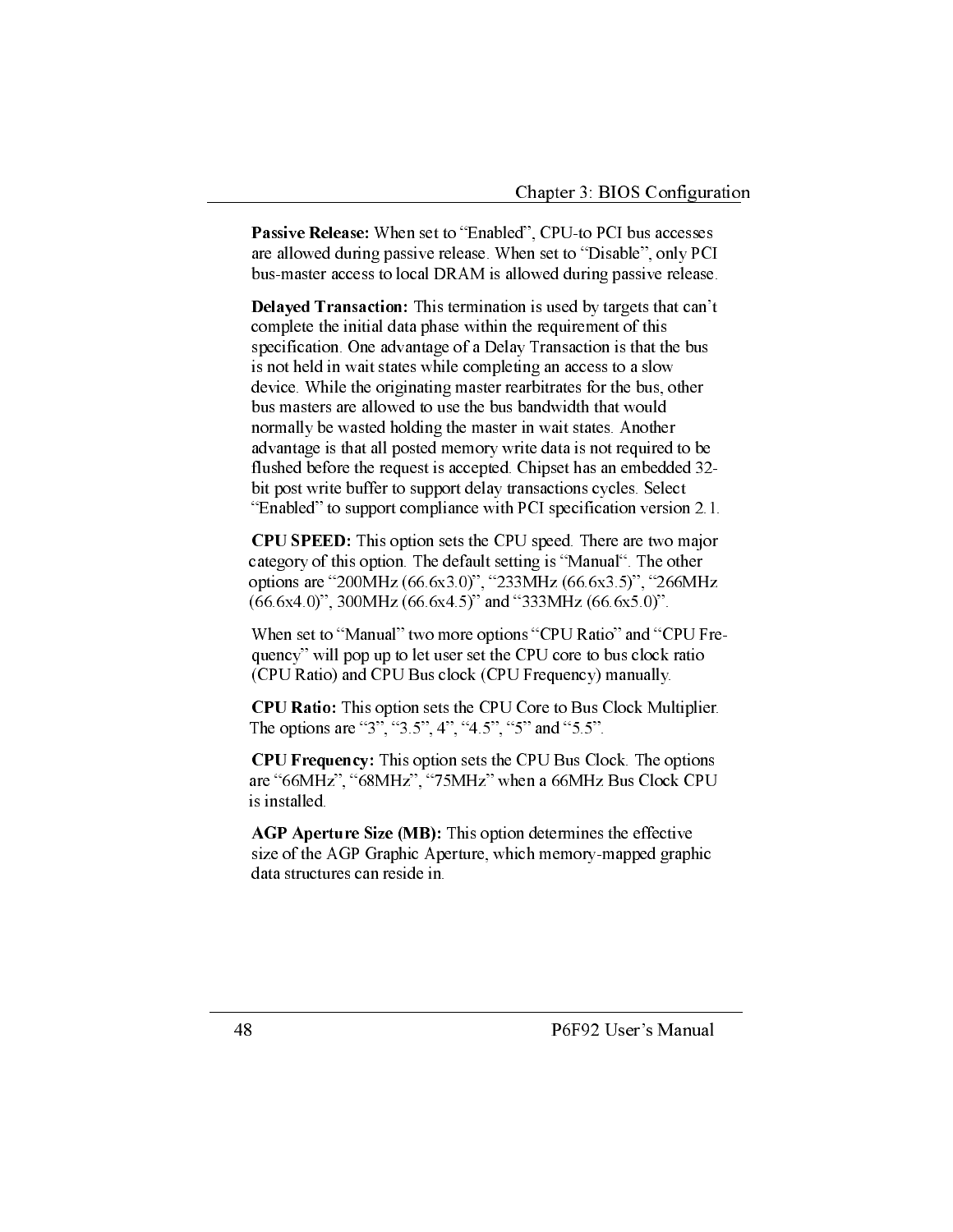**Passive Release:** When set to "Enabled", CPU-to PCI bus accesses are allowed during passive release. When set to "Disable", only PCI bus-master access to local DRAM is allowed during passive release.

**Delayed Transaction:** This termination is used by targets that can't complete the initial data phase within the requirement of this specification. One advantage of a Delay Transaction is that the bus is not held in wait states while completing an access to a slow device. While the originating master rearbitrates for the bus, other bus masters are allowed to use the bus bandwidth that would normally be wasted holding the master in wait states. Another advantage is that all posted memory write data is not required to be flushed before the request is accepted. Chipset has an embedded 32bit post write buffer to support delay transactions cycles. Select "Enabled" to support compliance with PCI specification version 2.1.

**CPU SPEED:** This option sets the CPU speed. There are two major category of this option. The default setting is "Manual". The other options are "200MHz (66.6x3.0)", "233MHz (66.6x3.5)", "266MHz  $(66.6x4.0)$ ", 300MHz  $(66.6x4.5)$ " and "333MHz  $(66.6x5.0)$ ".

When set to "Manual" two more options "CPU Ratio" and "CPU Frequency" will pop up to let user set the CPU core to bus clock ratio (CPU Ratio) and CPU Bus clock (CPU Frequency) manually.

CPU Ratio: This option sets the CPU Core to Bus Clock Multiplier. The options are "3", "3.5", 4", "4.5", "5" and "5.5".

CPU Frequency: This option sets the CPU Bus Clock. The options are "66MHz", "68MHz", "75MHz" when a 66MHz Bus Clock CPU is installed.

**AGP Aperture Size (MB):** This option determines the effective size of the AGP Graphic Aperture, which memory-mapped graphic data structures can reside in.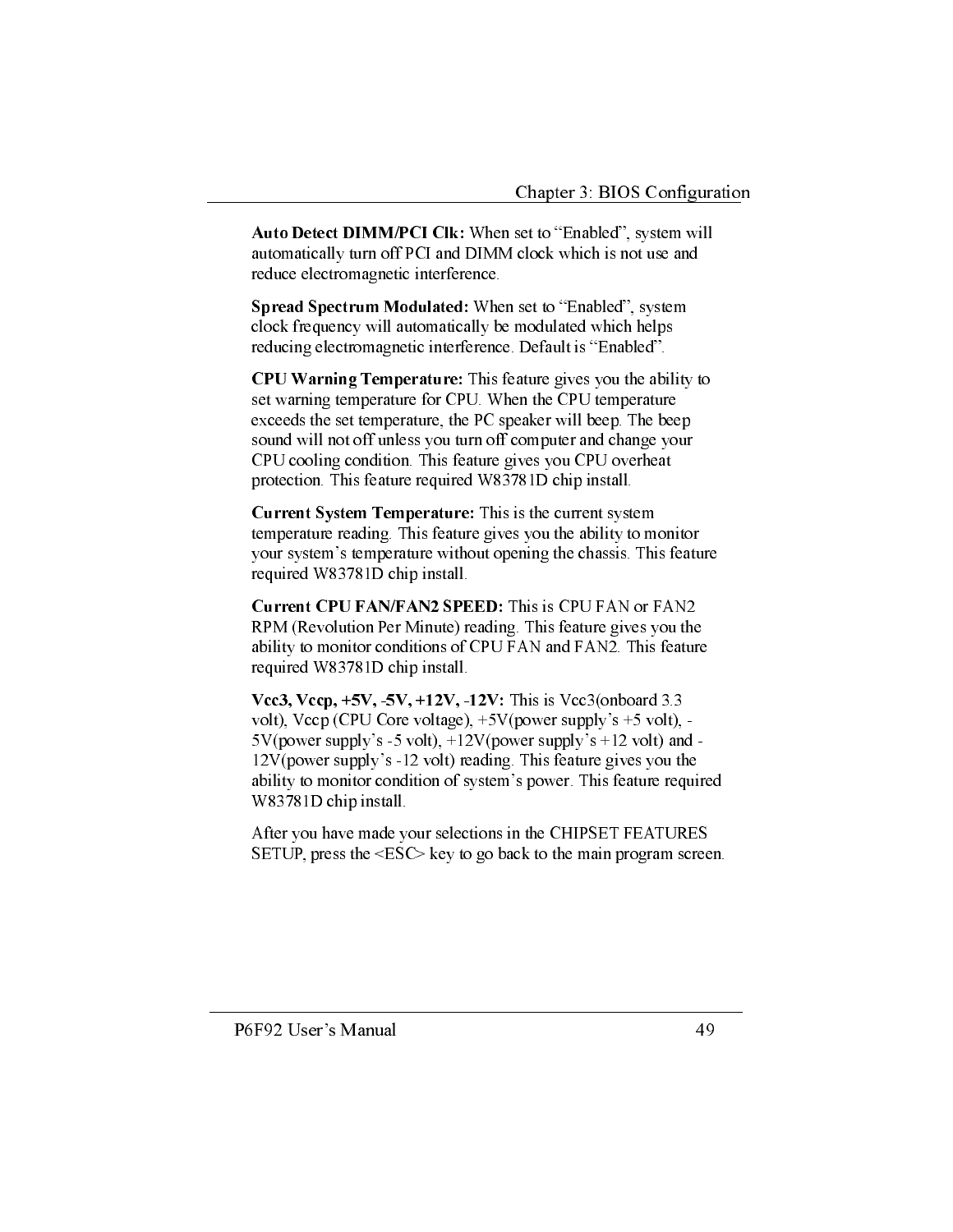Auto Detect DIMM/PCI Clk: When set to "Enabled", system will automatically turn off PCI and DIMM clock which is not use and reduce electromagnetic interference.

Spread Spectrum Modulated: When set to "Enabled", system clock frequency will automatically be modulated which helps reducing electromagnetic interference. Default is "Enabled".

CPU Warning Temperature: This feature gives you the ability to set warning temperature for CPU. When the CPU temperature exceeds the set temperature, the PC speaker will beep. The beep sound will not off unless you turn off computer and change your CPU cooling condition. This feature gives you CPU overheat protection. This feature required W83781D chip install.

Current System Temperature: This is the current system temperature reading. This feature gives you the ability to monitor your system's temperature without opening the chassis. This feature required W83781D chip install.

Current CPU FAN/FAN2 SPEED: This is CPU FAN or FAN2 RPM (Revolution Per Minute) reading. This feature gives you the ability to monitor conditions of CPU FAN and FAN2. This feature required W83781D chip install.

Vcc3, Vccp,  $+5V$ ,  $-5V$ ,  $+12V$ ,  $-12V$ : This is Vcc3(onboard 3.3) volt), Vccp (CPU Core voltage),  $+5V$ (power supply's  $+5$  volt), - $5V$ (power supply's -5 volt),  $+12V$ (power supply's  $+12$  volt) and -12V(power supply's -12 volt) reading. This feature gives you the ability to monitor condition of system's power. This feature required W83781D chip install.

After you have made your selections in the CHIPSET FEATURES SETUP, press the  $\leq$ ESC $>$  key to go back to the main program screen.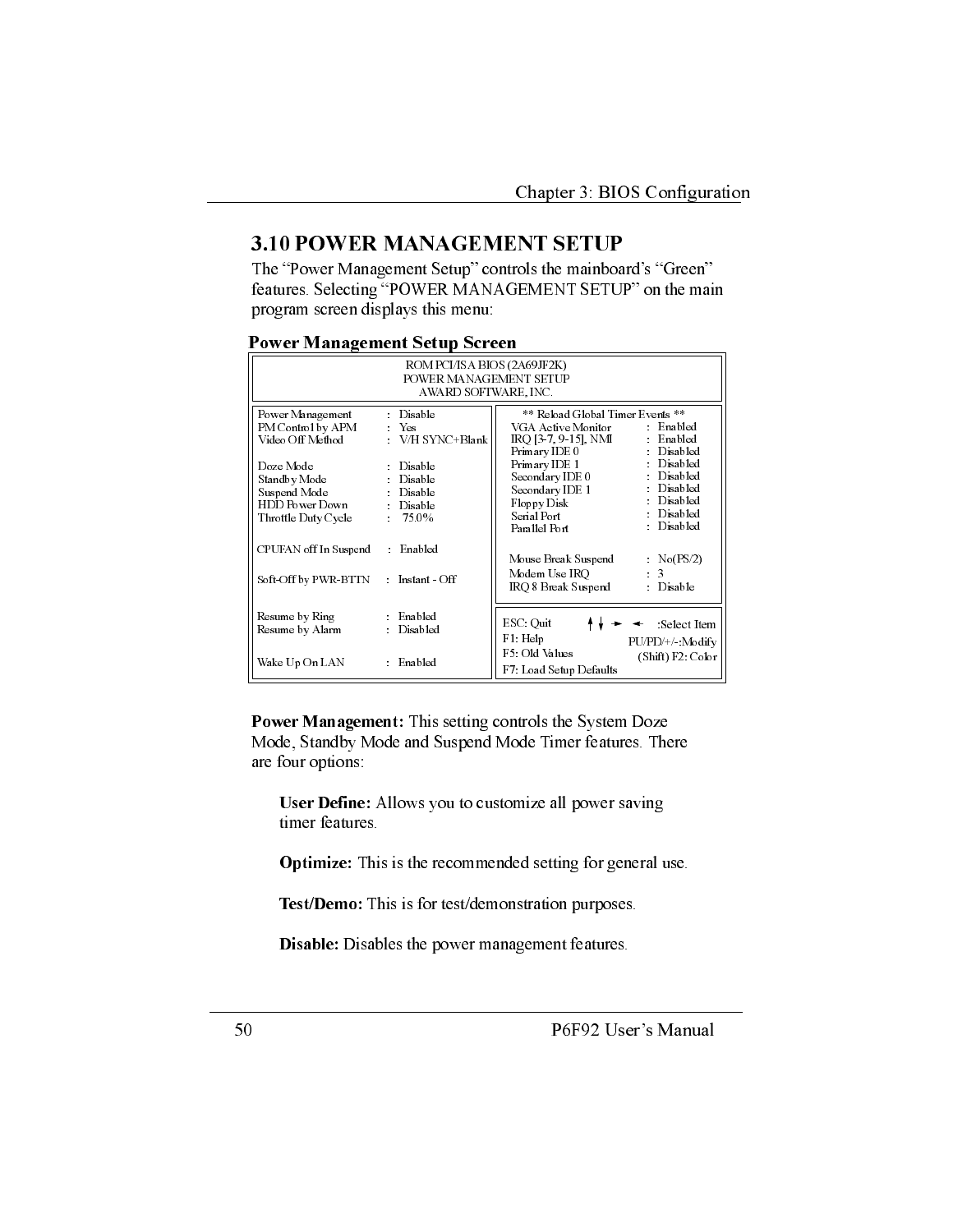## **3.10 POWER MANAGEMENT SETUP**

The "Power Management Setup" controls the mainboard's "Green" features. Selecting "POWER MANAGEMENT SETUP" on the main program screen displays this menu:

#### **Power Management Setup Screen**

| ROM PCI/ISA BIOS (2A69JF2K)<br>POWER MANAGEMENT SETUP<br>AWARD SOFTWARE, INC.      |                                                                                               |                                                                                                                                                                            |
|------------------------------------------------------------------------------------|-----------------------------------------------------------------------------------------------|----------------------------------------------------------------------------------------------------------------------------------------------------------------------------|
| Power Management<br>PM Control by APM<br>Video Off Method                          | Disable<br>Yes<br>: V/H SYNC+Blank                                                            | ** Reload Global Timer Events **<br>$\therefore$ Enabled<br>VGA Active Monitor<br>Enabled<br>IRQ [3-7, 9-15], NMI<br>Disabled<br>Primary IDE 0                             |
| Doze Mode<br>Standby Mode<br>Suspend Mode<br>HDD Power Down<br>Throttle Duty Cycle | $\Box$ Disable<br>Disable<br>$\Box$ Disable<br>Disable<br>75.0%<br>$\mathcal{L}^{\text{max}}$ | Disabled<br>Primary IDE 1<br>Disabled<br>Secondary IDE 0<br>Disabled<br>Secondary IDE 1<br>Disabled<br>Floppy Disk<br>Disabled<br>Serial Port<br>Disabled<br>Parallel Port |
| CPUFAN off In Suspend                                                              | : Enabled                                                                                     | Mouse Break Suspend<br>$\sim$ No(PS/2)                                                                                                                                     |
| Soft-Off by PWR-BTTN                                                               | Instant Off                                                                                   | Modem Use IRO<br>$\mathbf{3}$<br>$\mathcal{L}^{\mathcal{L}}$<br>IRO 8 Break Suspend<br>Disable                                                                             |
| Resume by Ring<br>Resume by Alarm                                                  | : Enabled<br>Disabled                                                                         | ESC Quit<br>Select Item<br>F1 Help<br>PU/PD/+/- Modify                                                                                                                     |
| Wake Up On LAN                                                                     | : Enabled                                                                                     | F5 Old Values<br>(Shift) F2: Color<br>F7: Load Setup Defaults                                                                                                              |

Power Management: This setting controls the System Doze Mode, Standby Mode and Suspend Mode Timer features. There are four options:

User Define: Allows you to customize all power saving timer features.

Optimize: This is the recommended setting for general use.

Test/Demo: This is for test/demonstration purposes.

Disable: Disables the power management features.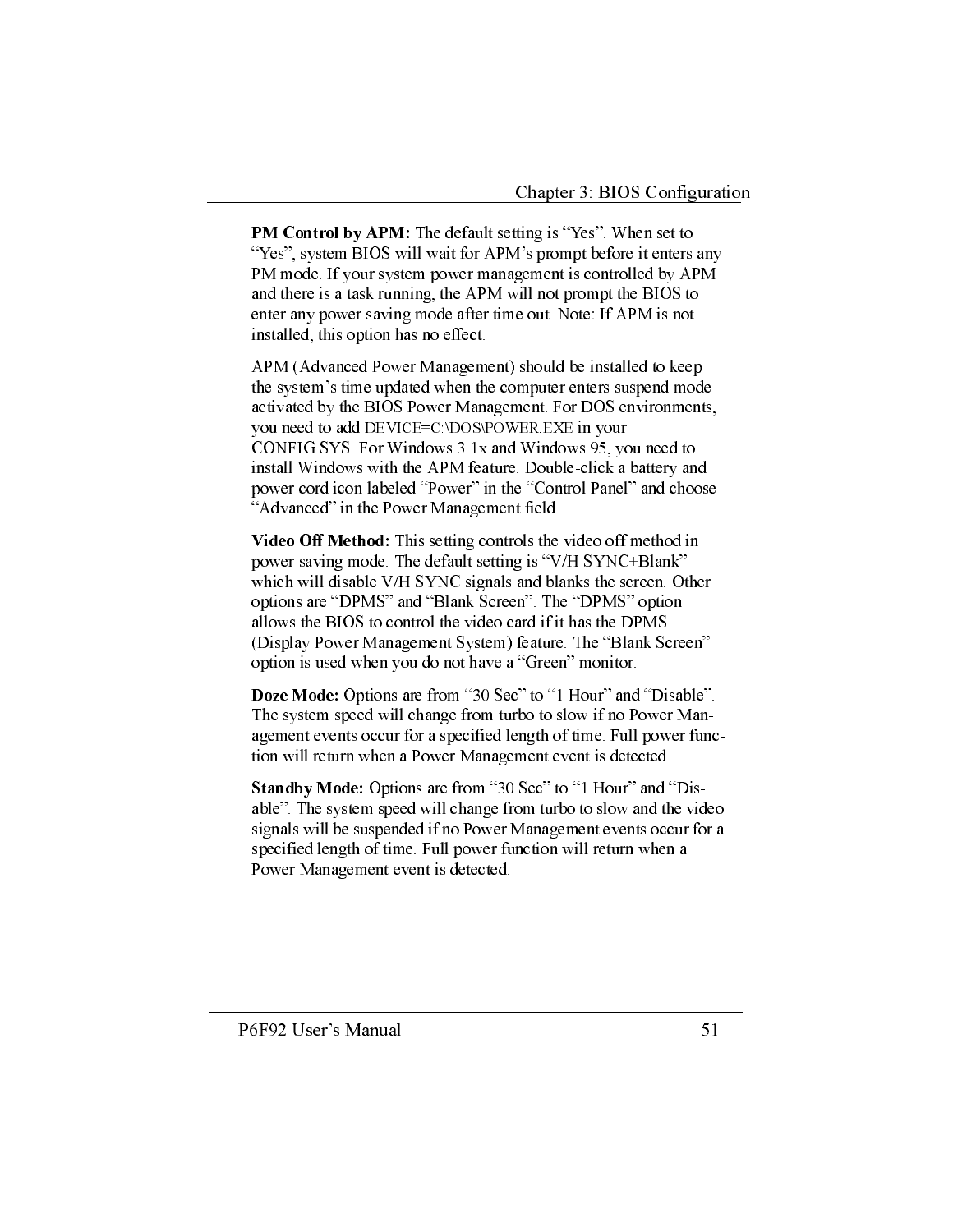**PM Control by APM:** The default setting is "Yes". When set to "Yes", system BIOS will wait for APM's prompt before it enters any PM mode. If your system power management is controlled by APM and there is a task running, the APM will not prompt the BIOS to enter any power saving mode after time out. Note: If APM is not installed, this option has no effect.

APM (Advanced Power Management) should be installed to keep the system's time updated when the computer enters suspend mode activated by the BIOS Power Management. For DOS environments, you need to add DEVICE=C \DOS\POWER EXE in your CONFIG SYS. For Windows 3.1x and Windows 95, you need to install Windows with the APM feature. Double-click a battery and power cord icon labeled "Power" in the "Control Panel" and choose "Advanced" in the Power Management field.

Video Off Method: This setting controls the video off method in power saving mode. The default setting is "V/H SYNC+Blank" which will disable V/H SYNC signals and blanks the screen. Other options are "DPMS" and "Blank Screen". The "DPMS" option allows the BIOS to control the video card if it has the DPMS (Display Power Management System) feature. The "Blank Screen" option is used when you do not have a "Green" monitor.

Doze Mode: Options are from "30 Sec" to "1 Hour" and "Disable". The system speed will change from turbo to slow if no Power Management events occur for a specified length of time. Full power function will return when a Power Management event is detected.

Standby Mode: Options are from "30 Sec" to "1 Hour" and "Disable". The system speed will change from turbo to slow and the video signals will be suspended if no Power Management events occur for a specified length of time. Full power function will return when a Power Management event is detected.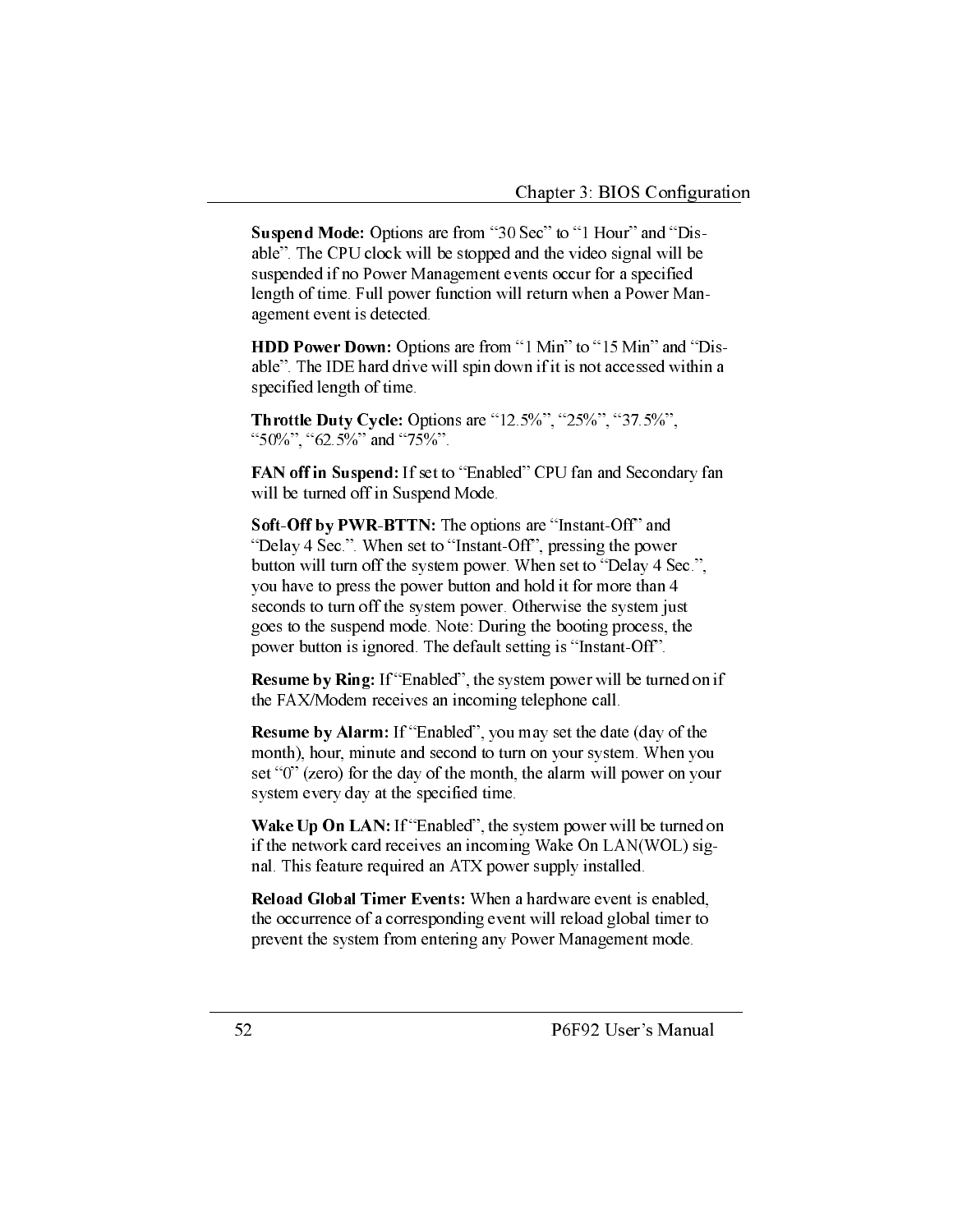Suspend Mode: Options are from "30 Sec" to "1 Hour" and "Disable". The CPU clock will be stopped and the video signal will be suspended if no Power Management events occur for a specified length of time. Full power function will return when a Power Management event is detected.

**HDD Power Down:** Options are from "1 Min" to "15 Min" and "Disable". The IDE hard drive will spin down if it is not accessed within a specified length of time.

Throttle Duty Cycle: Options are "12.5%", "25%", "37.5%", "50%", "62.5%" and "75%".

FAN off in Suspend: If set to "Enabled" CPU fan and Secondary fan will be turned off in Suspend Mode.

Soft-Off by PWR-BTTN: The options are "Instant-Off" and "Delay 4 Sec.". When set to "Instant-Off", pressing the power button will turn off the system power. When set to "Delay 4 Sec.", you have to press the power button and hold it for more than 4 seconds to turn off the system power. Otherwise the system just goes to the suspend mode. Note: During the booting process, the power button is ignored. The default setting is "Instant-Off".

**Resume by Ring:** If "Enabled", the system power will be turned on if the FAX/Modem receives an incoming telephone call.

**Resume by Alarm:** If "Enabled", you may set the date (day of the month), hour, minute and second to turn on your system. When you set "0" (zero) for the day of the month, the alarm will power on your system every day at the specified time.

Wake Up On LAN: If "Enabled", the system power will be turned on if the network card receives an incoming Wake On LAN(WOL) signal. This feature required an ATX power supply installed.

Reload Global Timer Events: When a hardware event is enabled. the occurrence of a corresponding event will reload global timer to prevent the system from entering any Power Management mode.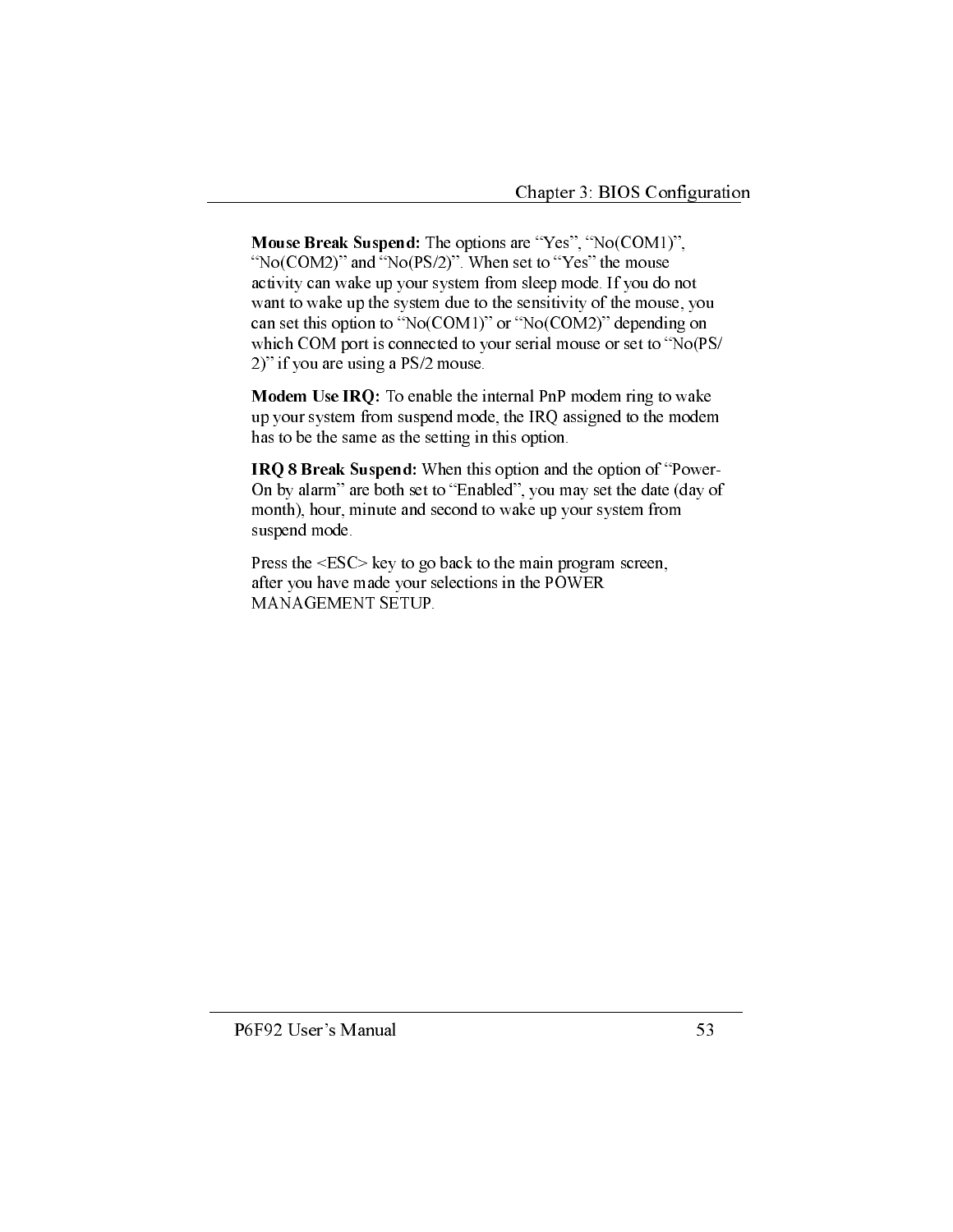Mouse Break Suspend: The options are "Yes", "No(COM1)", "No(COM2)" and "No(PS/2)". When set to "Yes" the mouse activity can wake up your system from sleep mode. If you do not want to wake up the system due to the sensitivity of the mouse, you can set this option to " $No(COM1)$ " or " $No(COM2)$ " depending on which COM port is connected to your serial mouse or set to "No(PS/ 2)" if you are using a PS/2 mouse.

Modem Use IRQ: To enable the internal PnP modem ring to wake up your system from suspend mode, the IRQ assigned to the modem has to be the same as the setting in this option.

IRQ 8 Break Suspend: When this option and the option of "Power-On by alarm" are both set to "Enabled", you may set the date (day of month), hour, minute and second to wake up your system from suspend mode.

Press the <ESC> key to go back to the main program screen, after you have made your selections in the POWER MANAGEMENT SETUP.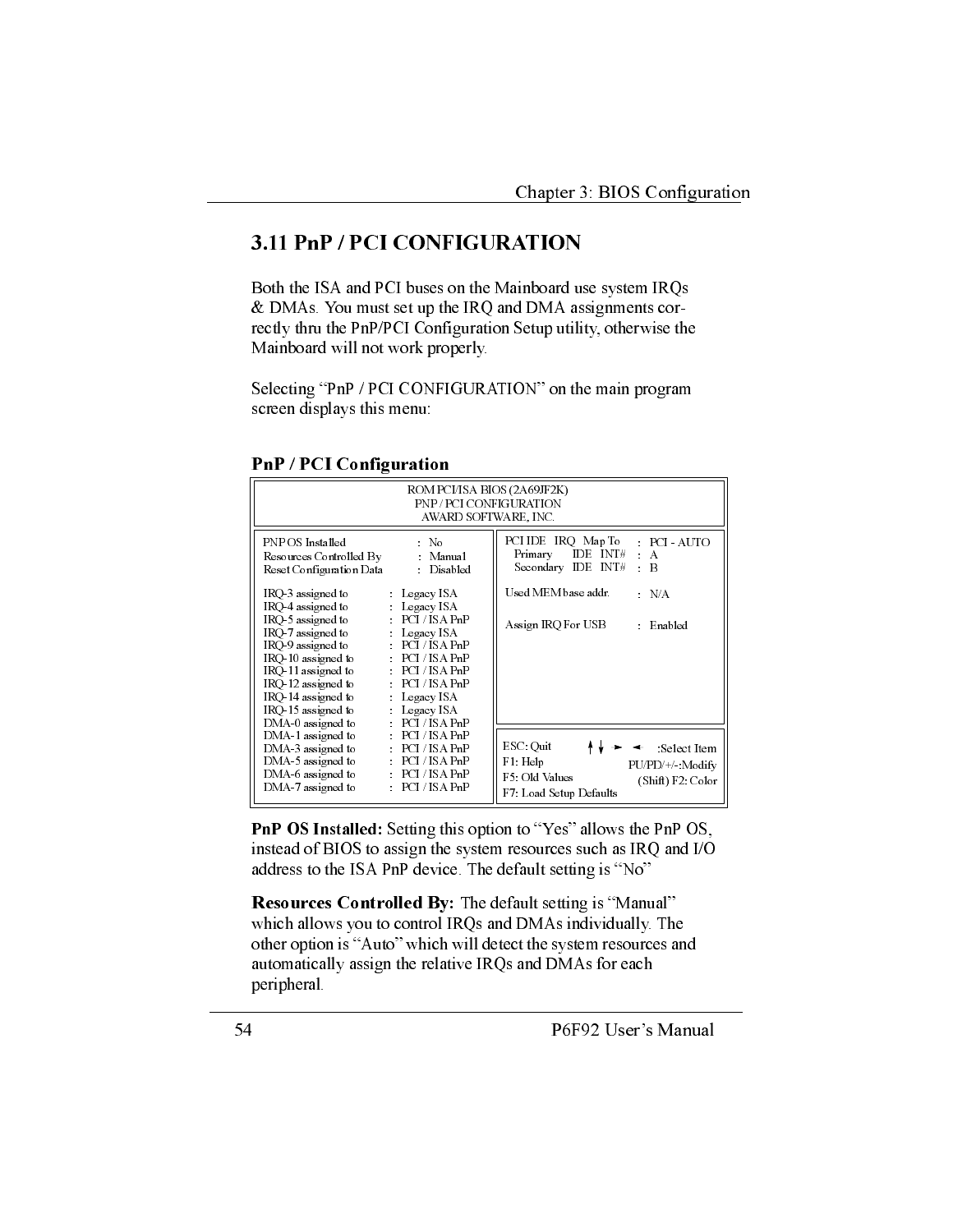## 3.11 PnP / PCI CONFIGURATION

Both the ISA and PCI buses on the Mainboard use system IRQs & DMAs. You must set up the IRQ and DMA assignments correctly thru the PnP/PCI Configuration Setup utility, otherwise the Mainboard will not work properly.

Selecting "PnP / PCI CONFIGURATION" on the main program screen displays this menu:

**PnP / PCI Configuration** 

| ROM PCI/IS A BIOS (2A69JF2K)<br>PNP/PCLCONFIGURATION<br>AWARD SOFTWARE, INC.                                                                                                                                        |                                                                                                                                                                                            |                                                                                                                                  |  |
|---------------------------------------------------------------------------------------------------------------------------------------------------------------------------------------------------------------------|--------------------------------------------------------------------------------------------------------------------------------------------------------------------------------------------|----------------------------------------------------------------------------------------------------------------------------------|--|
| PNP OS Installed<br>Resources Controlled By Manual<br>Reset Configuration Data                                                                                                                                      | $\sim$ No<br>Disabled                                                                                                                                                                      | PCI IDE IRQ Map To<br>PCI AUTO<br>Primary<br>$IDE$ $INT#$<br>$\epsilon$<br>$\mathbf{A}$<br>Secondary IDE INT#<br>R<br>$\epsilon$ |  |
| IRQ 3 assigned to<br>IRO-4 assigned to<br>IRO 5 assigned to<br>IRQ-7 assigned to<br>IRQ 9 assigned to<br>IRO 10 assigned to<br>IRQ 11 assigned to<br>IRQ 12 assigned to<br>IRQ 14 assigned to<br>IRO 15 assigned to | Legacy ISA<br>$Legacy$ ISA<br>PCI/ISA PnP<br>$Legacy$ ISA<br>PCI/ISA PnP<br>PCI/ISA PnP<br>PCI/ISA PnP<br>PCI/ISA PnP<br>$\therefore$ Legacy ISA<br>$\therefore$ Legacy ISA<br>PCI/ISA PnP | Used MEM base addr.<br>$\therefore$ N/A<br>Assign IRQ For USB<br>$\therefore$ Enabled                                            |  |
| DMA 0 assigned to<br>DMA 1 assigned to<br>DMA 3 assigned to<br>DMA 5 assigned to<br>$DMA_6$ assigned to<br>DMA 7 assigned to                                                                                        | PCI/ISA PnP<br>PCI/ISA PnP<br>PCI/ISA PnP<br>PCI/ISA PnP<br>PCI/ISA PnP                                                                                                                    | ESC: Quit<br>Select Item<br>F1: Help<br>PU/PD/+/ Modify<br>F5: Old Values<br>(Shift) F2 Color<br>F7: Load Setup Defaults         |  |

PnP OS Installed: Setting this option to "Yes" allows the PnP OS, instead of BIOS to assign the system resources such as IRQ and I/O address to the ISA PnP device. The default setting is "No"

Resources Controlled By: The default setting is "Manual" which allows you to control IRQs and DMAs individually. The other option is "Auto" which will detect the system resources and automatically assign the relative IRQs and DMAs for each peripheral.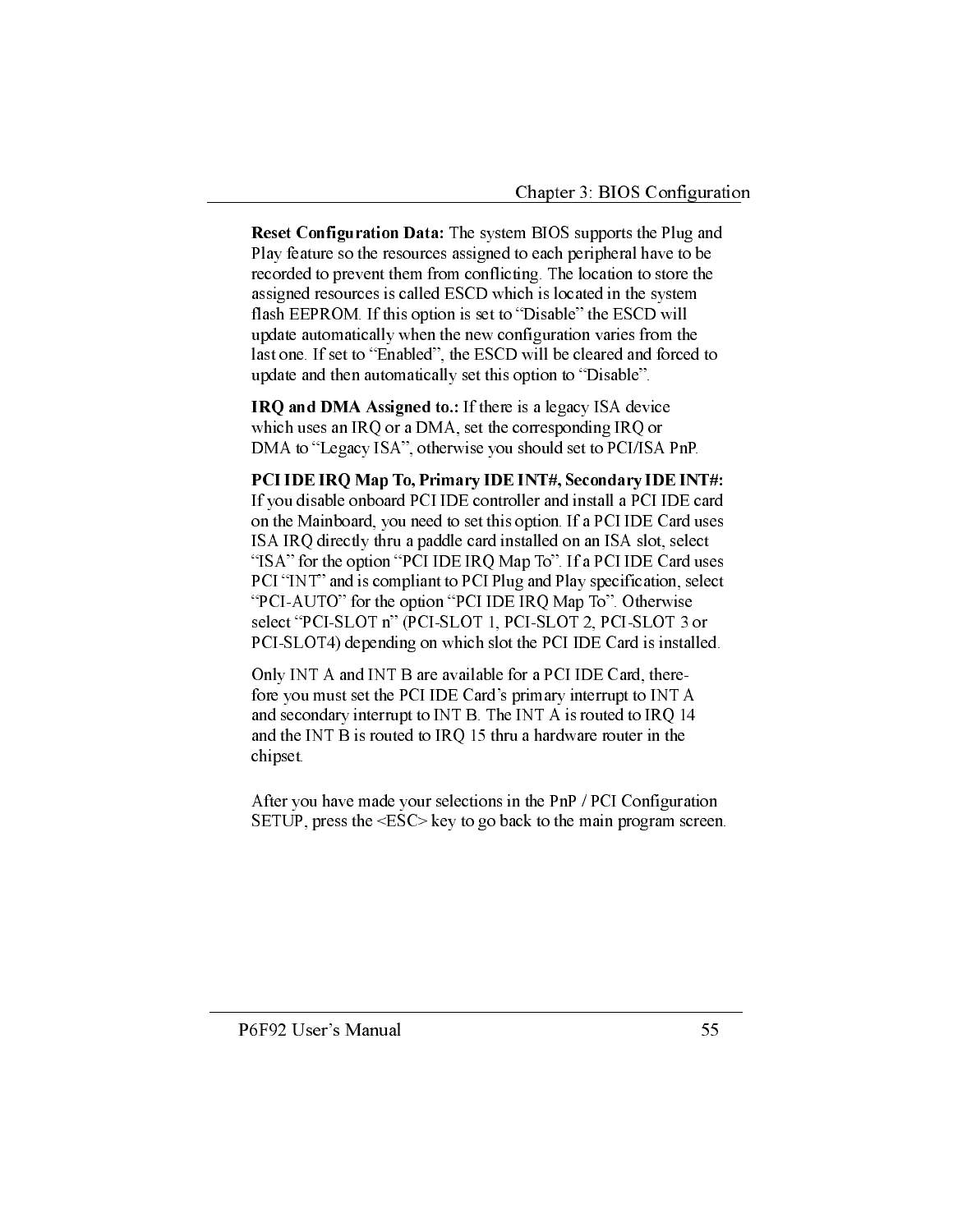Reset Configuration Data: The system BIOS supports the Plug and Play feature so the resources assigned to each peripheral have to be recorded to prevent them from conflicting. The location to store the assigned resources is called ESCD which is located in the system flash EEPROM. If this option is set to "Disable" the ESCD will update automatically when the new configuration varies from the last one. If set to "Enabled", the ESCD will be cleared and forced to update and then automatically set this option to "Disable".

**IRQ and DMA Assigned to.:** If there is a legacy ISA device which uses an IRQ or a DMA, set the corresponding IRQ or DMA to "Legacy ISA", otherwise you should set to PCI/ISA PnP.

PCI IDE IRQ Map To, Primary IDE INT#, Secondary IDE INT#: If you disable onboard PCI IDE controller and install a PCI IDE card on the Mainboard, you need to set this option. If a PCI IDE Card uses ISA IRQ directly thru a paddle card installed on an ISA slot, select "ISA" for the option "PCI IDE IRQ Map To". If a PCI IDE Card uses PCI "INT" and is compliant to PCI Plug and Play specification, select "PCI-AUTO" for the option "PCI IDE IRQ Map To". Otherwise select "PCI-SLOT n" (PCI-SLOT 1, PCI-SLOT 2, PCI-SLOT 3 or PCI-SLOT4) depending on which slot the PCI IDE Card is installed.

Only INT A and INT B are available for a PCI IDE Card, therefore you must set the PCI IDE Card's primary interrupt to INT A and secondary interrupt to INT B. The INT A is routed to IRQ 14 and the INT B is routed to IRQ 15 thru a hardware router in the chipset.

After you have made your selections in the PnP / PCI Configuration SETUP, press the <ESC> key to go back to the main program screen.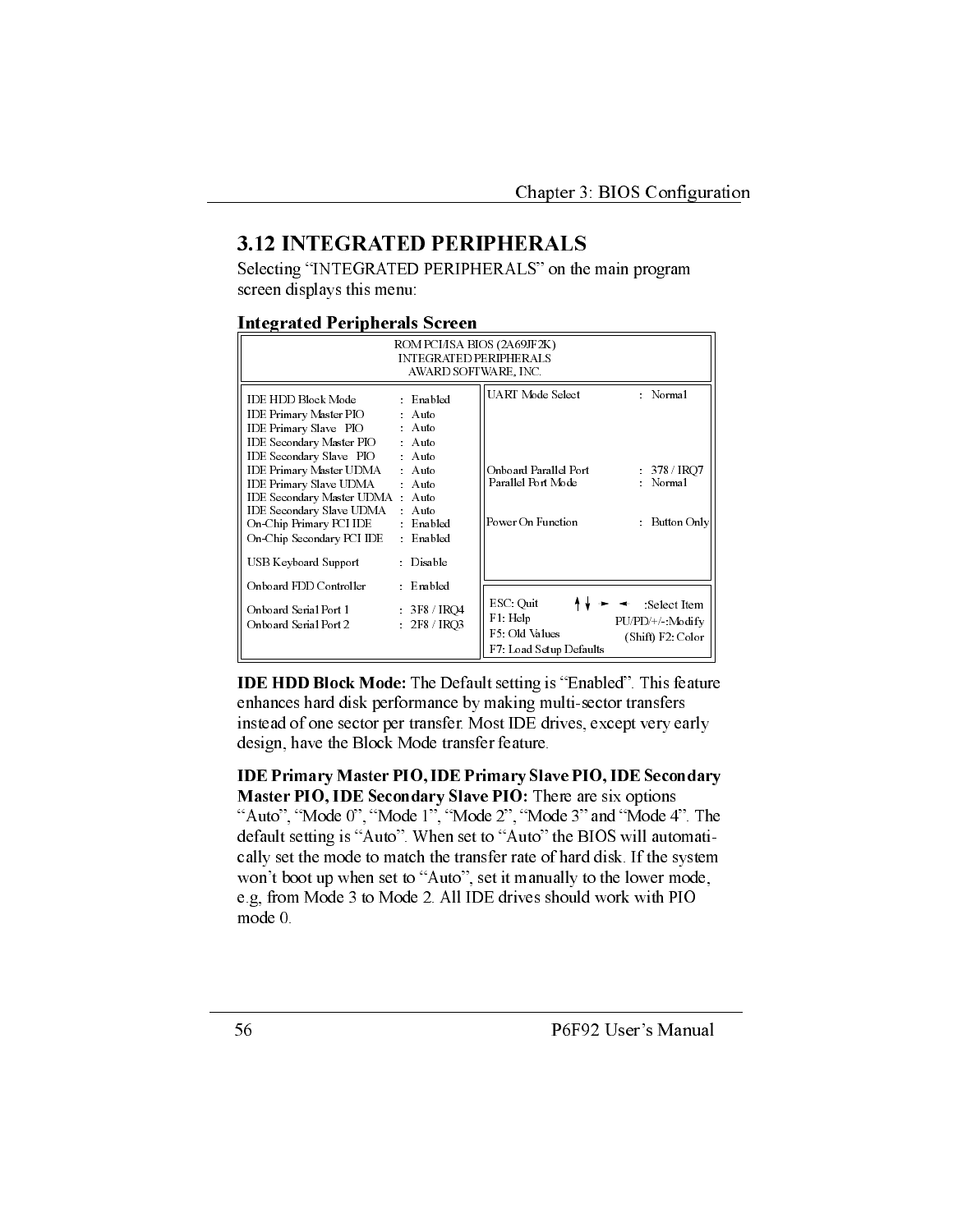## **3.12 INTEGRATED PERIPHERALS**

Selecting "INTEGRATED PERIPHERALS" on the main program screen displays this menu:

#### **Integrated Peripherals Screen**

| ROM PCI/ISA BIOS (2A69JF2K)<br><b>INTEGRATED PERIPHERALS</b><br>AWARD SOFTWARE, INC.                                                                                                                                                                                                                                                               |                                                                                                                         |                                                                                      |                                                           |
|----------------------------------------------------------------------------------------------------------------------------------------------------------------------------------------------------------------------------------------------------------------------------------------------------------------------------------------------------|-------------------------------------------------------------------------------------------------------------------------|--------------------------------------------------------------------------------------|-----------------------------------------------------------|
| <b>IDE HDD Block Mode</b><br>IDE Primary Master PIO<br>IDE Primary Slave PIO<br>IDE Secondary Master PIO<br>IDE Secondary Slave PIO<br>IDE Primary Master UDMA<br>IDE Primary Slave UDMA Auto<br>IDE Secondary Master UDMA : Auto<br>IDE Secondary Slave UDMA Auto<br>On-Chip Primary PCI IDE<br>On-Chip Secondary PCI IDE<br>USB Keyboard Support | Enabled<br>: Auto<br>: Auto<br>: Auto<br>: Auto<br>: Auto<br>$\therefore$ Enabled<br>Enabled<br>$\epsilon$<br>: Disable | UART Mode Select<br>Onboard Parallel Port<br>Parallel Port Mode<br>Power On Function | : Normal<br>$378 /$ IRQ7<br>: Normal<br>Button Only<br>÷. |
| Onboard FDD Controller<br>Onboard Serial Port 1<br>Onboard Serial Port 2                                                                                                                                                                                                                                                                           | $\therefore$ Enabled<br>: 3F8 / IRO4<br>2F8 / IRQ3<br>$\mathcal{L}^{\pm}$                                               | ESC: Quit<br>$F1$ : Help<br>F5: Old Values<br>F7: Load Setup Defaults                | Select Item<br>PU/PD/+/ Modify<br>(Shift) F2 Color        |

**IDE HDD Block Mode:** The Default setting is "Enabled". This feature enhances hard disk performance by making multi-sector transfers instead of one sector per transfer. Most IDE drives, except very early design, have the Block Mode transfer feature.

**IDE Primary Master PIO, IDE Primary Slave PIO, IDE Secondary** Master PIO, IDE Secondary Slave PIO: There are six options "Auto", "Mode 0", "Mode 1", "Mode 2", "Mode 3" and "Mode 4". The default setting is "Auto". When set to "Auto" the BIOS will automatically set the mode to match the transfer rate of hard disk. If the system won't boot up when set to "Auto", set it manually to the lower mode, e.g, from Mode 3 to Mode 2. All IDE drives should work with PIO mode 0.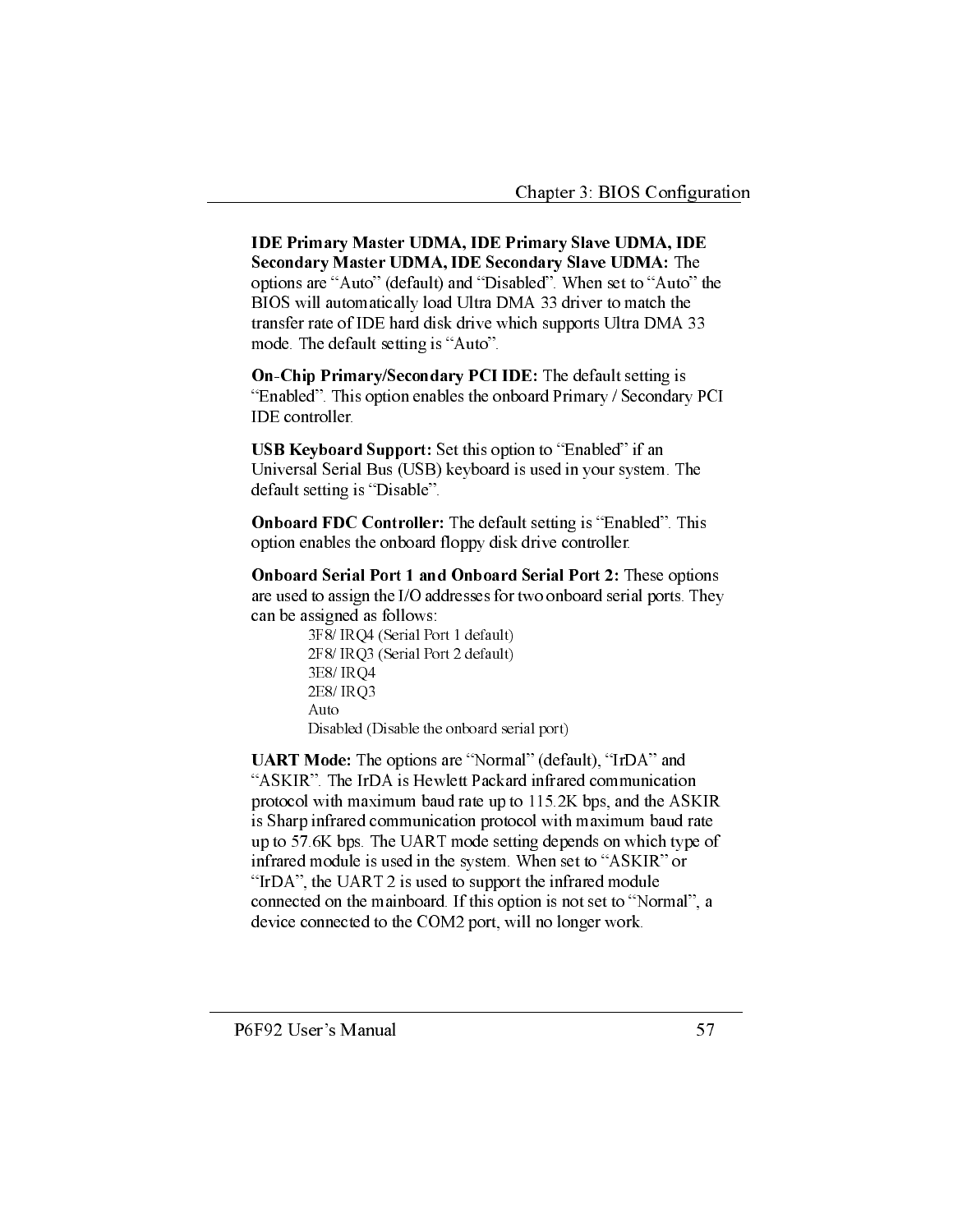**IDE Primary Master UDMA, IDE Primary Slave UDMA, IDE** Secondary Master UDMA, IDE Secondary Slave UDMA: The options are "Auto" (default) and "Disabled". When set to "Auto" the BIOS will automatically load Ultra DMA 33 driver to match the transfer rate of IDE hard disk drive which supports Ultra DMA 33 mode. The default setting is "Auto".

On-Chip Primary/Secondary PCI IDE: The default setting is "Enabled". This option enables the onboard Primary / Secondary PCI IDE controller.

**USB Keyboard Support:** Set this option to "Enabled" if an Universal Serial Bus (USB) keyboard is used in your system. The default setting is "Disable".

**Onboard FDC Controller:** The default setting is "Enabled". This option enables the onboard floppy disk drive controller.

**Onboard Serial Port 1 and Onboard Serial Port 2:** These options are used to assign the I/O addresses for two onboard serial ports. They can be assigned as follows:

3F8/ IRQ4 (Serial Port 1 default) 2F8/ IRQ3 (Serial Port 2 default) 3E8/IRQ4 2E8/IRQ3 Auto Disabled (Disable the onboard serial port)

UART Mode: The options are "Normal" (default), "IrDA" and "ASKIR". The IrDA is Hewlett Packard infrared communication protocol with maximum baud rate up to 115.2K bps, and the ASKIR is Sharp infrared communication protocol with maximum baud rate up to 57.6K bps. The UART mode setting depends on which type of infrared module is used in the system. When set to "ASKIR" or "IrDA", the UART 2 is used to support the infrared module connected on the mainboard. If this option is not set to "Normal", a device connected to the COM2 port, will no longer work.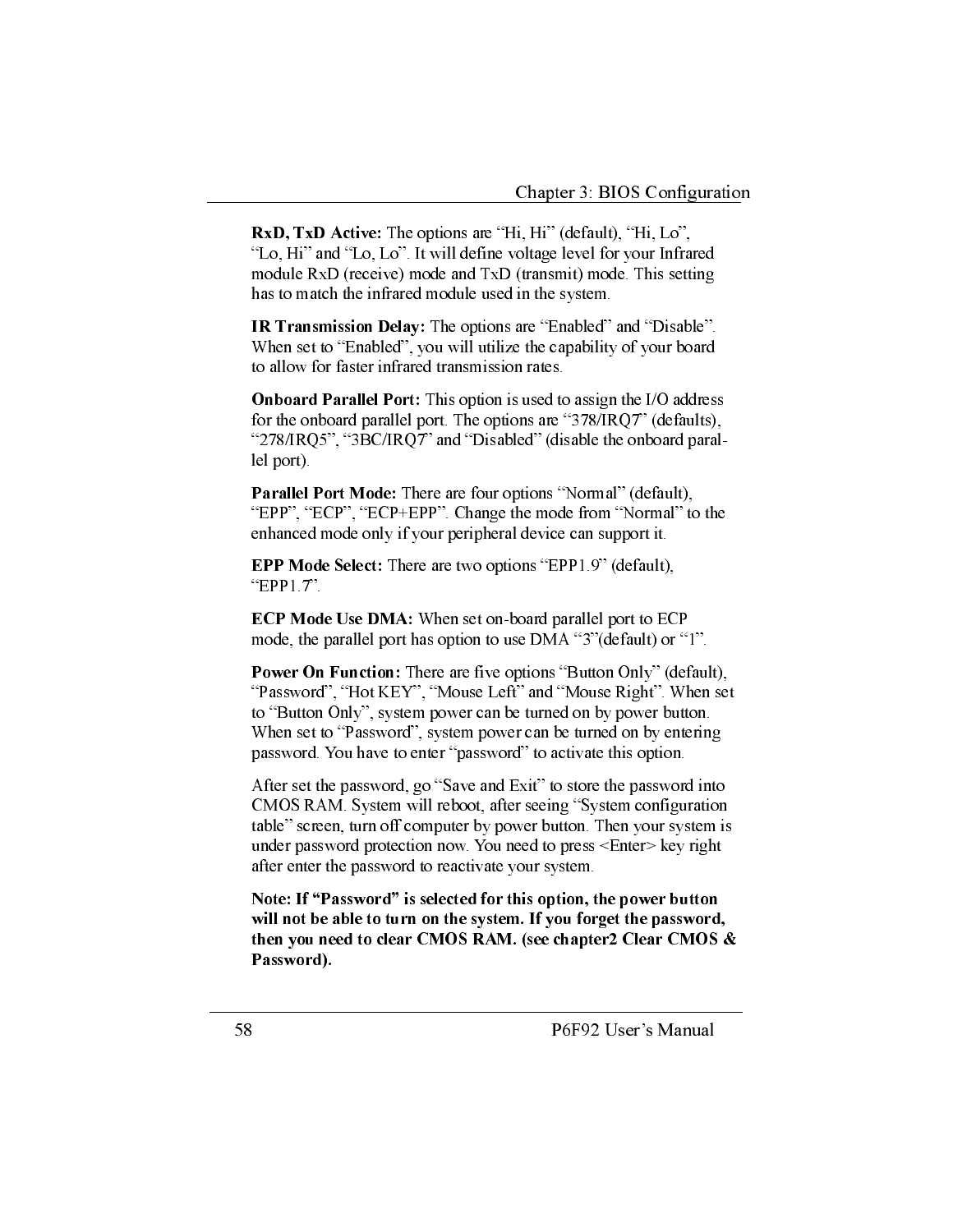**RxD.** TxD Active: The options are "Hi. Hi" (default). "Hi. Lo". "Lo, Hi" and "Lo, Lo". It will define voltage level for your Infrared module RxD (receive) mode and TxD (transmit) mode. This setting has to match the infrared module used in the system.

**IR Transmission Delay:** The options are "Enabled" and "Disable". When set to "Enabled", you will utilize the capability of your board to allow for faster infrared transmission rates.

**Onboard Parallel Port:** This option is used to assign the I/O address for the onboard parallel port. The options are "378/IRQ7" (defaults), "278/IRQ5", "3BC/IRQ7" and "Disabled" (disable the onboard parallel port).

Parallel Port Mode: There are four options "Normal" (default), "EPP", "ECP", "ECP+EPP". Change the mode from "Normal" to the enhanced mode only if your peripheral device can support it.

**EPP Mode Select:** There are two options "EPP1.9" (default), "EPP $1.7$ ".

**ECP Mode Use DMA:** When set on-board parallel port to ECP mode, the parallel port has option to use DMA "3" (default) or "1".

**Power On Function:** There are five options "Button Only" (default), "Password", "Hot KEY", "Mouse Left" and "Mouse Right". When set to "Button Only", system power can be turned on by power button. When set to "Password", system power can be turned on by entering password. You have to enter "password" to activate this option.

After set the password, go "Save and Exit" to store the password into CMOS RAM. System will reboot, after seeing "System configuration table" screen, turn off computer by power button. Then your system is under password protection now. You need to press <Enter> key right after enter the password to reactivate your system.

Note: If "Password" is selected for this option, the power button will not be able to turn on the system. If you forget the password, then you need to clear CMOS RAM. (see chapter2 Clear CMOS & Password).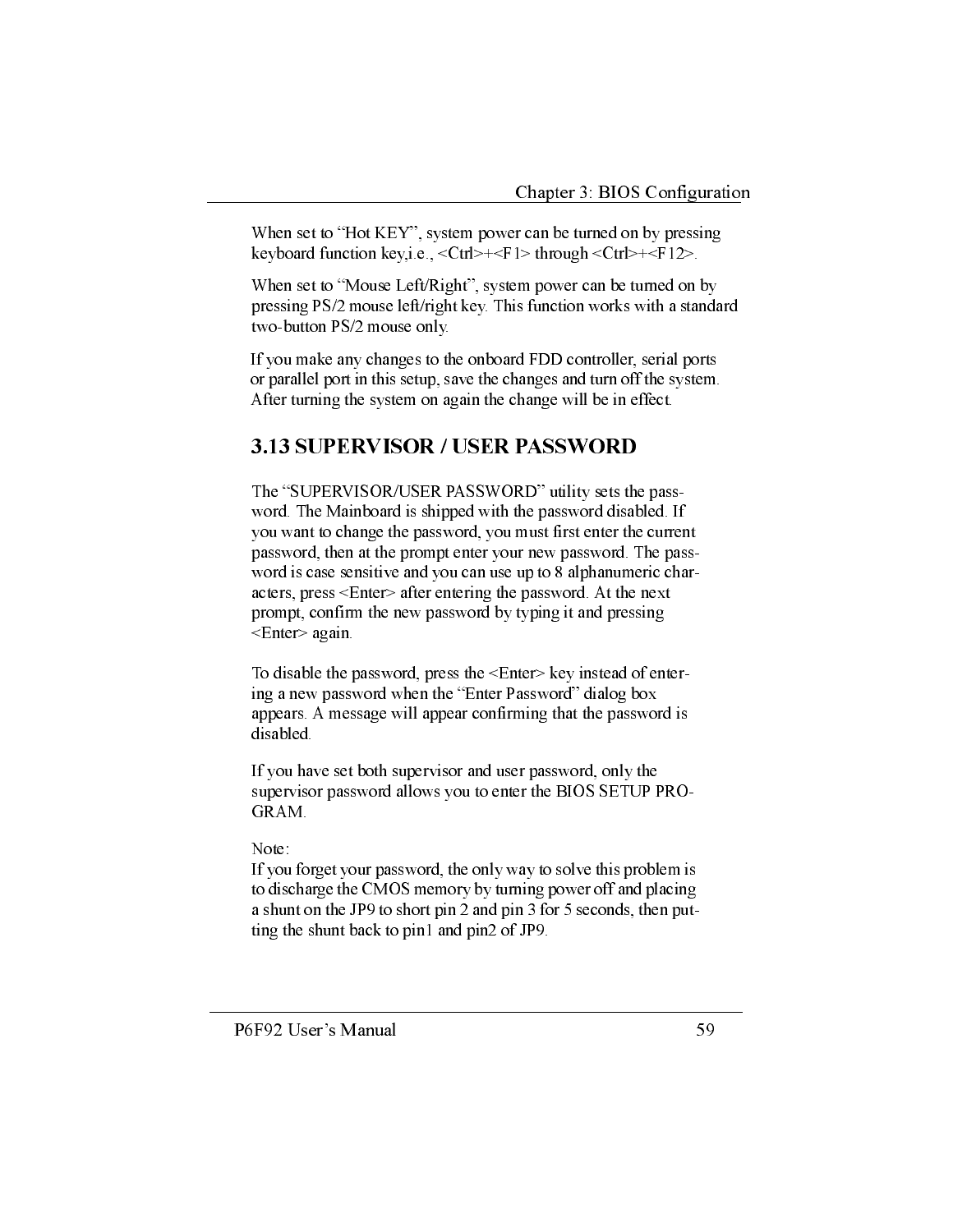When set to "Hot KEY", system power can be turned on by pressing keyboard function key,i.e.,  $\langle \text{Ctrl}\rangle + \langle \text{FI}\rangle$  through  $\langle \text{Ctrl}\rangle + \langle \text{FI}\rangle$ .

When set to "Mouse Left/Right", system power can be turned on by pressing PS/2 mouse left/right key. This function works with a standard two-button PS/2 mouse only.

If you make any changes to the onboard FDD controller, serial ports or parallel port in this setup, save the changes and turn off the system. After turning the system on again the change will be in effect.

## **3.13 SUPERVISOR / USER PASSWORD**

The "SUPERVISOR/USER PASSWORD" utility sets the password. The Mainboard is shipped with the password disabled. If you want to change the password, you must first enter the current password, then at the prompt enter your new password. The password is case sensitive and you can use up to 8 alphanumeric characters, press <Enter> after entering the password. At the next prompt, confirm the new password by typing it and pressing <Enter> again.

To disable the password, press the <Enter> key instead of entering a new password when the "Enter Password" dialog box appears. A message will appear confirming that the password is disabled.

If you have set both supervisor and user password, only the supervisor password allows you to enter the BIOS SETUP PRO-GRAM.

#### Note:

If you forget your password, the only way to solve this problem is to discharge the CMOS memory by turning power off and placing a shunt on the JP9 to short pin 2 and pin 3 for 5 seconds, then putting the shunt back to pin1 and pin2 of JP9.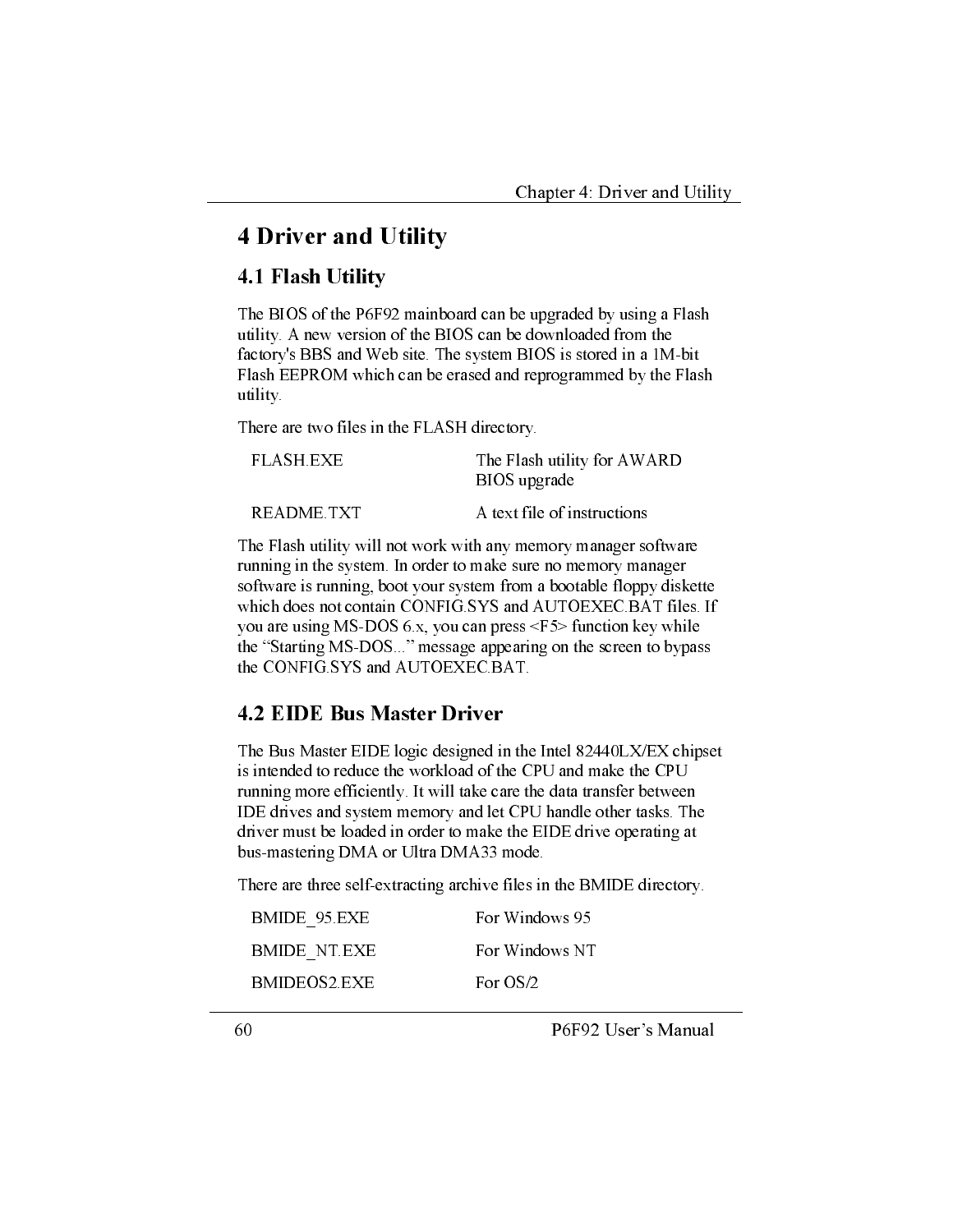## **4 Driver and Utility**

#### 4.1 Flash Utility

The BIOS of the P6F92 mainboard can be upgraded by using a Flash utility. A new version of the BIOS can be downloaded from the factory's BBS and Web site. The system BIOS is stored in a 1M-bit Flash EEPROM which can be erased and reprogrammed by the Flash utility.

There are two files in the FLASH directory.

| FLASH EXE  | The Flash utility for AWARD<br>BIOS upgrade |
|------------|---------------------------------------------|
| README TXT | A text file of instructions                 |

The Flash utility will not work with any memory manager software running in the system. In order to make sure no memory manager software is running, boot your system from a bootable floppy diskette which does not contain CONFIG.SYS and AUTOEXEC.BAT files. If you are using MS-DOS 6.x, you can press  $\leq$  F5> function key while the "Starting MS-DOS..." message appearing on the screen to bypass the CONFIG.SYS and AUTOEXEC.BAT.

## **4.2 EIDE Bus Master Driver**

The Bus Master EIDE logic designed in the Intel 82440LX/EX chipset is intended to reduce the workload of the CPU and make the CPU running more efficiently. It will take care the data transfer between IDE drives and system memory and let CPU handle other tasks. The driver must be loaded in order to make the EIDE drive operating at bus-mastering DMA or Ultra DMA33 mode.

There are three self-extracting archive files in the BMIDE directory.

| BMIDE 95 EXE        | For Windows 95 |
|---------------------|----------------|
| <b>BMIDE NT EXE</b> | For Windows NT |
| BMIDEOS2 EXE        | For $OS/2$     |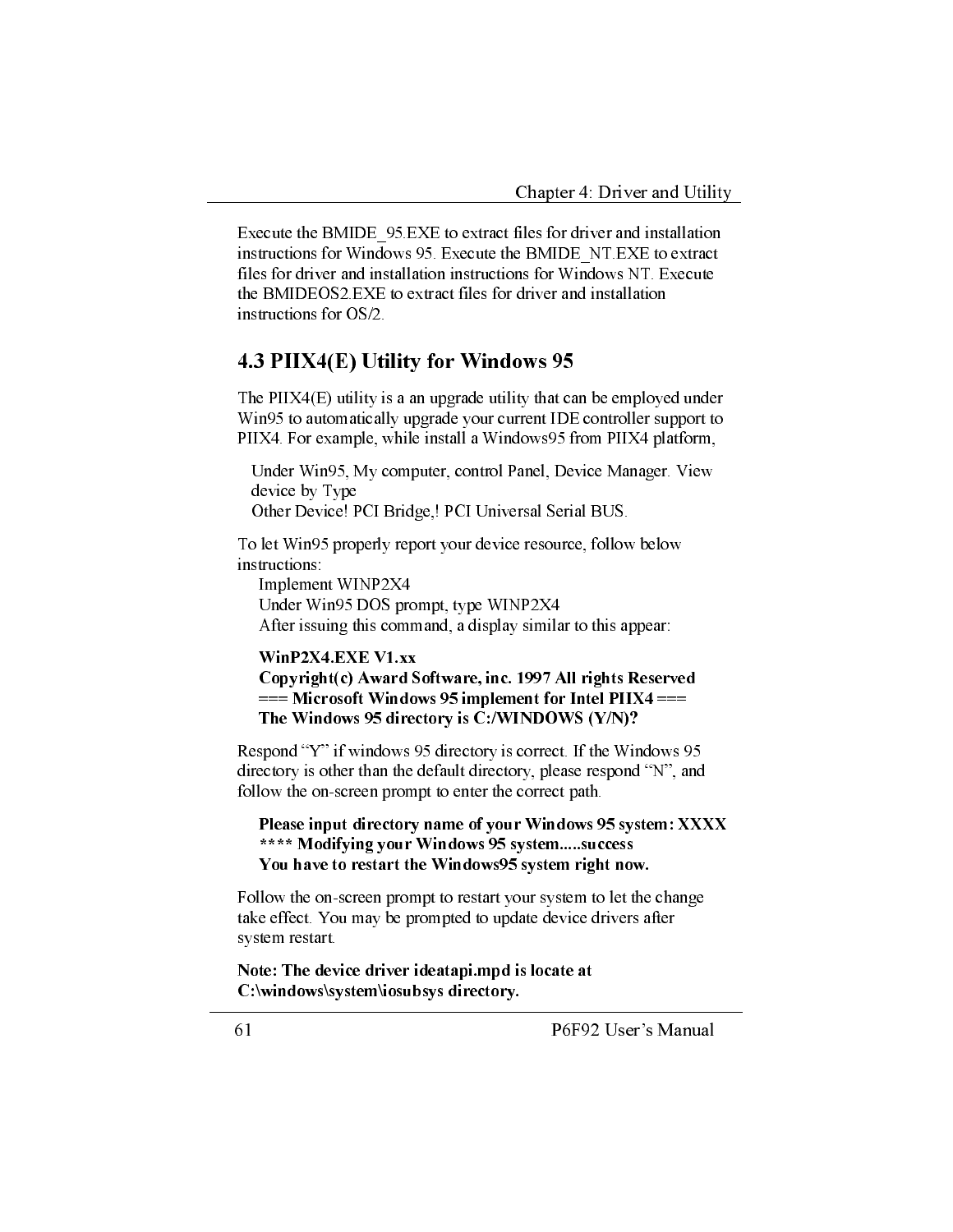Execute the BMIDE 95 EXE to extract files for driver and installation instructions for Windows 95. Execute the BMIDE NT EXE to extract files for driver and installation instructions for Windows NT. Execute the BMIDEOS2.EXE to extract files for driver and installation instructions for OS/2.

#### 4.3 PIIX4(E) Utility for Windows 95

The  $PIIX4(E)$  utility is a an upgrade utility that can be employed under Win95 to automatically upgrade your current IDE controller support to PIIX4. For example, while install a Windows95 from PIIX4 platform,

Under Win95, My computer, control Panel, Device Manager. View device by Type

Other Device! PCI Bridge,! PCI Universal Serial BUS.

To let Win95 properly report your device resource, follow below instructions:

Implement WINP2X4 Under Win95 DOS prompt, type WINP2X4 After issuing this command, a display similar to this appear:

#### WinP2X4.EXE V1.xx

Copyright(c) Award Software, inc. 1997 All rights Reserved  $==$  Microsoft Windows 95 implement for Intel PIIX4 === The Windows 95 directory is C:/WINDOWS (Y/N)?

Respond "Y" if windows 95 directory is correct. If the Windows 95 directory is other than the default directory, please respond "N", and follow the on-screen prompt to enter the correct path.

Please input directory name of your Windows 95 system: XXXX \*\*\*\* Modifying your Windows 95 system.....success You have to restart the Windows95 system right now.

Follow the on-screen prompt to restart your system to let the change take effect. You may be prompted to update device drivers after system restart.

Note: The device driver ideatapi.mpd is locate at C:\windows\system\iosubsys directory.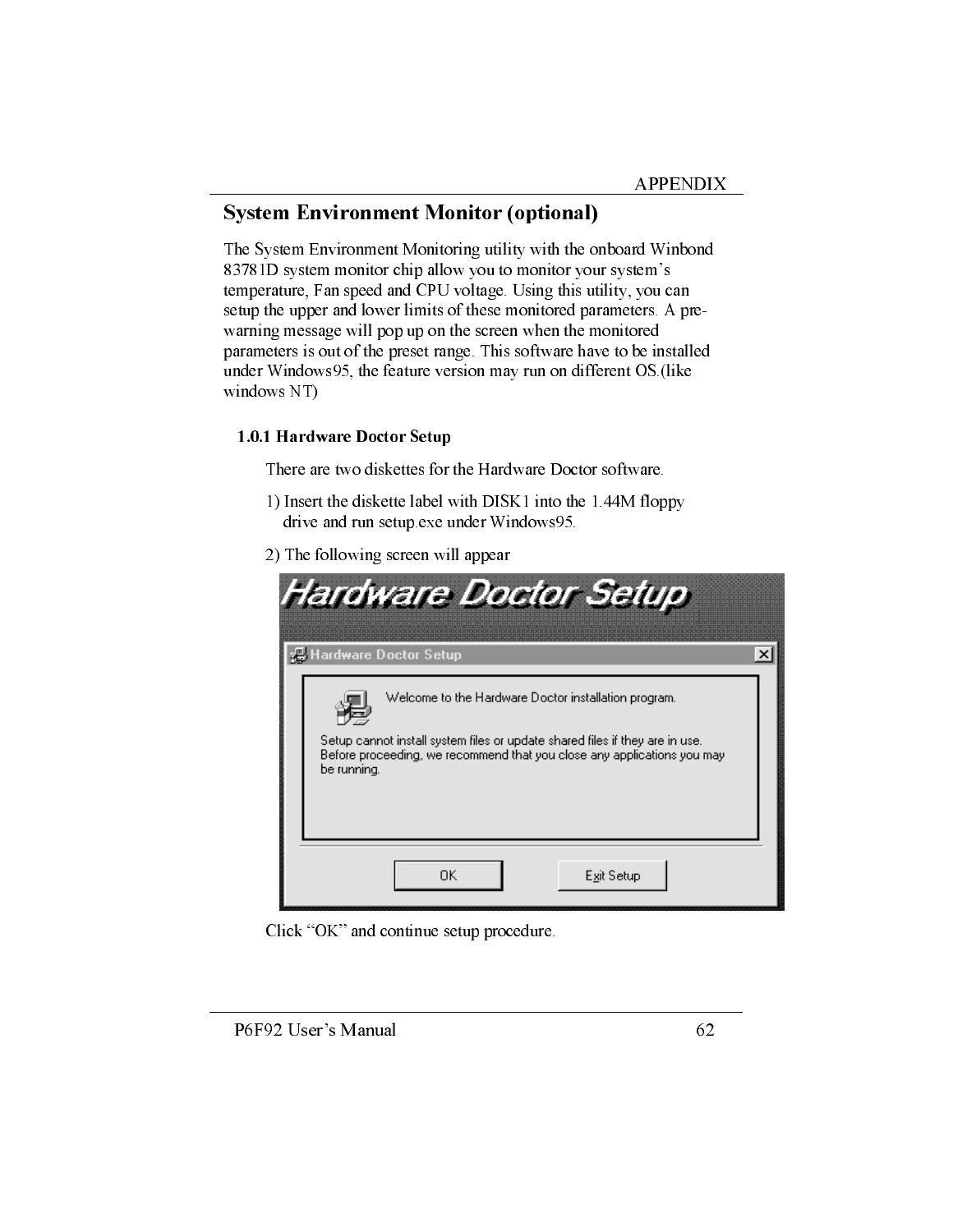## **System Environment Monitor (optional)**

The System Environment Monitoring utility with the onboard Winbond 83781D system monitor chip allow you to monitor your system's temperature, Fan speed and CPU voltage. Using this utility, you can setup the upper and lower limits of these monitored parameters. A prewarning message will pop up on the screen when the monitored parameters is out of the preset range. This software have to be installed under Windows95, the feature version may run on different OS.(like windows NT)

#### 1.0.1 Hardware Doctor Setup

There are two diskettes for the Hardware Doctor software.

- 1) Insert the diskette label with DISK1 into the 1.44M floppy drive and run setup exe under Windows95.
- 2) The following screen will appear

| Hardware Doctor Setup                                                                                                                                                                                                          |
|--------------------------------------------------------------------------------------------------------------------------------------------------------------------------------------------------------------------------------|
| <b>B</b> Hardware Doctor Setup<br>×                                                                                                                                                                                            |
| Welcome to the Hardware Doctor installation program.<br>Setup cannot install system files or update shared files if they are in use.<br>Before proceeding, we recommend that you close any applications you may<br>be running. |
| ΠK<br>Exit Setup                                                                                                                                                                                                               |

Click "OK" and continue setup procedure.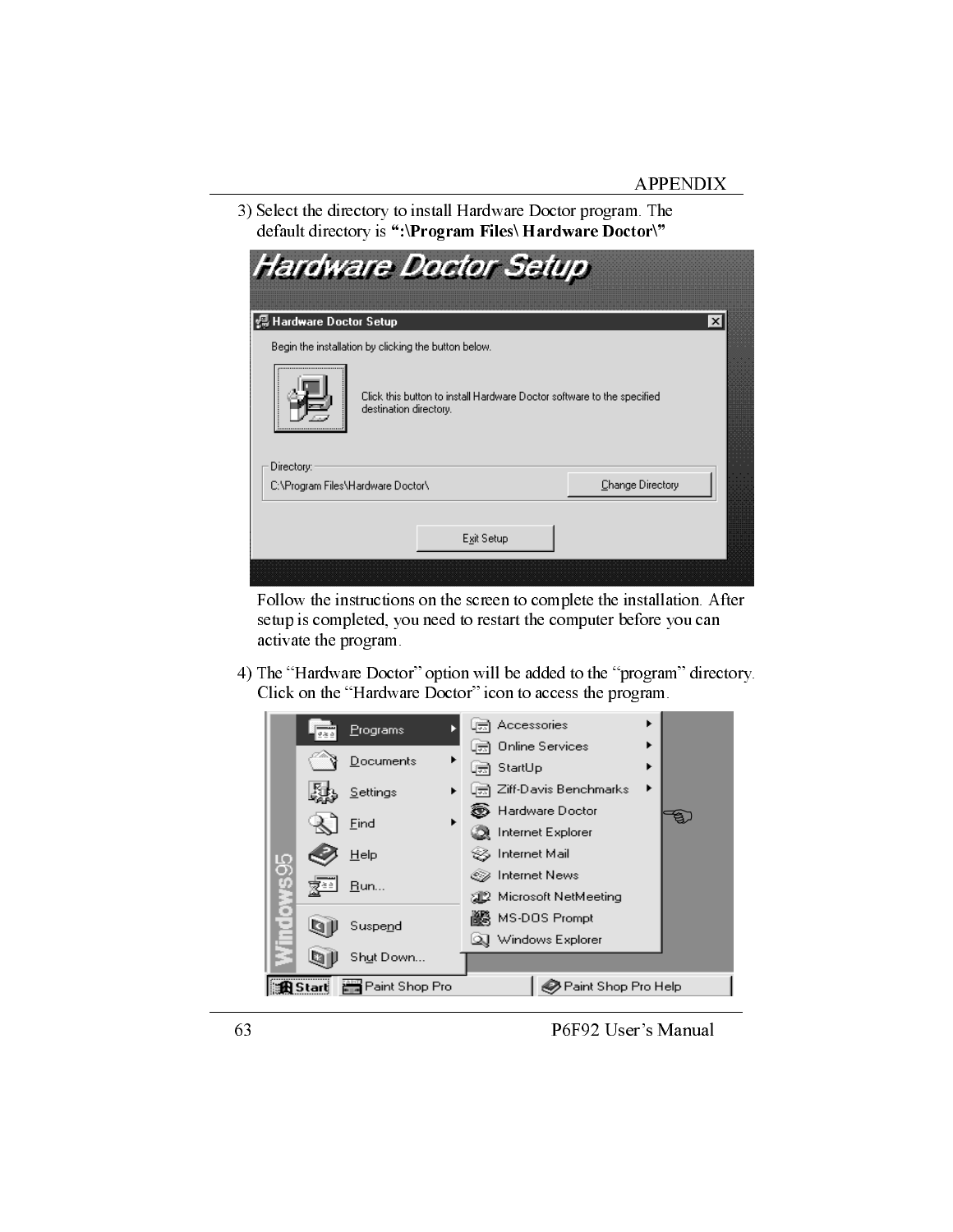3) Select the directory to install Hardware Doctor program. The default directory is ":\Program Files\ Hardware Doctor\"

|                                   | <b>Hardware Doctor Setup</b>                                                                     |                  |
|-----------------------------------|--------------------------------------------------------------------------------------------------|------------------|
| 缊 Hardware Doctor Setup           |                                                                                                  | ×l               |
|                                   | Begin the installation by clicking the button below.                                             |                  |
|                                   | Click this button to install Hardware Doctor software to the specified<br>destination directory. |                  |
| Directory:                        |                                                                                                  |                  |
| C:\Program Files\Hardware Doctor\ |                                                                                                  | Change Directory |
|                                   | Exit Setup                                                                                       |                  |
|                                   |                                                                                                  |                  |

Follow the instructions on the screen to complete the installation. After setup is completed, you need to restart the computer before you can activate the program.

4) The "Hardware Doctor" option will be added to the "program" directory. Click on the "Hardware Doctor" icon to access the program.

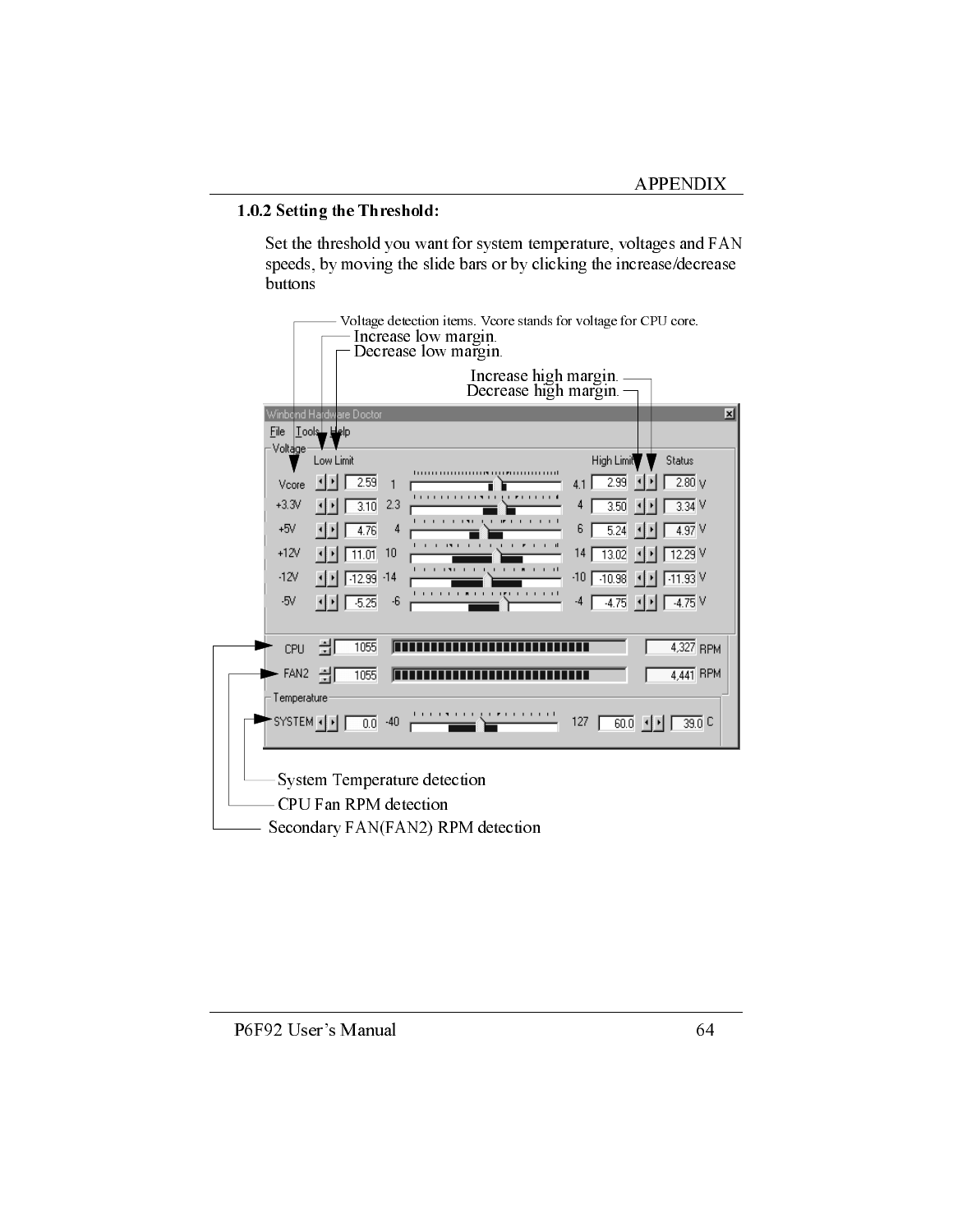#### 1.0.2 Setting the Threshold:

Set the threshold you want for system temperature, voltages and FAN speeds, by moving the slide bars or by clicking the increase/decrease buttons